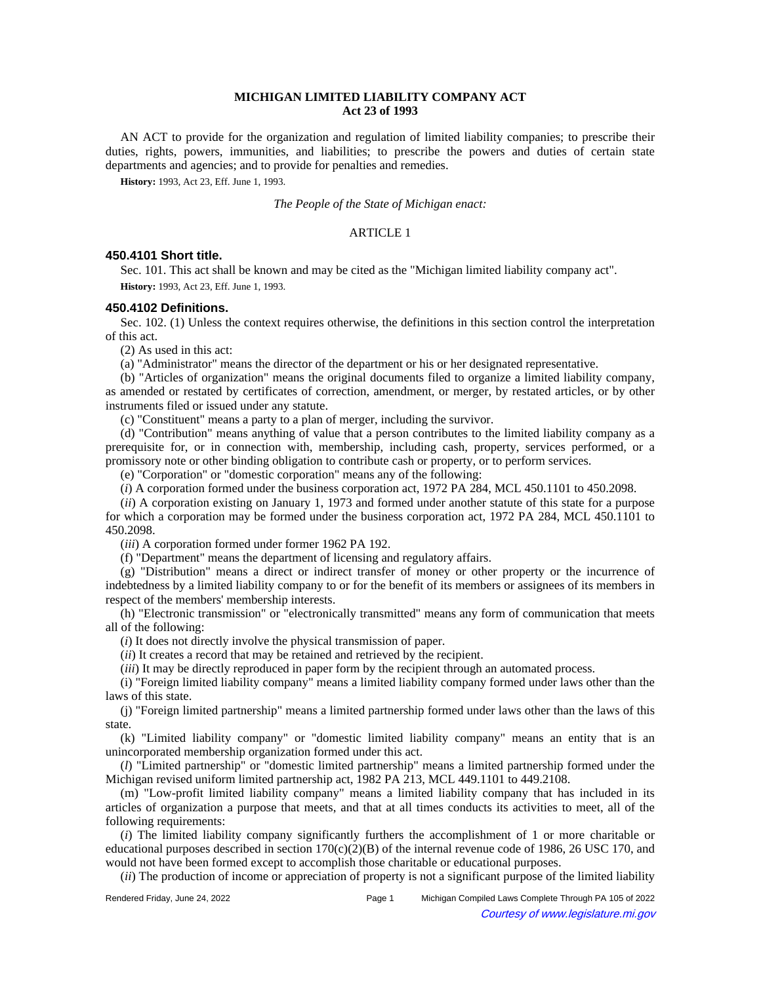# **MICHIGAN LIMITED LIABILITY COMPANY ACT Act 23 of 1993**

AN ACT to provide for the organization and regulation of limited liability companies; to prescribe their duties, rights, powers, immunities, and liabilities; to prescribe the powers and duties of certain state departments and agencies; and to provide for penalties and remedies.

**History:** 1993, Act 23, Eff. June 1, 1993.

*The People of the State of Michigan enact:*

### ARTICLE 1

## **450.4101 Short title.**

Sec. 101. This act shall be known and may be cited as the "Michigan limited liability company act". **History:** 1993, Act 23, Eff. June 1, 1993.

### **450.4102 Definitions.**

Sec. 102. (1) Unless the context requires otherwise, the definitions in this section control the interpretation of this act.

(2) As used in this act:

(a) "Administrator" means the director of the department or his or her designated representative.

(b) "Articles of organization" means the original documents filed to organize a limited liability company, as amended or restated by certificates of correction, amendment, or merger, by restated articles, or by other instruments filed or issued under any statute.

(c) "Constituent" means a party to a plan of merger, including the survivor.

(d) "Contribution" means anything of value that a person contributes to the limited liability company as a prerequisite for, or in connection with, membership, including cash, property, services performed, or a promissory note or other binding obligation to contribute cash or property, or to perform services.

(e) "Corporation" or "domestic corporation" means any of the following:

(*i*) A corporation formed under the business corporation act, 1972 PA 284, MCL 450.1101 to 450.2098.

(*ii*) A corporation existing on January 1, 1973 and formed under another statute of this state for a purpose for which a corporation may be formed under the business corporation act, 1972 PA 284, MCL 450.1101 to 450.2098.

(*iii*) A corporation formed under former 1962 PA 192.

(f) "Department" means the department of licensing and regulatory affairs.

(g) "Distribution" means a direct or indirect transfer of money or other property or the incurrence of indebtedness by a limited liability company to or for the benefit of its members or assignees of its members in respect of the members' membership interests.

(h) "Electronic transmission" or "electronically transmitted" means any form of communication that meets all of the following:

(*i*) It does not directly involve the physical transmission of paper.

(*ii*) It creates a record that may be retained and retrieved by the recipient.

(*iii*) It may be directly reproduced in paper form by the recipient through an automated process.

(i) "Foreign limited liability company" means a limited liability company formed under laws other than the laws of this state.

(j) "Foreign limited partnership" means a limited partnership formed under laws other than the laws of this state.

(k) "Limited liability company" or "domestic limited liability company" means an entity that is an unincorporated membership organization formed under this act.

(*l*) "Limited partnership" or "domestic limited partnership" means a limited partnership formed under the Michigan revised uniform limited partnership act, 1982 PA 213, MCL 449.1101 to 449.2108.

(m) "Low-profit limited liability company" means a limited liability company that has included in its articles of organization a purpose that meets, and that at all times conducts its activities to meet, all of the following requirements:

(*i*) The limited liability company significantly furthers the accomplishment of 1 or more charitable or educational purposes described in section  $170(c)(2)(B)$  of the internal revenue code of 1986, 26 USC 170, and would not have been formed except to accomplish those charitable or educational purposes.

(*ii*) The production of income or appreciation of property is not a significant purpose of the limited liability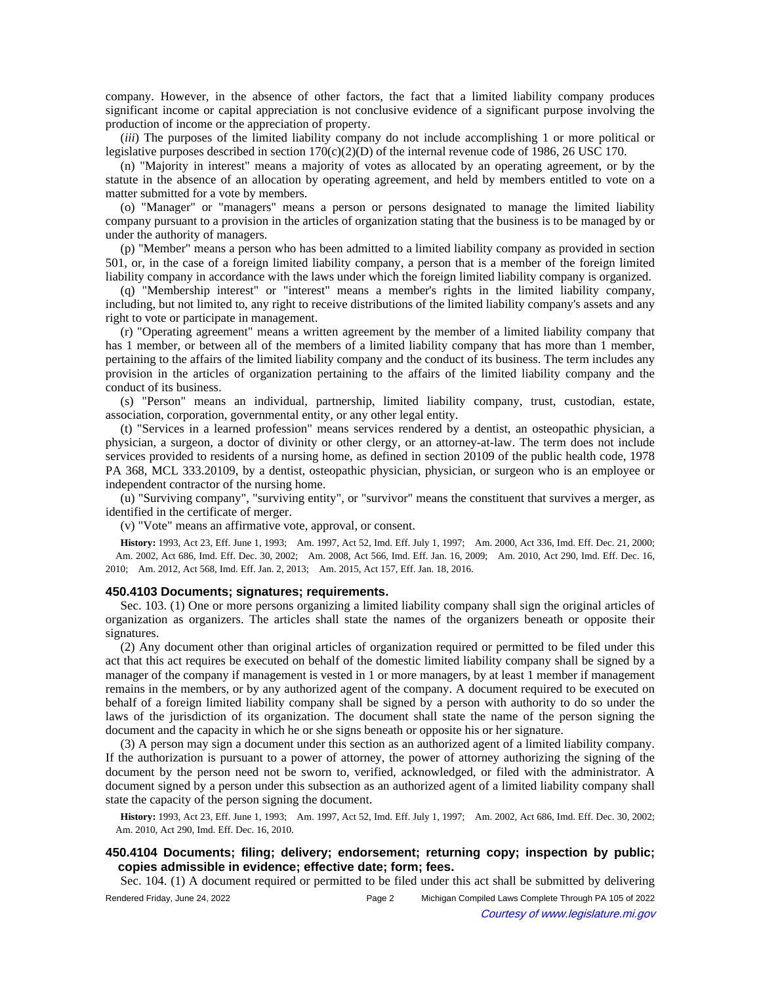company. However, in the absence of other factors, the fact that a limited liability company produces significant income or capital appreciation is not conclusive evidence of a significant purpose involving the production of income or the appreciation of property.

(*iii*) The purposes of the limited liability company do not include accomplishing 1 or more political or legislative purposes described in section  $170(c)(2)(D)$  of the internal revenue code of 1986, 26 USC 170.

(n) "Majority in interest" means a majority of votes as allocated by an operating agreement, or by the statute in the absence of an allocation by operating agreement, and held by members entitled to vote on a matter submitted for a vote by members.

(o) "Manager" or "managers" means a person or persons designated to manage the limited liability company pursuant to a provision in the articles of organization stating that the business is to be managed by or under the authority of managers.

(p) "Member" means a person who has been admitted to a limited liability company as provided in section 501, or, in the case of a foreign limited liability company, a person that is a member of the foreign limited liability company in accordance with the laws under which the foreign limited liability company is organized.

(q) "Membership interest" or "interest" means a member's rights in the limited liability company, including, but not limited to, any right to receive distributions of the limited liability company's assets and any right to vote or participate in management.

(r) "Operating agreement" means a written agreement by the member of a limited liability company that has 1 member, or between all of the members of a limited liability company that has more than 1 member, pertaining to the affairs of the limited liability company and the conduct of its business. The term includes any provision in the articles of organization pertaining to the affairs of the limited liability company and the conduct of its business.

(s) "Person" means an individual, partnership, limited liability company, trust, custodian, estate, association, corporation, governmental entity, or any other legal entity.

(t) "Services in a learned profession" means services rendered by a dentist, an osteopathic physician, a physician, a surgeon, a doctor of divinity or other clergy, or an attorney-at-law. The term does not include services provided to residents of a nursing home, as defined in section 20109 of the public health code, 1978 PA 368, MCL 333.20109, by a dentist, osteopathic physician, physician, or surgeon who is an employee or independent contractor of the nursing home.

(u) "Surviving company", "surviving entity", or "survivor" means the constituent that survives a merger, as identified in the certificate of merger.

(v) "Vote" means an affirmative vote, approval, or consent.

**History:** 1993, Act 23, Eff. June 1, 1993;—Am. 1997, Act 52, Imd. Eff. July 1, 1997;—Am. 2000, Act 336, Imd. Eff. Dec. 21, 2000; -Am. 2002, Act 686, Imd. Eff. Dec. 30, 2002;--Am. 2008, Act 566, Imd. Eff. Jan. 16, 2009;--Am. 2010, Act 290, Imd. Eff. Dec. 16, 2010;—Am. 2012, Act 568, Imd. Eff. Jan. 2, 2013;—Am. 2015, Act 157, Eff. Jan. 18, 2016.

### **450.4103 Documents; signatures; requirements.**

Sec. 103. (1) One or more persons organizing a limited liability company shall sign the original articles of organization as organizers. The articles shall state the names of the organizers beneath or opposite their signatures.

(2) Any document other than original articles of organization required or permitted to be filed under this act that this act requires be executed on behalf of the domestic limited liability company shall be signed by a manager of the company if management is vested in 1 or more managers, by at least 1 member if management remains in the members, or by any authorized agent of the company. A document required to be executed on behalf of a foreign limited liability company shall be signed by a person with authority to do so under the laws of the jurisdiction of its organization. The document shall state the name of the person signing the document and the capacity in which he or she signs beneath or opposite his or her signature.

(3) A person may sign a document under this section as an authorized agent of a limited liability company. If the authorization is pursuant to a power of attorney, the power of attorney authorizing the signing of the document by the person need not be sworn to, verified, acknowledged, or filed with the administrator. A document signed by a person under this subsection as an authorized agent of a limited liability company shall state the capacity of the person signing the document.

**History:** 1993, Act 23, Eff. June 1, 1993;—Am. 1997, Act 52, Imd. Eff. July 1, 1997;—Am. 2002, Act 686, Imd. Eff. Dec. 30, 2002; Am. 2010, Act 290, Imd. Eff. Dec. 16, 2010.

# **450.4104 Documents; filing; delivery; endorsement; returning copy; inspection by public; copies admissible in evidence; effective date; form; fees.**

Sec. 104. (1) A document required or permitted to be filed under this act shall be submitted by delivering

Rendered Friday, June 24, 2022 Page 2 Michigan Compiled Laws Complete Through PA 105 of 2022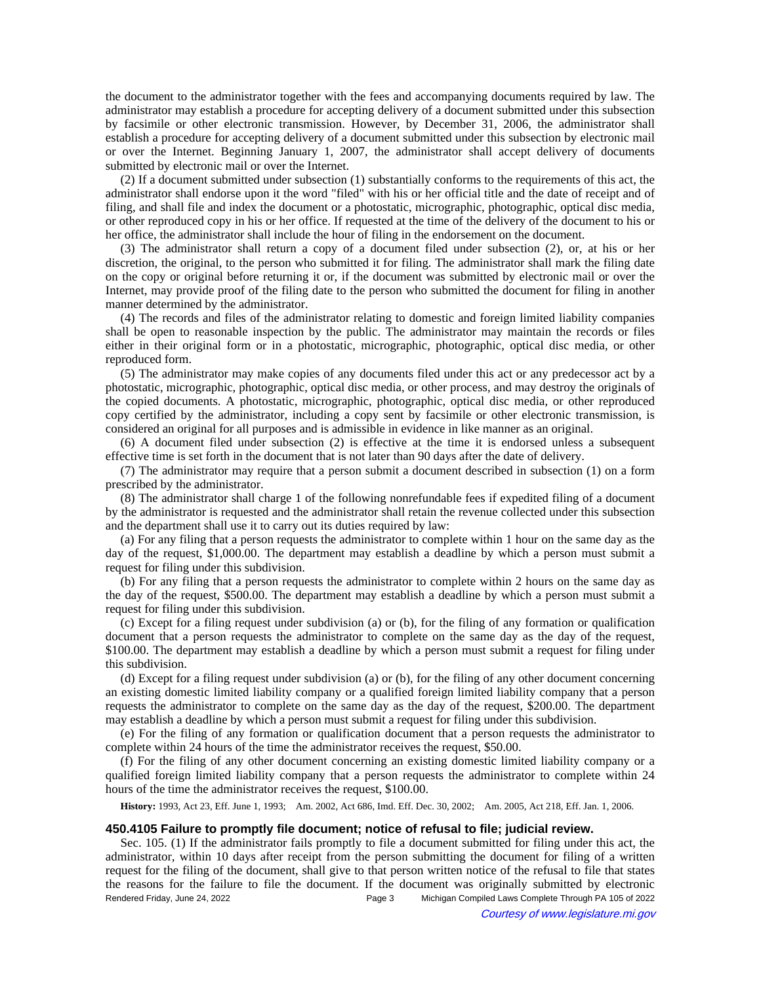the document to the administrator together with the fees and accompanying documents required by law. The administrator may establish a procedure for accepting delivery of a document submitted under this subsection by facsimile or other electronic transmission. However, by December 31, 2006, the administrator shall establish a procedure for accepting delivery of a document submitted under this subsection by electronic mail or over the Internet. Beginning January 1, 2007, the administrator shall accept delivery of documents submitted by electronic mail or over the Internet.

(2) If a document submitted under subsection (1) substantially conforms to the requirements of this act, the administrator shall endorse upon it the word "filed" with his or her official title and the date of receipt and of filing, and shall file and index the document or a photostatic, micrographic, photographic, optical disc media, or other reproduced copy in his or her office. If requested at the time of the delivery of the document to his or her office, the administrator shall include the hour of filing in the endorsement on the document.

(3) The administrator shall return a copy of a document filed under subsection (2), or, at his or her discretion, the original, to the person who submitted it for filing. The administrator shall mark the filing date on the copy or original before returning it or, if the document was submitted by electronic mail or over the Internet, may provide proof of the filing date to the person who submitted the document for filing in another manner determined by the administrator.

(4) The records and files of the administrator relating to domestic and foreign limited liability companies shall be open to reasonable inspection by the public. The administrator may maintain the records or files either in their original form or in a photostatic, micrographic, photographic, optical disc media, or other reproduced form.

(5) The administrator may make copies of any documents filed under this act or any predecessor act by a photostatic, micrographic, photographic, optical disc media, or other process, and may destroy the originals of the copied documents. A photostatic, micrographic, photographic, optical disc media, or other reproduced copy certified by the administrator, including a copy sent by facsimile or other electronic transmission, is considered an original for all purposes and is admissible in evidence in like manner as an original.

(6) A document filed under subsection (2) is effective at the time it is endorsed unless a subsequent effective time is set forth in the document that is not later than 90 days after the date of delivery.

(7) The administrator may require that a person submit a document described in subsection (1) on a form prescribed by the administrator.

(8) The administrator shall charge 1 of the following nonrefundable fees if expedited filing of a document by the administrator is requested and the administrator shall retain the revenue collected under this subsection and the department shall use it to carry out its duties required by law:

(a) For any filing that a person requests the administrator to complete within 1 hour on the same day as the day of the request, \$1,000.00. The department may establish a deadline by which a person must submit a request for filing under this subdivision.

(b) For any filing that a person requests the administrator to complete within 2 hours on the same day as the day of the request, \$500.00. The department may establish a deadline by which a person must submit a request for filing under this subdivision.

(c) Except for a filing request under subdivision (a) or (b), for the filing of any formation or qualification document that a person requests the administrator to complete on the same day as the day of the request, \$100.00. The department may establish a deadline by which a person must submit a request for filing under this subdivision.

(d) Except for a filing request under subdivision (a) or (b), for the filing of any other document concerning an existing domestic limited liability company or a qualified foreign limited liability company that a person requests the administrator to complete on the same day as the day of the request, \$200.00. The department may establish a deadline by which a person must submit a request for filing under this subdivision.

(e) For the filing of any formation or qualification document that a person requests the administrator to complete within 24 hours of the time the administrator receives the request, \$50.00.

(f) For the filing of any other document concerning an existing domestic limited liability company or a qualified foreign limited liability company that a person requests the administrator to complete within 24 hours of the time the administrator receives the request, \$100.00.

History: 1993, Act 23, Eff. June 1, 1993;--Am. 2002, Act 686, Imd. Eff. Dec. 30, 2002;--Am. 2005, Act 218, Eff. Jan. 1, 2006.

### **450.4105 Failure to promptly file document; notice of refusal to file; judicial review.**

Sec. 105. (1) If the administrator fails promptly to file a document submitted for filing under this act, the administrator, within 10 days after receipt from the person submitting the document for filing of a written request for the filing of the document, shall give to that person written notice of the refusal to file that states the reasons for the failure to file the document. If the document was originally submitted by electronic Rendered Friday, June 24, 2022 Page 3 Michigan Compiled Laws Complete Through PA 105 of 2022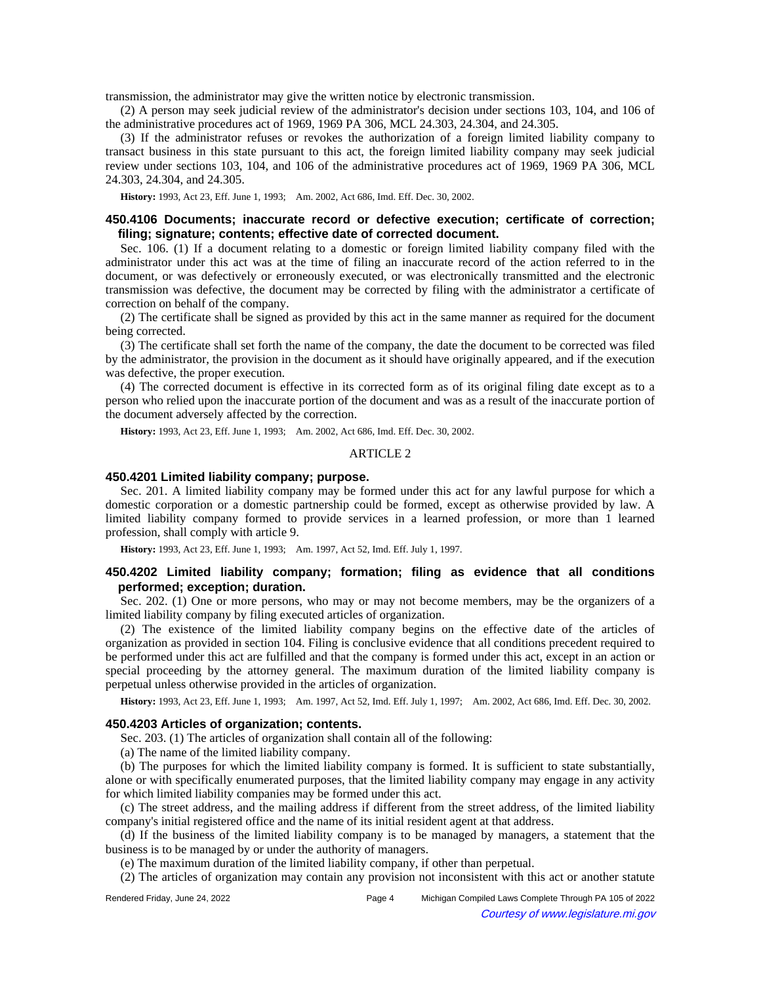transmission, the administrator may give the written notice by electronic transmission.

(2) A person may seek judicial review of the administrator's decision under sections 103, 104, and 106 of the administrative procedures act of 1969, 1969 PA 306, MCL 24.303, 24.304, and 24.305.

(3) If the administrator refuses or revokes the authorization of a foreign limited liability company to transact business in this state pursuant to this act, the foreign limited liability company may seek judicial review under sections 103, 104, and 106 of the administrative procedures act of 1969, 1969 PA 306, MCL 24.303, 24.304, and 24.305.

History: 1993, Act 23, Eff. June 1, 1993;—Am. 2002, Act 686, Imd. Eff. Dec. 30, 2002.

# **450.4106 Documents; inaccurate record or defective execution; certificate of correction; filing; signature; contents; effective date of corrected document.**

Sec. 106. (1) If a document relating to a domestic or foreign limited liability company filed with the administrator under this act was at the time of filing an inaccurate record of the action referred to in the document, or was defectively or erroneously executed, or was electronically transmitted and the electronic transmission was defective, the document may be corrected by filing with the administrator a certificate of correction on behalf of the company.

(2) The certificate shall be signed as provided by this act in the same manner as required for the document being corrected.

(3) The certificate shall set forth the name of the company, the date the document to be corrected was filed by the administrator, the provision in the document as it should have originally appeared, and if the execution was defective, the proper execution.

(4) The corrected document is effective in its corrected form as of its original filing date except as to a person who relied upon the inaccurate portion of the document and was as a result of the inaccurate portion of the document adversely affected by the correction.

History: 1993, Act 23, Eff. June 1, 1993;—Am. 2002, Act 686, Imd. Eff. Dec. 30, 2002.

### ARTICLE 2

## **450.4201 Limited liability company; purpose.**

Sec. 201. A limited liability company may be formed under this act for any lawful purpose for which a domestic corporation or a domestic partnership could be formed, except as otherwise provided by law. A limited liability company formed to provide services in a learned profession, or more than 1 learned profession, shall comply with article 9.

**History:** 1993, Act 23, Eff. June 1, 1993;—Am. 1997, Act 52, Imd. Eff. July 1, 1997.

# **450.4202 Limited liability company; formation; filing as evidence that all conditions performed; exception; duration.**

Sec. 202. (1) One or more persons, who may or may not become members, may be the organizers of a limited liability company by filing executed articles of organization.

(2) The existence of the limited liability company begins on the effective date of the articles of organization as provided in section 104. Filing is conclusive evidence that all conditions precedent required to be performed under this act are fulfilled and that the company is formed under this act, except in an action or special proceeding by the attorney general. The maximum duration of the limited liability company is perpetual unless otherwise provided in the articles of organization.

History: 1993, Act 23, Eff. June 1, 1993;—Am. 1997, Act 52, Imd. Eff. July 1, 1997;—Am. 2002, Act 686, Imd. Eff. Dec. 30, 2002.

## **450.4203 Articles of organization; contents.**

Sec. 203. (1) The articles of organization shall contain all of the following:

(a) The name of the limited liability company.

(b) The purposes for which the limited liability company is formed. It is sufficient to state substantially, alone or with specifically enumerated purposes, that the limited liability company may engage in any activity for which limited liability companies may be formed under this act.

(c) The street address, and the mailing address if different from the street address, of the limited liability company's initial registered office and the name of its initial resident agent at that address.

(d) If the business of the limited liability company is to be managed by managers, a statement that the business is to be managed by or under the authority of managers.

(e) The maximum duration of the limited liability company, if other than perpetual.

(2) The articles of organization may contain any provision not inconsistent with this act or another statute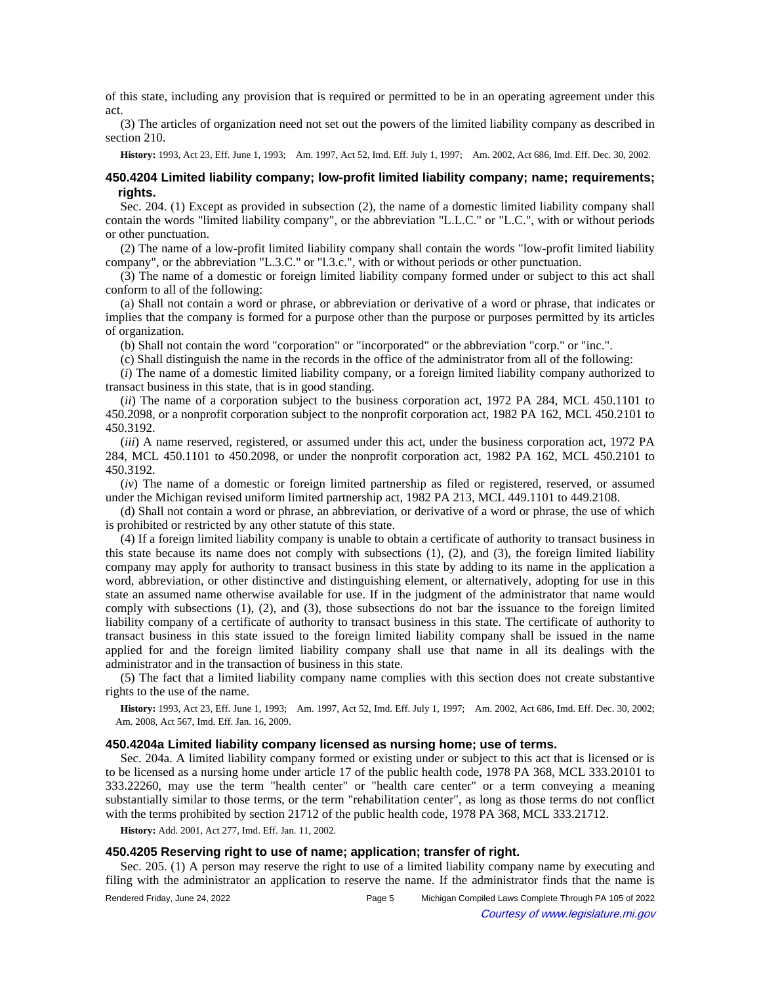of this state, including any provision that is required or permitted to be in an operating agreement under this act.

(3) The articles of organization need not set out the powers of the limited liability company as described in section 210.

History: 1993, Act 23, Eff. June 1, 1993;—Am. 1997, Act 52, Imd. Eff. July 1, 1997;—Am. 2002, Act 686, Imd. Eff. Dec. 30, 2002.

## **450.4204 Limited liability company; low-profit limited liability company; name; requirements; rights.**

Sec. 204. (1) Except as provided in subsection (2), the name of a domestic limited liability company shall contain the words "limited liability company", or the abbreviation "L.L.C." or "L.C.", with or without periods or other punctuation.

(2) The name of a low-profit limited liability company shall contain the words "low-profit limited liability company", or the abbreviation "L.3.C." or "l.3.c.", with or without periods or other punctuation.

(3) The name of a domestic or foreign limited liability company formed under or subject to this act shall conform to all of the following:

(a) Shall not contain a word or phrase, or abbreviation or derivative of a word or phrase, that indicates or implies that the company is formed for a purpose other than the purpose or purposes permitted by its articles of organization.

(b) Shall not contain the word "corporation" or "incorporated" or the abbreviation "corp." or "inc.".

(c) Shall distinguish the name in the records in the office of the administrator from all of the following:

(*i*) The name of a domestic limited liability company, or a foreign limited liability company authorized to transact business in this state, that is in good standing.

(*ii*) The name of a corporation subject to the business corporation act, 1972 PA 284, MCL 450.1101 to 450.2098, or a nonprofit corporation subject to the nonprofit corporation act, 1982 PA 162, MCL 450.2101 to 450.3192.

(*iii*) A name reserved, registered, or assumed under this act, under the business corporation act, 1972 PA 284, MCL 450.1101 to 450.2098, or under the nonprofit corporation act, 1982 PA 162, MCL 450.2101 to 450.3192.

(*iv*) The name of a domestic or foreign limited partnership as filed or registered, reserved, or assumed under the Michigan revised uniform limited partnership act, 1982 PA 213, MCL 449.1101 to 449.2108.

(d) Shall not contain a word or phrase, an abbreviation, or derivative of a word or phrase, the use of which is prohibited or restricted by any other statute of this state.

(4) If a foreign limited liability company is unable to obtain a certificate of authority to transact business in this state because its name does not comply with subsections (1), (2), and (3), the foreign limited liability company may apply for authority to transact business in this state by adding to its name in the application a word, abbreviation, or other distinctive and distinguishing element, or alternatively, adopting for use in this state an assumed name otherwise available for use. If in the judgment of the administrator that name would comply with subsections (1), (2), and (3), those subsections do not bar the issuance to the foreign limited liability company of a certificate of authority to transact business in this state. The certificate of authority to transact business in this state issued to the foreign limited liability company shall be issued in the name applied for and the foreign limited liability company shall use that name in all its dealings with the administrator and in the transaction of business in this state.

(5) The fact that a limited liability company name complies with this section does not create substantive rights to the use of the name.

History: 1993, Act 23, Eff. June 1, 1993;--Am. 1997, Act 52, Imd. Eff. July 1, 1997;--Am. 2002, Act 686, Imd. Eff. Dec. 30, 2002; Am. 2008, Act 567, Imd. Eff. Jan. 16, 2009.

## **450.4204a Limited liability company licensed as nursing home; use of terms.**

Sec. 204a. A limited liability company formed or existing under or subject to this act that is licensed or is to be licensed as a nursing home under article 17 of the public health code, 1978 PA 368, MCL 333.20101 to 333.22260, may use the term "health center" or "health care center" or a term conveying a meaning substantially similar to those terms, or the term "rehabilitation center", as long as those terms do not conflict with the terms prohibited by section 21712 of the public health code, 1978 PA 368, MCL 333.21712.

**History:** Add. 2001, Act 277, Imd. Eff. Jan. 11, 2002.

## **450.4205 Reserving right to use of name; application; transfer of right.**

Sec. 205. (1) A person may reserve the right to use of a limited liability company name by executing and filing with the administrator an application to reserve the name. If the administrator finds that the name is

Rendered Friday, June 24, 2022 Page 5 Michigan Compiled Laws Complete Through PA 105 of 2022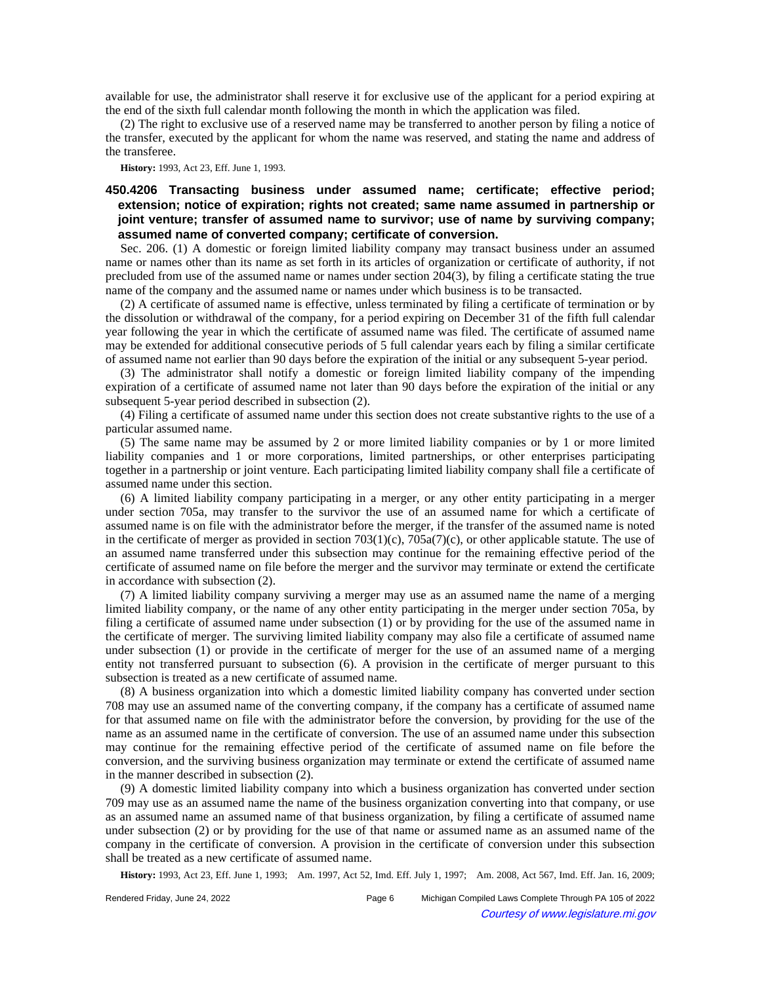available for use, the administrator shall reserve it for exclusive use of the applicant for a period expiring at the end of the sixth full calendar month following the month in which the application was filed.

(2) The right to exclusive use of a reserved name may be transferred to another person by filing a notice of the transfer, executed by the applicant for whom the name was reserved, and stating the name and address of the transferee.

**History:** 1993, Act 23, Eff. June 1, 1993.

# **450.4206 Transacting business under assumed name; certificate; effective period; extension; notice of expiration; rights not created; same name assumed in partnership or joint venture; transfer of assumed name to survivor; use of name by surviving company; assumed name of converted company; certificate of conversion.**

Sec. 206. (1) A domestic or foreign limited liability company may transact business under an assumed name or names other than its name as set forth in its articles of organization or certificate of authority, if not precluded from use of the assumed name or names under section 204(3), by filing a certificate stating the true name of the company and the assumed name or names under which business is to be transacted.

(2) A certificate of assumed name is effective, unless terminated by filing a certificate of termination or by the dissolution or withdrawal of the company, for a period expiring on December 31 of the fifth full calendar year following the year in which the certificate of assumed name was filed. The certificate of assumed name may be extended for additional consecutive periods of 5 full calendar years each by filing a similar certificate of assumed name not earlier than 90 days before the expiration of the initial or any subsequent 5-year period.

(3) The administrator shall notify a domestic or foreign limited liability company of the impending expiration of a certificate of assumed name not later than 90 days before the expiration of the initial or any subsequent 5-year period described in subsection (2).

(4) Filing a certificate of assumed name under this section does not create substantive rights to the use of a particular assumed name.

(5) The same name may be assumed by 2 or more limited liability companies or by 1 or more limited liability companies and 1 or more corporations, limited partnerships, or other enterprises participating together in a partnership or joint venture. Each participating limited liability company shall file a certificate of assumed name under this section.

(6) A limited liability company participating in a merger, or any other entity participating in a merger under section 705a, may transfer to the survivor the use of an assumed name for which a certificate of assumed name is on file with the administrator before the merger, if the transfer of the assumed name is noted in the certificate of merger as provided in section  $703(1)(c)$ ,  $705a(7)(c)$ , or other applicable statute. The use of an assumed name transferred under this subsection may continue for the remaining effective period of the certificate of assumed name on file before the merger and the survivor may terminate or extend the certificate in accordance with subsection (2).

(7) A limited liability company surviving a merger may use as an assumed name the name of a merging limited liability company, or the name of any other entity participating in the merger under section 705a, by filing a certificate of assumed name under subsection (1) or by providing for the use of the assumed name in the certificate of merger. The surviving limited liability company may also file a certificate of assumed name under subsection (1) or provide in the certificate of merger for the use of an assumed name of a merging entity not transferred pursuant to subsection (6). A provision in the certificate of merger pursuant to this subsection is treated as a new certificate of assumed name.

(8) A business organization into which a domestic limited liability company has converted under section 708 may use an assumed name of the converting company, if the company has a certificate of assumed name for that assumed name on file with the administrator before the conversion, by providing for the use of the name as an assumed name in the certificate of conversion. The use of an assumed name under this subsection may continue for the remaining effective period of the certificate of assumed name on file before the conversion, and the surviving business organization may terminate or extend the certificate of assumed name in the manner described in subsection (2).

(9) A domestic limited liability company into which a business organization has converted under section 709 may use as an assumed name the name of the business organization converting into that company, or use as an assumed name an assumed name of that business organization, by filing a certificate of assumed name under subsection (2) or by providing for the use of that name or assumed name as an assumed name of the company in the certificate of conversion. A provision in the certificate of conversion under this subsection shall be treated as a new certificate of assumed name.

History: 1993, Act 23, Eff. June 1, 1993;--Am. 1997, Act 52, Imd. Eff. July 1, 1997;--Am. 2008, Act 567, Imd. Eff. Jan. 16, 2009;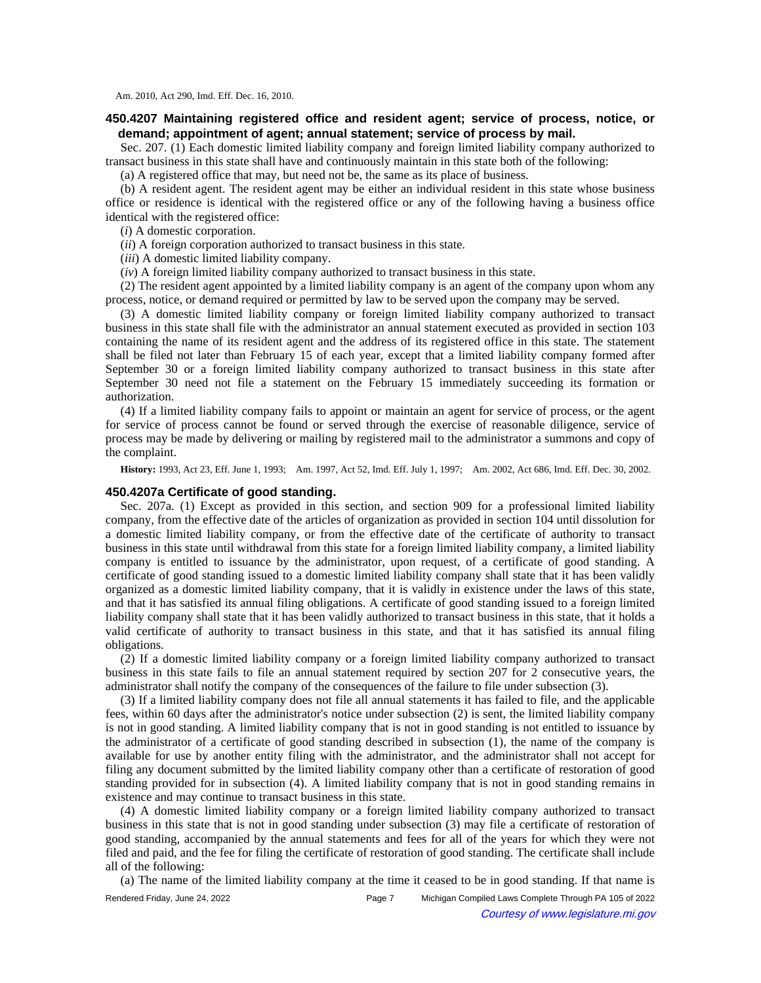Am. 2010, Act 290, Imd. Eff. Dec. 16, 2010.

## **450.4207 Maintaining registered office and resident agent; service of process, notice, or demand; appointment of agent; annual statement; service of process by mail.**

Sec. 207. (1) Each domestic limited liability company and foreign limited liability company authorized to transact business in this state shall have and continuously maintain in this state both of the following:

(a) A registered office that may, but need not be, the same as its place of business.

(b) A resident agent. The resident agent may be either an individual resident in this state whose business office or residence is identical with the registered office or any of the following having a business office identical with the registered office:

(*i*) A domestic corporation.

(*ii*) A foreign corporation authorized to transact business in this state.

(*iii*) A domestic limited liability company.

(*iv*) A foreign limited liability company authorized to transact business in this state.

(2) The resident agent appointed by a limited liability company is an agent of the company upon whom any process, notice, or demand required or permitted by law to be served upon the company may be served.

(3) A domestic limited liability company or foreign limited liability company authorized to transact business in this state shall file with the administrator an annual statement executed as provided in section 103 containing the name of its resident agent and the address of its registered office in this state. The statement shall be filed not later than February 15 of each year, except that a limited liability company formed after September 30 or a foreign limited liability company authorized to transact business in this state after September 30 need not file a statement on the February 15 immediately succeeding its formation or authorization.

(4) If a limited liability company fails to appoint or maintain an agent for service of process, or the agent for service of process cannot be found or served through the exercise of reasonable diligence, service of process may be made by delivering or mailing by registered mail to the administrator a summons and copy of the complaint.

History: 1993, Act 23, Eff. June 1, 1993;—Am. 1997, Act 52, Imd. Eff. July 1, 1997;—Am. 2002, Act 686, Imd. Eff. Dec. 30, 2002.

### **450.4207a Certificate of good standing.**

Sec. 207a. (1) Except as provided in this section, and section 909 for a professional limited liability company, from the effective date of the articles of organization as provided in section 104 until dissolution for a domestic limited liability company, or from the effective date of the certificate of authority to transact business in this state until withdrawal from this state for a foreign limited liability company, a limited liability company is entitled to issuance by the administrator, upon request, of a certificate of good standing. A certificate of good standing issued to a domestic limited liability company shall state that it has been validly organized as a domestic limited liability company, that it is validly in existence under the laws of this state, and that it has satisfied its annual filing obligations. A certificate of good standing issued to a foreign limited liability company shall state that it has been validly authorized to transact business in this state, that it holds a valid certificate of authority to transact business in this state, and that it has satisfied its annual filing obligations.

(2) If a domestic limited liability company or a foreign limited liability company authorized to transact business in this state fails to file an annual statement required by section 207 for 2 consecutive years, the administrator shall notify the company of the consequences of the failure to file under subsection (3).

(3) If a limited liability company does not file all annual statements it has failed to file, and the applicable fees, within 60 days after the administrator's notice under subsection (2) is sent, the limited liability company is not in good standing. A limited liability company that is not in good standing is not entitled to issuance by the administrator of a certificate of good standing described in subsection (1), the name of the company is available for use by another entity filing with the administrator, and the administrator shall not accept for filing any document submitted by the limited liability company other than a certificate of restoration of good standing provided for in subsection (4). A limited liability company that is not in good standing remains in existence and may continue to transact business in this state.

(4) A domestic limited liability company or a foreign limited liability company authorized to transact business in this state that is not in good standing under subsection (3) may file a certificate of restoration of good standing, accompanied by the annual statements and fees for all of the years for which they were not filed and paid, and the fee for filing the certificate of restoration of good standing. The certificate shall include all of the following:

(a) The name of the limited liability company at the time it ceased to be in good standing. If that name is

Rendered Friday, June 24, 2022 Page 7 Michigan Compiled Laws Complete Through PA 105 of 2022 Courtesy of www.legislature.mi.gov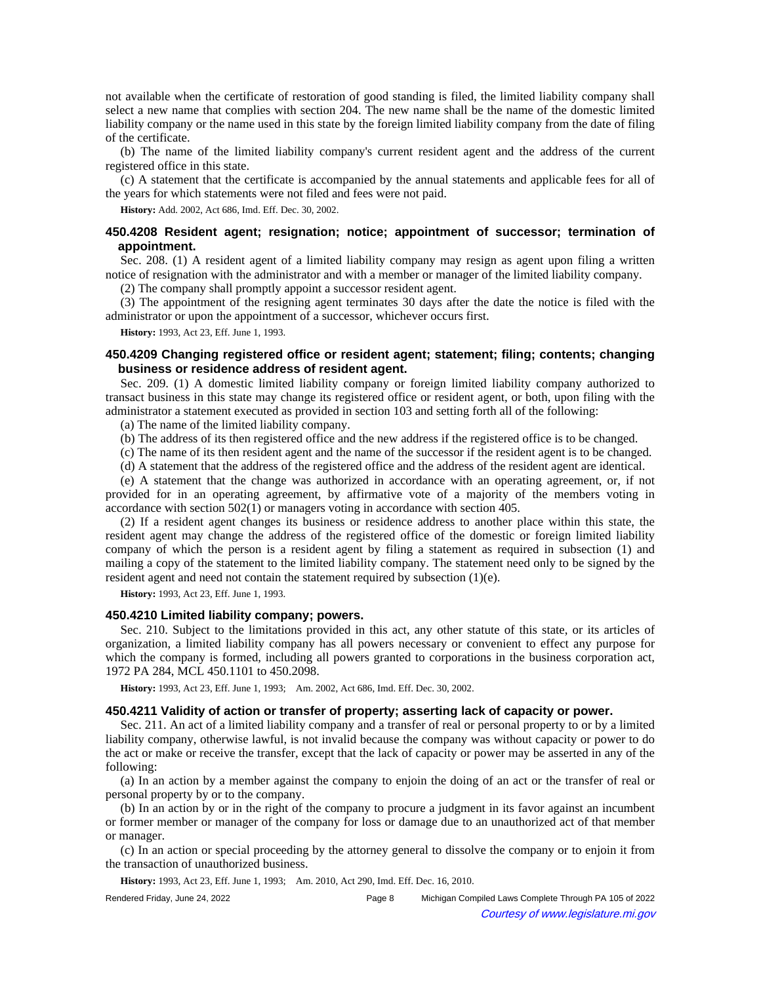not available when the certificate of restoration of good standing is filed, the limited liability company shall select a new name that complies with section 204. The new name shall be the name of the domestic limited liability company or the name used in this state by the foreign limited liability company from the date of filing of the certificate.

(b) The name of the limited liability company's current resident agent and the address of the current registered office in this state.

(c) A statement that the certificate is accompanied by the annual statements and applicable fees for all of the years for which statements were not filed and fees were not paid.

**History:** Add. 2002, Act 686, Imd. Eff. Dec. 30, 2002.

# **450.4208 Resident agent; resignation; notice; appointment of successor; termination of appointment.**

Sec. 208. (1) A resident agent of a limited liability company may resign as agent upon filing a written notice of resignation with the administrator and with a member or manager of the limited liability company.

(2) The company shall promptly appoint a successor resident agent.

(3) The appointment of the resigning agent terminates 30 days after the date the notice is filed with the administrator or upon the appointment of a successor, whichever occurs first.

**History:** 1993, Act 23, Eff. June 1, 1993.

## **450.4209 Changing registered office or resident agent; statement; filing; contents; changing business or residence address of resident agent.**

Sec. 209. (1) A domestic limited liability company or foreign limited liability company authorized to transact business in this state may change its registered office or resident agent, or both, upon filing with the administrator a statement executed as provided in section 103 and setting forth all of the following:

(a) The name of the limited liability company.

(b) The address of its then registered office and the new address if the registered office is to be changed.

(c) The name of its then resident agent and the name of the successor if the resident agent is to be changed.

(d) A statement that the address of the registered office and the address of the resident agent are identical.

(e) A statement that the change was authorized in accordance with an operating agreement, or, if not provided for in an operating agreement, by affirmative vote of a majority of the members voting in accordance with section 502(1) or managers voting in accordance with section 405.

(2) If a resident agent changes its business or residence address to another place within this state, the resident agent may change the address of the registered office of the domestic or foreign limited liability company of which the person is a resident agent by filing a statement as required in subsection (1) and mailing a copy of the statement to the limited liability company. The statement need only to be signed by the resident agent and need not contain the statement required by subsection (1)(e).

**History:** 1993, Act 23, Eff. June 1, 1993.

#### **450.4210 Limited liability company; powers.**

Sec. 210. Subject to the limitations provided in this act, any other statute of this state, or its articles of organization, a limited liability company has all powers necessary or convenient to effect any purpose for which the company is formed, including all powers granted to corporations in the business corporation act, 1972 PA 284, MCL 450.1101 to 450.2098.

History: 1993, Act 23, Eff. June 1, 1993;—Am. 2002, Act 686, Imd. Eff. Dec. 30, 2002.

#### **450.4211 Validity of action or transfer of property; asserting lack of capacity or power.**

Sec. 211. An act of a limited liability company and a transfer of real or personal property to or by a limited liability company, otherwise lawful, is not invalid because the company was without capacity or power to do the act or make or receive the transfer, except that the lack of capacity or power may be asserted in any of the following:

(a) In an action by a member against the company to enjoin the doing of an act or the transfer of real or personal property by or to the company.

(b) In an action by or in the right of the company to procure a judgment in its favor against an incumbent or former member or manager of the company for loss or damage due to an unauthorized act of that member or manager.

(c) In an action or special proceeding by the attorney general to dissolve the company or to enjoin it from the transaction of unauthorized business.

**History:** 1993, Act 23, Eff. June 1, 1993;—Am. 2010, Act 290, Imd. Eff. Dec. 16, 2010.

| Rendered Friday, June 24, 2022 | Page 8 | Michigan Compiled Laws Complete Through PA 105 of 2022 |
|--------------------------------|--------|--------------------------------------------------------|
| $\odot$                        |        | Courtesy of www.legislature.mi.gov                     |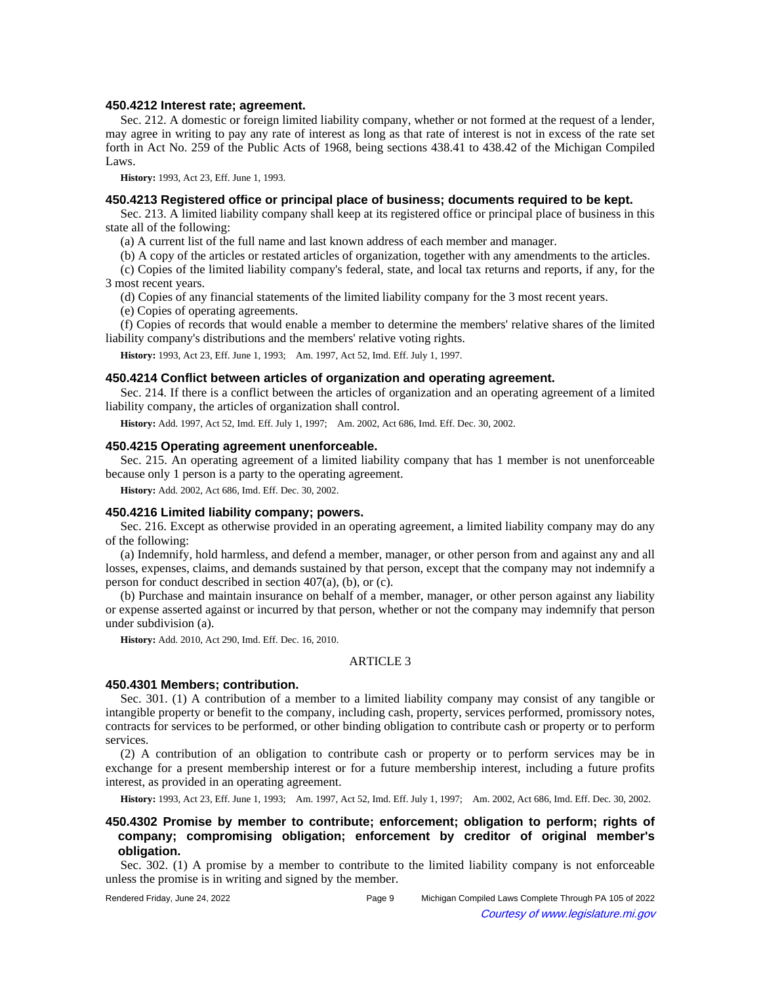### **450.4212 Interest rate; agreement.**

Sec. 212. A domestic or foreign limited liability company, whether or not formed at the request of a lender, may agree in writing to pay any rate of interest as long as that rate of interest is not in excess of the rate set forth in Act No. 259 of the Public Acts of 1968, being sections 438.41 to 438.42 of the Michigan Compiled Laws.

**History:** 1993, Act 23, Eff. June 1, 1993.

### **450.4213 Registered office or principal place of business; documents required to be kept.**

Sec. 213. A limited liability company shall keep at its registered office or principal place of business in this state all of the following:

(a) A current list of the full name and last known address of each member and manager.

(b) A copy of the articles or restated articles of organization, together with any amendments to the articles.

(c) Copies of the limited liability company's federal, state, and local tax returns and reports, if any, for the 3 most recent years.

(d) Copies of any financial statements of the limited liability company for the 3 most recent years.

(e) Copies of operating agreements.

(f) Copies of records that would enable a member to determine the members' relative shares of the limited liability company's distributions and the members' relative voting rights.

History: 1993, Act 23, Eff. June 1, 1993;-Am. 1997, Act 52, Imd. Eff. July 1, 1997.

## **450.4214 Conflict between articles of organization and operating agreement.**

Sec. 214. If there is a conflict between the articles of organization and an operating agreement of a limited liability company, the articles of organization shall control.

History: Add. 1997, Act 52, Imd. Eff. July 1, 1997;-- Am. 2002, Act 686, Imd. Eff. Dec. 30, 2002.

### **450.4215 Operating agreement unenforceable.**

Sec. 215. An operating agreement of a limited liability company that has 1 member is not unenforceable because only 1 person is a party to the operating agreement.

**History:** Add. 2002, Act 686, Imd. Eff. Dec. 30, 2002.

### **450.4216 Limited liability company; powers.**

Sec. 216. Except as otherwise provided in an operating agreement, a limited liability company may do any of the following:

(a) Indemnify, hold harmless, and defend a member, manager, or other person from and against any and all losses, expenses, claims, and demands sustained by that person, except that the company may not indemnify a person for conduct described in section 407(a), (b), or (c).

(b) Purchase and maintain insurance on behalf of a member, manager, or other person against any liability or expense asserted against or incurred by that person, whether or not the company may indemnify that person under subdivision (a).

**History:** Add. 2010, Act 290, Imd. Eff. Dec. 16, 2010.

## ARTICLE 3

### **450.4301 Members; contribution.**

Sec. 301. (1) A contribution of a member to a limited liability company may consist of any tangible or intangible property or benefit to the company, including cash, property, services performed, promissory notes, contracts for services to be performed, or other binding obligation to contribute cash or property or to perform services.

(2) A contribution of an obligation to contribute cash or property or to perform services may be in exchange for a present membership interest or for a future membership interest, including a future profits interest, as provided in an operating agreement.

History: 1993, Act 23, Eff. June 1, 1993;—Am. 1997, Act 52, Imd. Eff. July 1, 1997;—Am. 2002, Act 686, Imd. Eff. Dec. 30, 2002.

# **450.4302 Promise by member to contribute; enforcement; obligation to perform; rights of company; compromising obligation; enforcement by creditor of original member's obligation.**

Sec. 302. (1) A promise by a member to contribute to the limited liability company is not enforceable unless the promise is in writing and signed by the member.

| Rendered Friday, June 24, 2022 |  |
|--------------------------------|--|
|                                |  |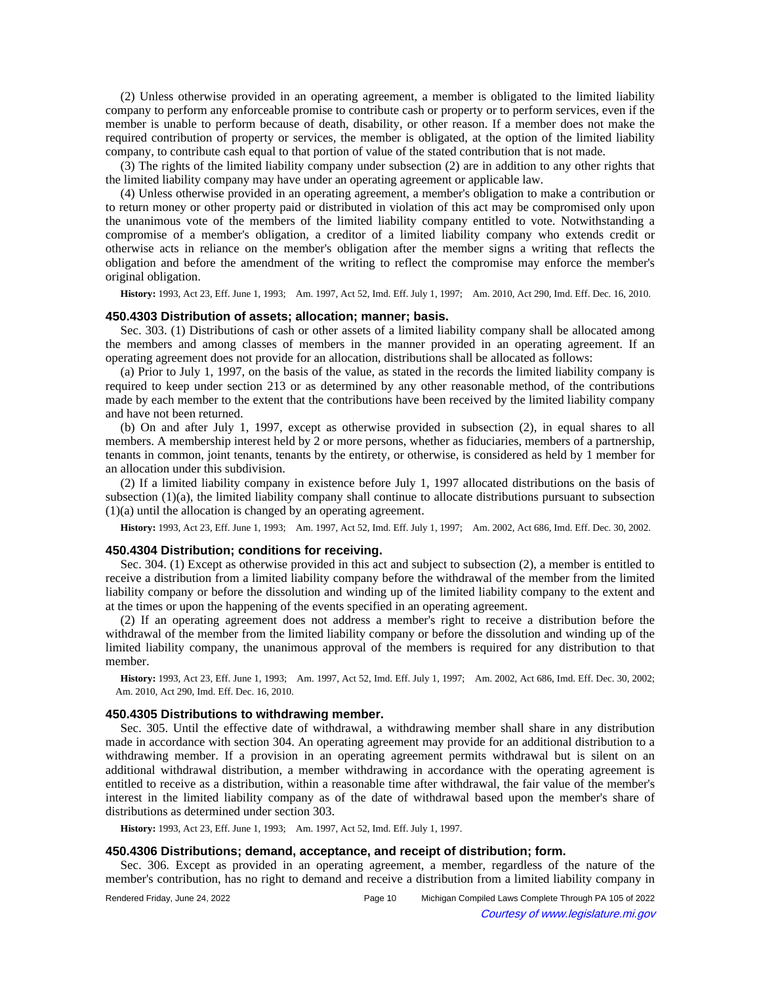(2) Unless otherwise provided in an operating agreement, a member is obligated to the limited liability company to perform any enforceable promise to contribute cash or property or to perform services, even if the member is unable to perform because of death, disability, or other reason. If a member does not make the required contribution of property or services, the member is obligated, at the option of the limited liability company, to contribute cash equal to that portion of value of the stated contribution that is not made.

(3) The rights of the limited liability company under subsection (2) are in addition to any other rights that the limited liability company may have under an operating agreement or applicable law.

(4) Unless otherwise provided in an operating agreement, a member's obligation to make a contribution or to return money or other property paid or distributed in violation of this act may be compromised only upon the unanimous vote of the members of the limited liability company entitled to vote. Notwithstanding a compromise of a member's obligation, a creditor of a limited liability company who extends credit or otherwise acts in reliance on the member's obligation after the member signs a writing that reflects the obligation and before the amendment of the writing to reflect the compromise may enforce the member's original obligation.

History: 1993, Act 23, Eff. June 1, 1993;—Am. 1997, Act 52, Imd. Eff. July 1, 1997;—Am. 2010, Act 290, Imd. Eff. Dec. 16, 2010.

#### **450.4303 Distribution of assets; allocation; manner; basis.**

Sec. 303. (1) Distributions of cash or other assets of a limited liability company shall be allocated among the members and among classes of members in the manner provided in an operating agreement. If an operating agreement does not provide for an allocation, distributions shall be allocated as follows:

(a) Prior to July 1, 1997, on the basis of the value, as stated in the records the limited liability company is required to keep under section 213 or as determined by any other reasonable method, of the contributions made by each member to the extent that the contributions have been received by the limited liability company and have not been returned.

(b) On and after July 1, 1997, except as otherwise provided in subsection (2), in equal shares to all members. A membership interest held by 2 or more persons, whether as fiduciaries, members of a partnership, tenants in common, joint tenants, tenants by the entirety, or otherwise, is considered as held by 1 member for an allocation under this subdivision.

(2) If a limited liability company in existence before July 1, 1997 allocated distributions on the basis of subsection (1)(a), the limited liability company shall continue to allocate distributions pursuant to subsection (1)(a) until the allocation is changed by an operating agreement.

History: 1993, Act 23, Eff. June 1, 1993;- Am. 1997, Act 52, Imd. Eff. July 1, 1997;- Am. 2002, Act 686, Imd. Eff. Dec. 30, 2002.

### **450.4304 Distribution; conditions for receiving.**

Sec. 304. (1) Except as otherwise provided in this act and subject to subsection (2), a member is entitled to receive a distribution from a limited liability company before the withdrawal of the member from the limited liability company or before the dissolution and winding up of the limited liability company to the extent and at the times or upon the happening of the events specified in an operating agreement.

(2) If an operating agreement does not address a member's right to receive a distribution before the withdrawal of the member from the limited liability company or before the dissolution and winding up of the limited liability company, the unanimous approval of the members is required for any distribution to that member.

History: 1993, Act 23, Eff. June 1, 1993;—Am. 1997, Act 52, Imd. Eff. July 1, 1997;—Am. 2002, Act 686, Imd. Eff. Dec. 30, 2002; Am. 2010, Act 290, Imd. Eff. Dec. 16, 2010.

#### **450.4305 Distributions to withdrawing member.**

Sec. 305. Until the effective date of withdrawal, a withdrawing member shall share in any distribution made in accordance with section 304. An operating agreement may provide for an additional distribution to a withdrawing member. If a provision in an operating agreement permits withdrawal but is silent on an additional withdrawal distribution, a member withdrawing in accordance with the operating agreement is entitled to receive as a distribution, within a reasonable time after withdrawal, the fair value of the member's interest in the limited liability company as of the date of withdrawal based upon the member's share of distributions as determined under section 303.

**History:** 1993, Act 23, Eff. June 1, 1993;—Am. 1997, Act 52, Imd. Eff. July 1, 1997.

### **450.4306 Distributions; demand, acceptance, and receipt of distribution; form.**

Sec. 306. Except as provided in an operating agreement, a member, regardless of the nature of the member's contribution, has no right to demand and receive a distribution from a limited liability company in

Rendered Friday, June 24, 2022 Page 10 Michigan Compiled Laws Complete Through PA 105 of 2022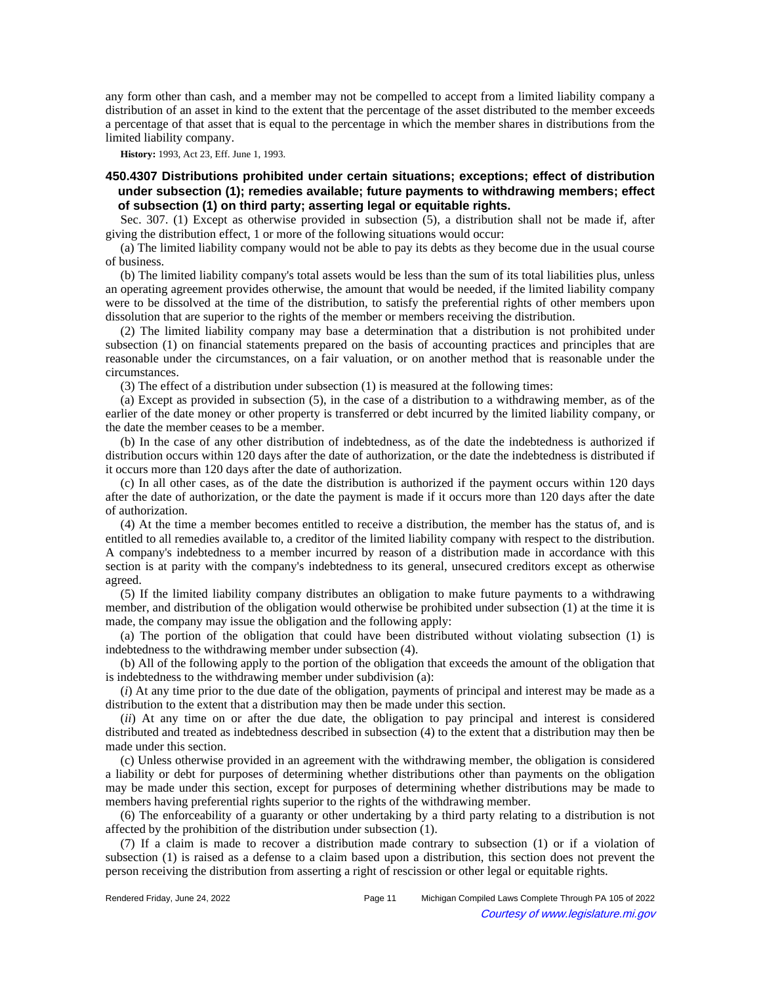any form other than cash, and a member may not be compelled to accept from a limited liability company a distribution of an asset in kind to the extent that the percentage of the asset distributed to the member exceeds a percentage of that asset that is equal to the percentage in which the member shares in distributions from the limited liability company.

**History:** 1993, Act 23, Eff. June 1, 1993.

# **450.4307 Distributions prohibited under certain situations; exceptions; effect of distribution under subsection (1); remedies available; future payments to withdrawing members; effect of subsection (1) on third party; asserting legal or equitable rights.**

Sec. 307. (1) Except as otherwise provided in subsection (5), a distribution shall not be made if, after giving the distribution effect, 1 or more of the following situations would occur:

(a) The limited liability company would not be able to pay its debts as they become due in the usual course of business.

(b) The limited liability company's total assets would be less than the sum of its total liabilities plus, unless an operating agreement provides otherwise, the amount that would be needed, if the limited liability company were to be dissolved at the time of the distribution, to satisfy the preferential rights of other members upon dissolution that are superior to the rights of the member or members receiving the distribution.

(2) The limited liability company may base a determination that a distribution is not prohibited under subsection (1) on financial statements prepared on the basis of accounting practices and principles that are reasonable under the circumstances, on a fair valuation, or on another method that is reasonable under the circumstances.

(3) The effect of a distribution under subsection (1) is measured at the following times:

(a) Except as provided in subsection (5), in the case of a distribution to a withdrawing member, as of the earlier of the date money or other property is transferred or debt incurred by the limited liability company, or the date the member ceases to be a member.

(b) In the case of any other distribution of indebtedness, as of the date the indebtedness is authorized if distribution occurs within 120 days after the date of authorization, or the date the indebtedness is distributed if it occurs more than 120 days after the date of authorization.

(c) In all other cases, as of the date the distribution is authorized if the payment occurs within 120 days after the date of authorization, or the date the payment is made if it occurs more than 120 days after the date of authorization.

(4) At the time a member becomes entitled to receive a distribution, the member has the status of, and is entitled to all remedies available to, a creditor of the limited liability company with respect to the distribution. A company's indebtedness to a member incurred by reason of a distribution made in accordance with this section is at parity with the company's indebtedness to its general, unsecured creditors except as otherwise agreed.

(5) If the limited liability company distributes an obligation to make future payments to a withdrawing member, and distribution of the obligation would otherwise be prohibited under subsection (1) at the time it is made, the company may issue the obligation and the following apply:

(a) The portion of the obligation that could have been distributed without violating subsection (1) is indebtedness to the withdrawing member under subsection (4).

(b) All of the following apply to the portion of the obligation that exceeds the amount of the obligation that is indebtedness to the withdrawing member under subdivision (a):

(*i*) At any time prior to the due date of the obligation, payments of principal and interest may be made as a distribution to the extent that a distribution may then be made under this section.

(*ii*) At any time on or after the due date, the obligation to pay principal and interest is considered distributed and treated as indebtedness described in subsection (4) to the extent that a distribution may then be made under this section.

(c) Unless otherwise provided in an agreement with the withdrawing member, the obligation is considered a liability or debt for purposes of determining whether distributions other than payments on the obligation may be made under this section, except for purposes of determining whether distributions may be made to members having preferential rights superior to the rights of the withdrawing member.

(6) The enforceability of a guaranty or other undertaking by a third party relating to a distribution is not affected by the prohibition of the distribution under subsection (1).

(7) If a claim is made to recover a distribution made contrary to subsection (1) or if a violation of subsection (1) is raised as a defense to a claim based upon a distribution, this section does not prevent the person receiving the distribution from asserting a right of rescission or other legal or equitable rights.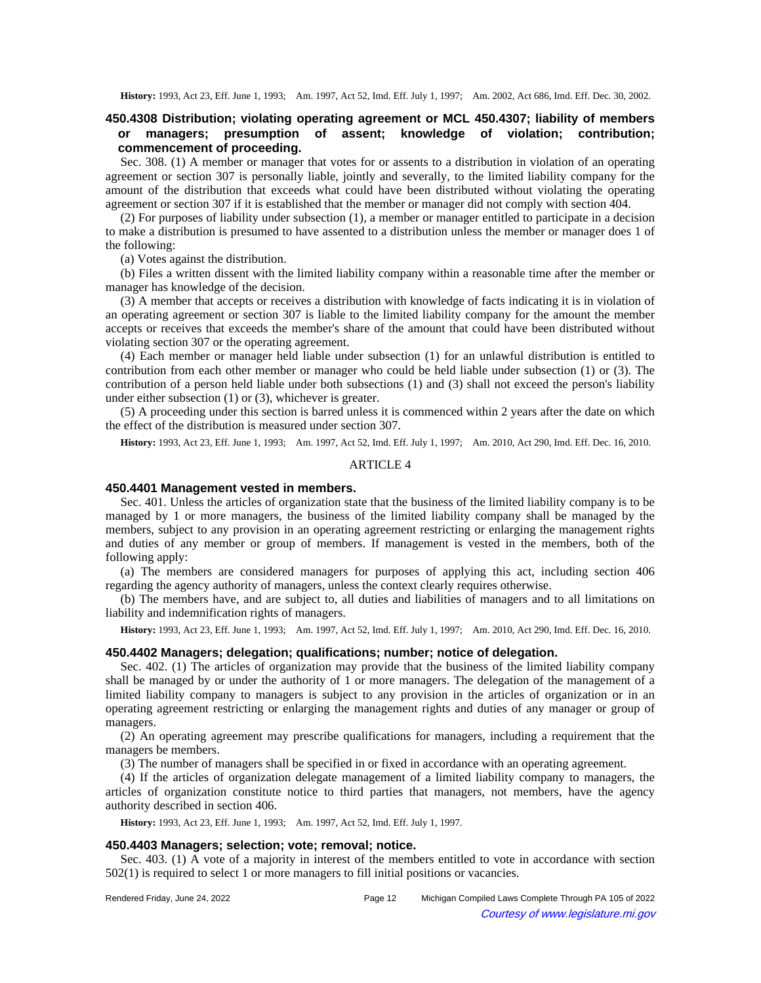## **450.4308 Distribution; violating operating agreement or MCL 450.4307; liability of members or managers; presumption of assent; knowledge of violation; contribution; commencement of proceeding.**

Sec. 308. (1) A member or manager that votes for or assents to a distribution in violation of an operating agreement or section 307 is personally liable, jointly and severally, to the limited liability company for the amount of the distribution that exceeds what could have been distributed without violating the operating agreement or section 307 if it is established that the member or manager did not comply with section 404.

(2) For purposes of liability under subsection (1), a member or manager entitled to participate in a decision to make a distribution is presumed to have assented to a distribution unless the member or manager does 1 of the following:

(a) Votes against the distribution.

(b) Files a written dissent with the limited liability company within a reasonable time after the member or manager has knowledge of the decision.

(3) A member that accepts or receives a distribution with knowledge of facts indicating it is in violation of an operating agreement or section 307 is liable to the limited liability company for the amount the member accepts or receives that exceeds the member's share of the amount that could have been distributed without violating section 307 or the operating agreement.

(4) Each member or manager held liable under subsection (1) for an unlawful distribution is entitled to contribution from each other member or manager who could be held liable under subsection (1) or (3). The contribution of a person held liable under both subsections (1) and (3) shall not exceed the person's liability under either subsection (1) or (3), whichever is greater.

(5) A proceeding under this section is barred unless it is commenced within 2 years after the date on which the effect of the distribution is measured under section 307.

**History:** 1993, Act 23, Eff. June 1, 1993;—Am. 1997, Act 52, Imd. Eff. July 1, 1997;—Am. 2010, Act 290, Imd. Eff. Dec. 16, 2010.

### ARTICLE 4

#### **450.4401 Management vested in members.**

Sec. 401. Unless the articles of organization state that the business of the limited liability company is to be managed by 1 or more managers, the business of the limited liability company shall be managed by the members, subject to any provision in an operating agreement restricting or enlarging the management rights and duties of any member or group of members. If management is vested in the members, both of the following apply:

(a) The members are considered managers for purposes of applying this act, including section 406 regarding the agency authority of managers, unless the context clearly requires otherwise.

(b) The members have, and are subject to, all duties and liabilities of managers and to all limitations on liability and indemnification rights of managers.

History: 1993, Act 23, Eff. June 1, 1993;—Am. 1997, Act 52, Imd. Eff. July 1, 1997;—Am. 2010, Act 290, Imd. Eff. Dec. 16, 2010.

#### **450.4402 Managers; delegation; qualifications; number; notice of delegation.**

Sec. 402. (1) The articles of organization may provide that the business of the limited liability company shall be managed by or under the authority of 1 or more managers. The delegation of the management of a limited liability company to managers is subject to any provision in the articles of organization or in an operating agreement restricting or enlarging the management rights and duties of any manager or group of managers.

(2) An operating agreement may prescribe qualifications for managers, including a requirement that the managers be members.

(3) The number of managers shall be specified in or fixed in accordance with an operating agreement.

(4) If the articles of organization delegate management of a limited liability company to managers, the articles of organization constitute notice to third parties that managers, not members, have the agency authority described in section 406.

**History:** 1993, Act 23, Eff. June 1, 1993;—Am. 1997, Act 52, Imd. Eff. July 1, 1997.

## **450.4403 Managers; selection; vote; removal; notice.**

Sec. 403. (1) A vote of a majority in interest of the members entitled to vote in accordance with section 502(1) is required to select 1 or more managers to fill initial positions or vacancies.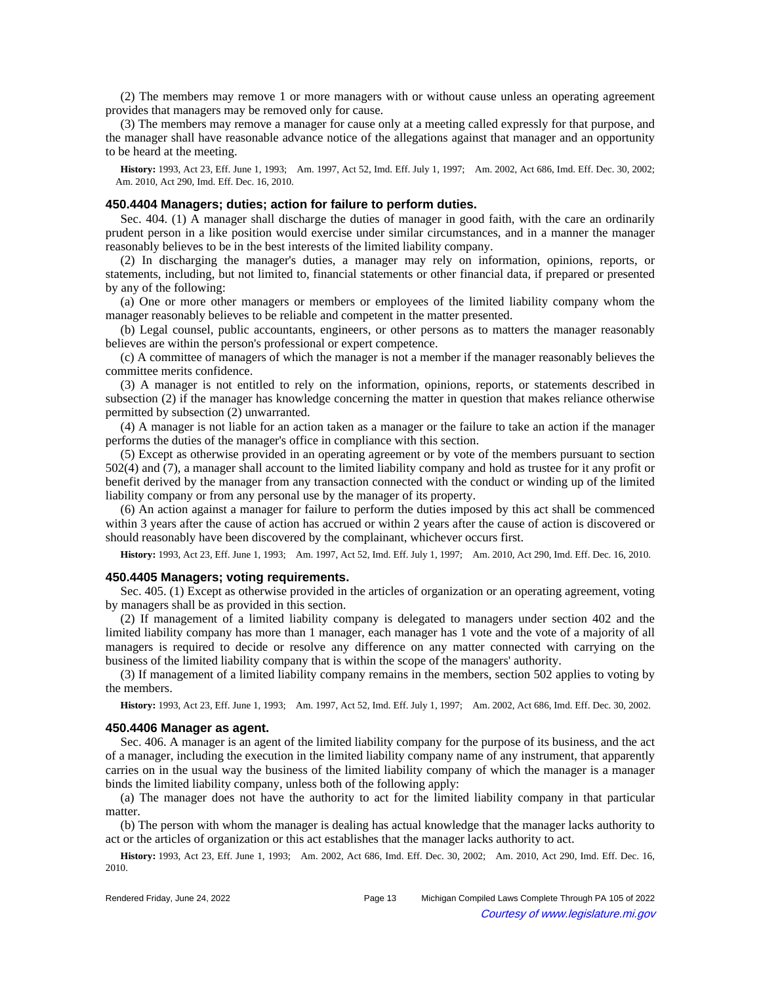(2) The members may remove 1 or more managers with or without cause unless an operating agreement provides that managers may be removed only for cause.

(3) The members may remove a manager for cause only at a meeting called expressly for that purpose, and the manager shall have reasonable advance notice of the allegations against that manager and an opportunity to be heard at the meeting.

History: 1993, Act 23, Eff. June 1, 1993;—Am. 1997, Act 52, Imd. Eff. July 1, 1997;—Am. 2002, Act 686, Imd. Eff. Dec. 30, 2002; Am. 2010, Act 290, Imd. Eff. Dec. 16, 2010.

## **450.4404 Managers; duties; action for failure to perform duties.**

Sec. 404. (1) A manager shall discharge the duties of manager in good faith, with the care an ordinarily prudent person in a like position would exercise under similar circumstances, and in a manner the manager reasonably believes to be in the best interests of the limited liability company.

(2) In discharging the manager's duties, a manager may rely on information, opinions, reports, or statements, including, but not limited to, financial statements or other financial data, if prepared or presented by any of the following:

(a) One or more other managers or members or employees of the limited liability company whom the manager reasonably believes to be reliable and competent in the matter presented.

(b) Legal counsel, public accountants, engineers, or other persons as to matters the manager reasonably believes are within the person's professional or expert competence.

(c) A committee of managers of which the manager is not a member if the manager reasonably believes the committee merits confidence.

(3) A manager is not entitled to rely on the information, opinions, reports, or statements described in subsection (2) if the manager has knowledge concerning the matter in question that makes reliance otherwise permitted by subsection (2) unwarranted.

(4) A manager is not liable for an action taken as a manager or the failure to take an action if the manager performs the duties of the manager's office in compliance with this section.

(5) Except as otherwise provided in an operating agreement or by vote of the members pursuant to section 502(4) and (7), a manager shall account to the limited liability company and hold as trustee for it any profit or benefit derived by the manager from any transaction connected with the conduct or winding up of the limited liability company or from any personal use by the manager of its property.

(6) An action against a manager for failure to perform the duties imposed by this act shall be commenced within 3 years after the cause of action has accrued or within 2 years after the cause of action is discovered or should reasonably have been discovered by the complainant, whichever occurs first.

**History:** 1993, Act 23, Eff. June 1, 1993;—Am. 1997, Act 52, Imd. Eff. July 1, 1997;—Am. 2010, Act 290, Imd. Eff. Dec. 16, 2010.

### **450.4405 Managers; voting requirements.**

Sec. 405. (1) Except as otherwise provided in the articles of organization or an operating agreement, voting by managers shall be as provided in this section.

(2) If management of a limited liability company is delegated to managers under section 402 and the limited liability company has more than 1 manager, each manager has 1 vote and the vote of a majority of all managers is required to decide or resolve any difference on any matter connected with carrying on the business of the limited liability company that is within the scope of the managers' authority.

(3) If management of a limited liability company remains in the members, section 502 applies to voting by the members.

History: 1993, Act 23, Eff. June 1, 1993;—Am. 1997, Act 52, Imd. Eff. July 1, 1997;—Am. 2002, Act 686, Imd. Eff. Dec. 30, 2002.

### **450.4406 Manager as agent.**

Sec. 406. A manager is an agent of the limited liability company for the purpose of its business, and the act of a manager, including the execution in the limited liability company name of any instrument, that apparently carries on in the usual way the business of the limited liability company of which the manager is a manager binds the limited liability company, unless both of the following apply:

(a) The manager does not have the authority to act for the limited liability company in that particular matter.

(b) The person with whom the manager is dealing has actual knowledge that the manager lacks authority to act or the articles of organization or this act establishes that the manager lacks authority to act.

History: 1993, Act 23, Eff. June 1, 1993;—Am. 2002, Act 686, Imd. Eff. Dec. 30, 2002;—Am. 2010, Act 290, Imd. Eff. Dec. 16, 2010.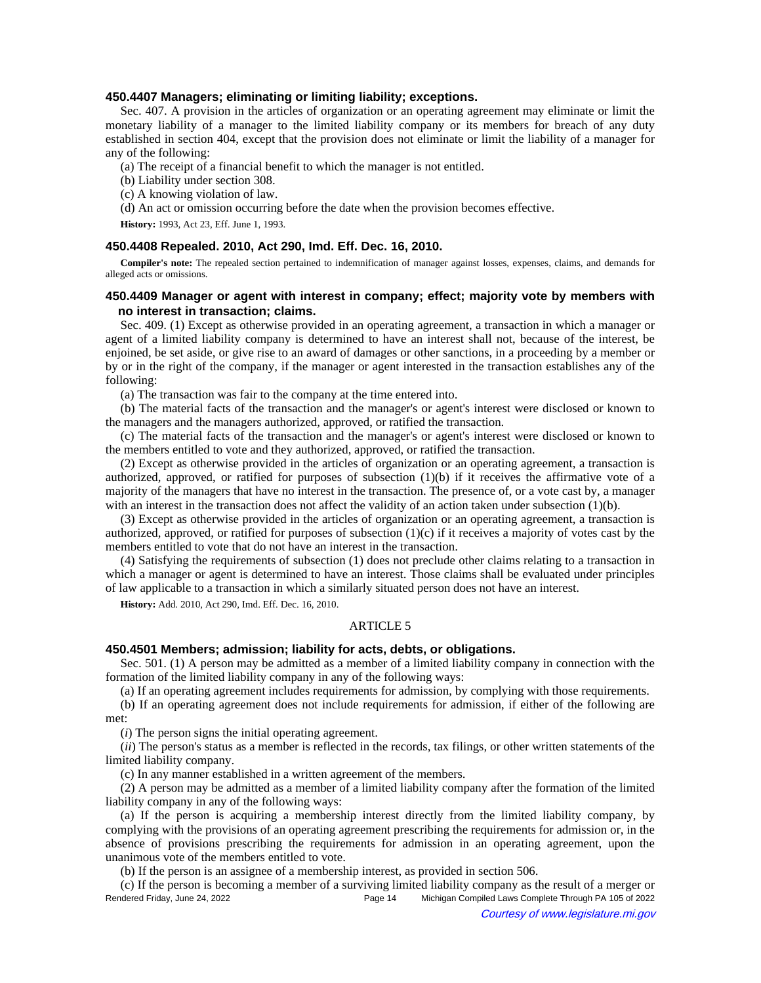#### **450.4407 Managers; eliminating or limiting liability; exceptions.**

Sec. 407. A provision in the articles of organization or an operating agreement may eliminate or limit the monetary liability of a manager to the limited liability company or its members for breach of any duty established in section 404, except that the provision does not eliminate or limit the liability of a manager for any of the following:

(a) The receipt of a financial benefit to which the manager is not entitled.

- (b) Liability under section 308.
- (c) A knowing violation of law.

(d) An act or omission occurring before the date when the provision becomes effective.

**History:** 1993, Act 23, Eff. June 1, 1993.

## **450.4408 Repealed. 2010, Act 290, Imd. Eff. Dec. 16, 2010.**

**Compiler's note:** The repealed section pertained to indemnification of manager against losses, expenses, claims, and demands for alleged acts or omissions.

# **450.4409 Manager or agent with interest in company; effect; majority vote by members with no interest in transaction; claims.**

Sec. 409. (1) Except as otherwise provided in an operating agreement, a transaction in which a manager or agent of a limited liability company is determined to have an interest shall not, because of the interest, be enjoined, be set aside, or give rise to an award of damages or other sanctions, in a proceeding by a member or by or in the right of the company, if the manager or agent interested in the transaction establishes any of the following:

(a) The transaction was fair to the company at the time entered into.

(b) The material facts of the transaction and the manager's or agent's interest were disclosed or known to the managers and the managers authorized, approved, or ratified the transaction.

(c) The material facts of the transaction and the manager's or agent's interest were disclosed or known to the members entitled to vote and they authorized, approved, or ratified the transaction.

(2) Except as otherwise provided in the articles of organization or an operating agreement, a transaction is authorized, approved, or ratified for purposes of subsection  $(1)(b)$  if it receives the affirmative vote of a majority of the managers that have no interest in the transaction. The presence of, or a vote cast by, a manager with an interest in the transaction does not affect the validity of an action taken under subsection (1)(b).

(3) Except as otherwise provided in the articles of organization or an operating agreement, a transaction is authorized, approved, or ratified for purposes of subsection  $(1)(c)$  if it receives a majority of votes cast by the members entitled to vote that do not have an interest in the transaction.

(4) Satisfying the requirements of subsection (1) does not preclude other claims relating to a transaction in which a manager or agent is determined to have an interest. Those claims shall be evaluated under principles of law applicable to a transaction in which a similarly situated person does not have an interest.

**History:** Add. 2010, Act 290, Imd. Eff. Dec. 16, 2010.

### ARTICLE 5

## **450.4501 Members; admission; liability for acts, debts, or obligations.**

Sec. 501. (1) A person may be admitted as a member of a limited liability company in connection with the formation of the limited liability company in any of the following ways:

(a) If an operating agreement includes requirements for admission, by complying with those requirements.

(b) If an operating agreement does not include requirements for admission, if either of the following are met:

(*i*) The person signs the initial operating agreement.

(*ii*) The person's status as a member is reflected in the records, tax filings, or other written statements of the limited liability company.

(c) In any manner established in a written agreement of the members.

(2) A person may be admitted as a member of a limited liability company after the formation of the limited liability company in any of the following ways:

(a) If the person is acquiring a membership interest directly from the limited liability company, by complying with the provisions of an operating agreement prescribing the requirements for admission or, in the absence of provisions prescribing the requirements for admission in an operating agreement, upon the unanimous vote of the members entitled to vote.

(b) If the person is an assignee of a membership interest, as provided in section 506.

(c) If the person is becoming a member of a surviving limited liability company as the result of a merger or Rendered Friday, June 24, 2022 Page 14 Michigan Compiled Laws Complete Through PA 105 of 2022 Courtesy of www.legislature.mi.gov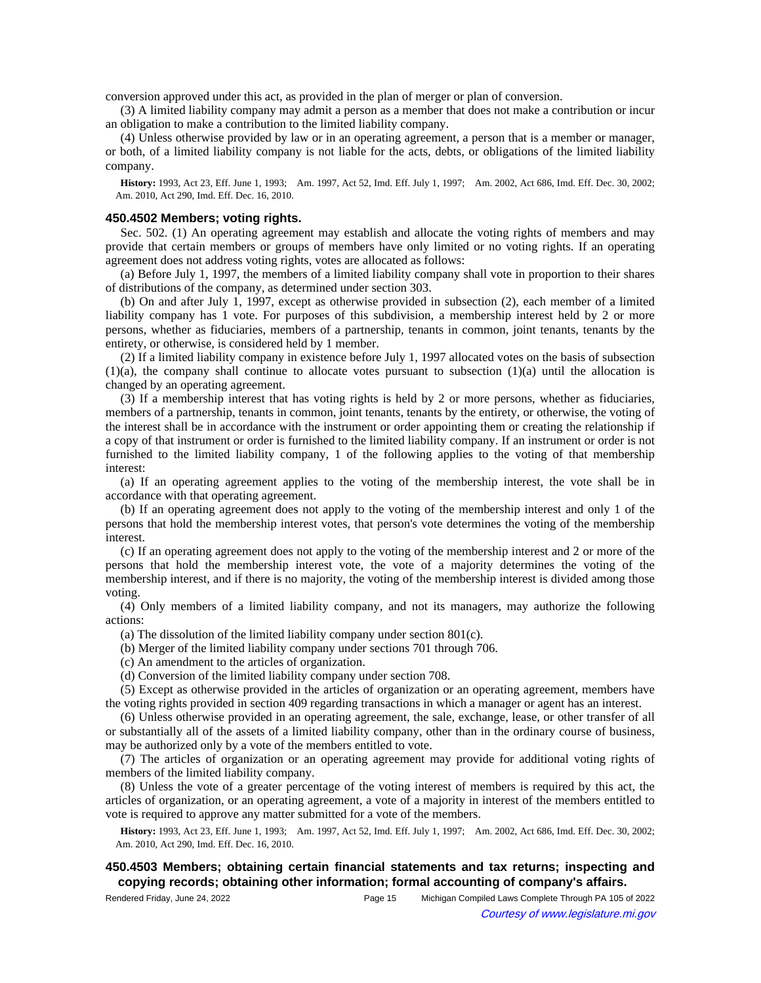conversion approved under this act, as provided in the plan of merger or plan of conversion.

(3) A limited liability company may admit a person as a member that does not make a contribution or incur an obligation to make a contribution to the limited liability company.

(4) Unless otherwise provided by law or in an operating agreement, a person that is a member or manager, or both, of a limited liability company is not liable for the acts, debts, or obligations of the limited liability company.

History: 1993, Act 23, Eff. June 1, 1993;—Am. 1997, Act 52, Imd. Eff. July 1, 1997;—Am. 2002, Act 686, Imd. Eff. Dec. 30, 2002; Am. 2010, Act 290, Imd. Eff. Dec. 16, 2010.

### **450.4502 Members; voting rights.**

Sec. 502. (1) An operating agreement may establish and allocate the voting rights of members and may provide that certain members or groups of members have only limited or no voting rights. If an operating agreement does not address voting rights, votes are allocated as follows:

(a) Before July 1, 1997, the members of a limited liability company shall vote in proportion to their shares of distributions of the company, as determined under section 303.

(b) On and after July 1, 1997, except as otherwise provided in subsection (2), each member of a limited liability company has 1 vote. For purposes of this subdivision, a membership interest held by 2 or more persons, whether as fiduciaries, members of a partnership, tenants in common, joint tenants, tenants by the entirety, or otherwise, is considered held by 1 member.

(2) If a limited liability company in existence before July 1, 1997 allocated votes on the basis of subsection  $(1)(a)$ , the company shall continue to allocate votes pursuant to subsection  $(1)(a)$  until the allocation is changed by an operating agreement.

(3) If a membership interest that has voting rights is held by 2 or more persons, whether as fiduciaries, members of a partnership, tenants in common, joint tenants, tenants by the entirety, or otherwise, the voting of the interest shall be in accordance with the instrument or order appointing them or creating the relationship if a copy of that instrument or order is furnished to the limited liability company. If an instrument or order is not furnished to the limited liability company, 1 of the following applies to the voting of that membership interest:

(a) If an operating agreement applies to the voting of the membership interest, the vote shall be in accordance with that operating agreement.

(b) If an operating agreement does not apply to the voting of the membership interest and only 1 of the persons that hold the membership interest votes, that person's vote determines the voting of the membership interest.

(c) If an operating agreement does not apply to the voting of the membership interest and 2 or more of the persons that hold the membership interest vote, the vote of a majority determines the voting of the membership interest, and if there is no majority, the voting of the membership interest is divided among those voting.

(4) Only members of a limited liability company, and not its managers, may authorize the following actions:

(a) The dissolution of the limited liability company under section 801(c).

(b) Merger of the limited liability company under sections 701 through 706.

(c) An amendment to the articles of organization.

(d) Conversion of the limited liability company under section 708.

(5) Except as otherwise provided in the articles of organization or an operating agreement, members have the voting rights provided in section 409 regarding transactions in which a manager or agent has an interest.

(6) Unless otherwise provided in an operating agreement, the sale, exchange, lease, or other transfer of all or substantially all of the assets of a limited liability company, other than in the ordinary course of business, may be authorized only by a vote of the members entitled to vote.

(7) The articles of organization or an operating agreement may provide for additional voting rights of members of the limited liability company.

(8) Unless the vote of a greater percentage of the voting interest of members is required by this act, the articles of organization, or an operating agreement, a vote of a majority in interest of the members entitled to vote is required to approve any matter submitted for a vote of the members.

History: 1993, Act 23, Eff. June 1, 1993;--Am. 1997, Act 52, Imd. Eff. July 1, 1997;--Am. 2002, Act 686, Imd. Eff. Dec. 30, 2002; Am. 2010, Act 290, Imd. Eff. Dec. 16, 2010.

# **450.4503 Members; obtaining certain financial statements and tax returns; inspecting and copying records; obtaining other information; formal accounting of company's affairs.**

Rendered Friday, June 24, 2022 Page 15 Michigan Compiled Laws Complete Through PA 105 of 2022 Courtesy of www.legislature.mi.gov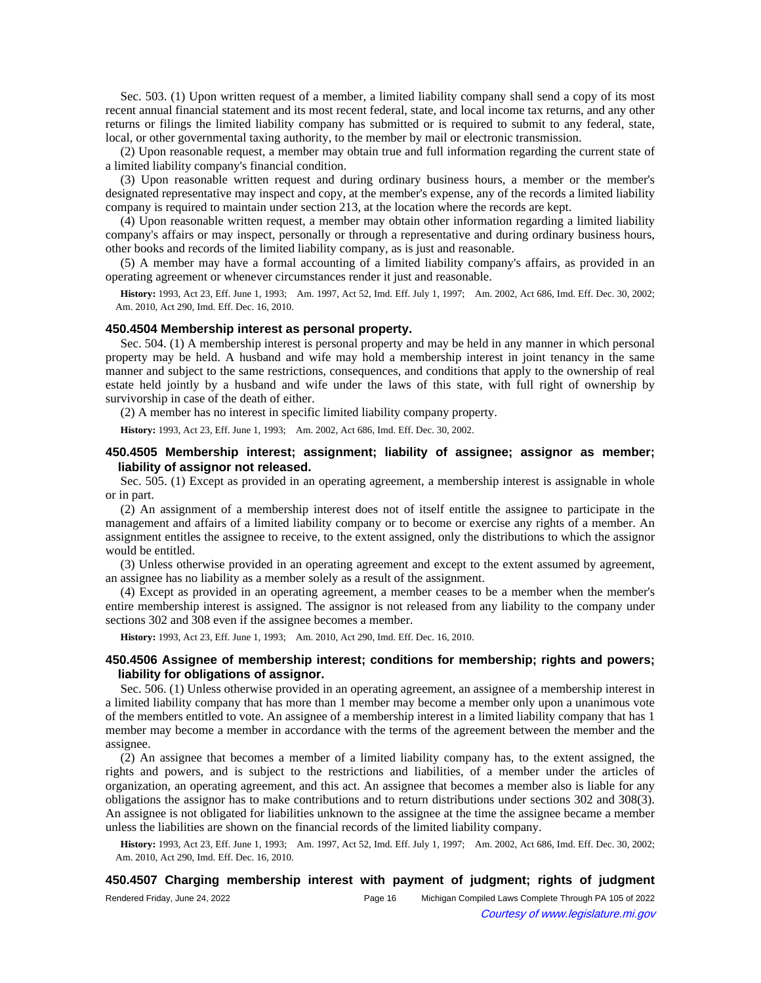Sec. 503. (1) Upon written request of a member, a limited liability company shall send a copy of its most recent annual financial statement and its most recent federal, state, and local income tax returns, and any other returns or filings the limited liability company has submitted or is required to submit to any federal, state, local, or other governmental taxing authority, to the member by mail or electronic transmission.

(2) Upon reasonable request, a member may obtain true and full information regarding the current state of a limited liability company's financial condition.

(3) Upon reasonable written request and during ordinary business hours, a member or the member's designated representative may inspect and copy, at the member's expense, any of the records a limited liability company is required to maintain under section 213, at the location where the records are kept.

(4) Upon reasonable written request, a member may obtain other information regarding a limited liability company's affairs or may inspect, personally or through a representative and during ordinary business hours, other books and records of the limited liability company, as is just and reasonable.

(5) A member may have a formal accounting of a limited liability company's affairs, as provided in an operating agreement or whenever circumstances render it just and reasonable.

History: 1993, Act 23, Eff. June 1, 1993;--Am. 1997, Act 52, Imd. Eff. July 1, 1997;--Am. 2002, Act 686, Imd. Eff. Dec. 30, 2002; Am. 2010, Act 290, Imd. Eff. Dec. 16, 2010.

#### **450.4504 Membership interest as personal property.**

Sec. 504. (1) A membership interest is personal property and may be held in any manner in which personal property may be held. A husband and wife may hold a membership interest in joint tenancy in the same manner and subject to the same restrictions, consequences, and conditions that apply to the ownership of real estate held jointly by a husband and wife under the laws of this state, with full right of ownership by survivorship in case of the death of either.

(2) A member has no interest in specific limited liability company property.

**History:** 1993, Act 23, Eff. June 1, 1993;—Am. 2002, Act 686, Imd. Eff. Dec. 30, 2002.

## **450.4505 Membership interest; assignment; liability of assignee; assignor as member; liability of assignor not released.**

Sec. 505. (1) Except as provided in an operating agreement, a membership interest is assignable in whole or in part.

(2) An assignment of a membership interest does not of itself entitle the assignee to participate in the management and affairs of a limited liability company or to become or exercise any rights of a member. An assignment entitles the assignee to receive, to the extent assigned, only the distributions to which the assignor would be entitled.

(3) Unless otherwise provided in an operating agreement and except to the extent assumed by agreement, an assignee has no liability as a member solely as a result of the assignment.

(4) Except as provided in an operating agreement, a member ceases to be a member when the member's entire membership interest is assigned. The assignor is not released from any liability to the company under sections 302 and 308 even if the assignee becomes a member.

**History:** 1993, Act 23, Eff. June 1, 1993;—Am. 2010, Act 290, Imd. Eff. Dec. 16, 2010.

## **450.4506 Assignee of membership interest; conditions for membership; rights and powers; liability for obligations of assignor.**

Sec. 506. (1) Unless otherwise provided in an operating agreement, an assignee of a membership interest in a limited liability company that has more than 1 member may become a member only upon a unanimous vote of the members entitled to vote. An assignee of a membership interest in a limited liability company that has 1 member may become a member in accordance with the terms of the agreement between the member and the assignee.

(2) An assignee that becomes a member of a limited liability company has, to the extent assigned, the rights and powers, and is subject to the restrictions and liabilities, of a member under the articles of organization, an operating agreement, and this act. An assignee that becomes a member also is liable for any obligations the assignor has to make contributions and to return distributions under sections 302 and 308(3). An assignee is not obligated for liabilities unknown to the assignee at the time the assignee became a member unless the liabilities are shown on the financial records of the limited liability company.

History: 1993, Act 23, Eff. June 1, 1993;--Am. 1997, Act 52, Imd. Eff. July 1, 1997;--Am. 2002, Act 686, Imd. Eff. Dec. 30, 2002; Am. 2010, Act 290, Imd. Eff. Dec. 16, 2010.

### **450.4507 Charging membership interest with payment of judgment; rights of judgment**

| Rendered Friday, June 24, 2022 | Page 16 | Michigan Compiled Laws Complete Through PA 105 of 2022 |
|--------------------------------|---------|--------------------------------------------------------|
|                                |         | Courtesy of www.legislature.mi.gov                     |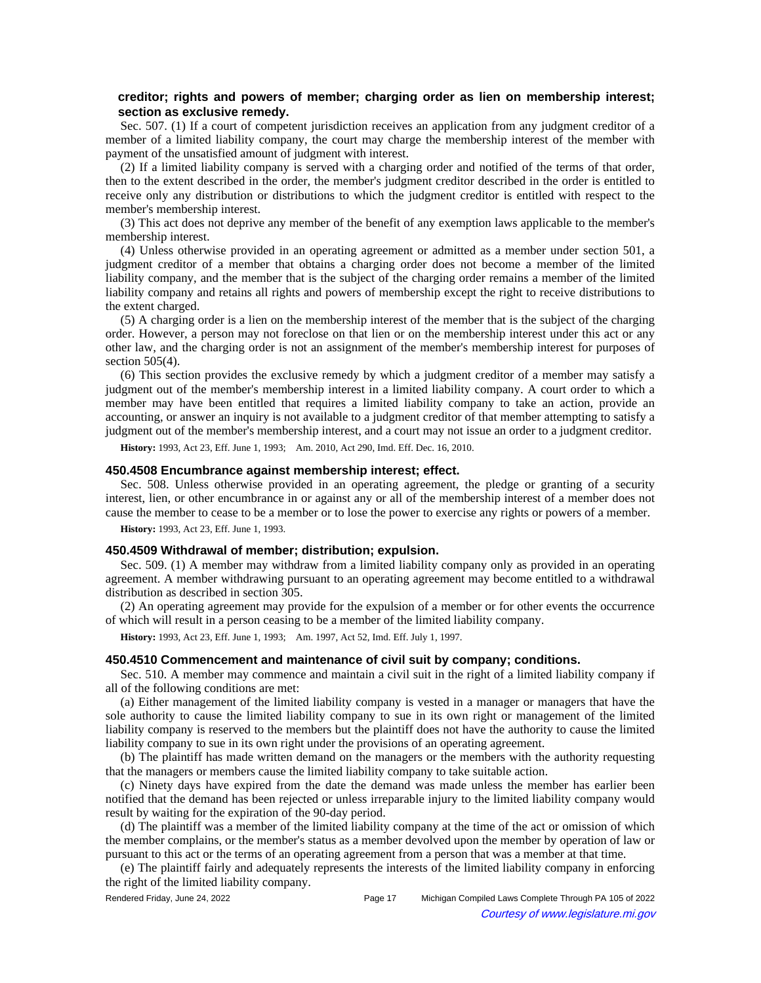# **creditor; rights and powers of member; charging order as lien on membership interest; section as exclusive remedy.**

Sec. 507. (1) If a court of competent jurisdiction receives an application from any judgment creditor of a member of a limited liability company, the court may charge the membership interest of the member with payment of the unsatisfied amount of judgment with interest.

(2) If a limited liability company is served with a charging order and notified of the terms of that order, then to the extent described in the order, the member's judgment creditor described in the order is entitled to receive only any distribution or distributions to which the judgment creditor is entitled with respect to the member's membership interest.

(3) This act does not deprive any member of the benefit of any exemption laws applicable to the member's membership interest.

(4) Unless otherwise provided in an operating agreement or admitted as a member under section 501, a judgment creditor of a member that obtains a charging order does not become a member of the limited liability company, and the member that is the subject of the charging order remains a member of the limited liability company and retains all rights and powers of membership except the right to receive distributions to the extent charged.

(5) A charging order is a lien on the membership interest of the member that is the subject of the charging order. However, a person may not foreclose on that lien or on the membership interest under this act or any other law, and the charging order is not an assignment of the member's membership interest for purposes of section 505(4).

(6) This section provides the exclusive remedy by which a judgment creditor of a member may satisfy a judgment out of the member's membership interest in a limited liability company. A court order to which a member may have been entitled that requires a limited liability company to take an action, provide an accounting, or answer an inquiry is not available to a judgment creditor of that member attempting to satisfy a judgment out of the member's membership interest, and a court may not issue an order to a judgment creditor.

History: 1993, Act 23, Eff. June 1, 1993;—Am. 2010, Act 290, Imd. Eff. Dec. 16, 2010.

### **450.4508 Encumbrance against membership interest; effect.**

Sec. 508. Unless otherwise provided in an operating agreement, the pledge or granting of a security interest, lien, or other encumbrance in or against any or all of the membership interest of a member does not cause the member to cease to be a member or to lose the power to exercise any rights or powers of a member.

**History:** 1993, Act 23, Eff. June 1, 1993.

#### **450.4509 Withdrawal of member; distribution; expulsion.**

Sec. 509. (1) A member may withdraw from a limited liability company only as provided in an operating agreement. A member withdrawing pursuant to an operating agreement may become entitled to a withdrawal distribution as described in section 305.

(2) An operating agreement may provide for the expulsion of a member or for other events the occurrence of which will result in a person ceasing to be a member of the limited liability company.

**History:** 1993, Act 23, Eff. June 1, 1993;—Am. 1997, Act 52, Imd. Eff. July 1, 1997.

#### **450.4510 Commencement and maintenance of civil suit by company; conditions.**

Sec. 510. A member may commence and maintain a civil suit in the right of a limited liability company if all of the following conditions are met:

(a) Either management of the limited liability company is vested in a manager or managers that have the sole authority to cause the limited liability company to sue in its own right or management of the limited liability company is reserved to the members but the plaintiff does not have the authority to cause the limited liability company to sue in its own right under the provisions of an operating agreement.

(b) The plaintiff has made written demand on the managers or the members with the authority requesting that the managers or members cause the limited liability company to take suitable action.

(c) Ninety days have expired from the date the demand was made unless the member has earlier been notified that the demand has been rejected or unless irreparable injury to the limited liability company would result by waiting for the expiration of the 90-day period.

(d) The plaintiff was a member of the limited liability company at the time of the act or omission of which the member complains, or the member's status as a member devolved upon the member by operation of law or pursuant to this act or the terms of an operating agreement from a person that was a member at that time.

(e) The plaintiff fairly and adequately represents the interests of the limited liability company in enforcing the right of the limited liability company.

Rendered Friday, June 24, 2022 Page 17 Michigan Compiled Laws Complete Through PA 105 of 2022 Courtesy of www.legislature.mi.gov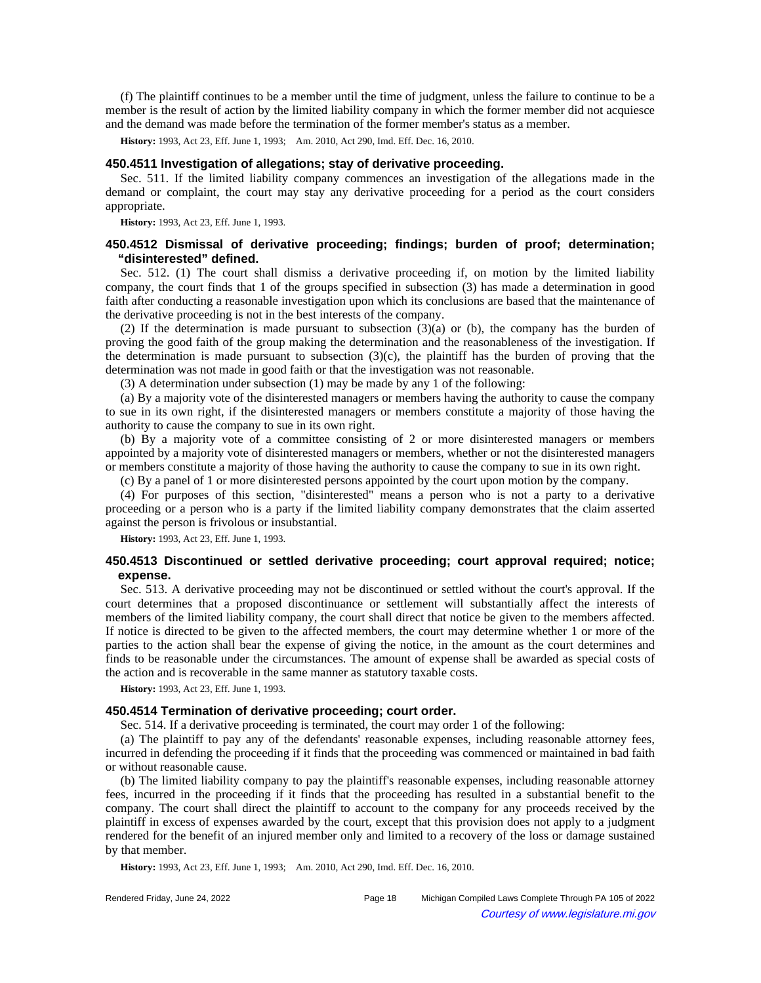(f) The plaintiff continues to be a member until the time of judgment, unless the failure to continue to be a member is the result of action by the limited liability company in which the former member did not acquiesce and the demand was made before the termination of the former member's status as a member.

**History:** 1993, Act 23, Eff. June 1, 1993;—Am. 2010, Act 290, Imd. Eff. Dec. 16, 2010.

## **450.4511 Investigation of allegations; stay of derivative proceeding.**

Sec. 511. If the limited liability company commences an investigation of the allegations made in the demand or complaint, the court may stay any derivative proceeding for a period as the court considers appropriate.

**History:** 1993, Act 23, Eff. June 1, 1993.

## **450.4512 Dismissal of derivative proceeding; findings; burden of proof; determination; "disinterested" defined.**

Sec. 512. (1) The court shall dismiss a derivative proceeding if, on motion by the limited liability company, the court finds that 1 of the groups specified in subsection (3) has made a determination in good faith after conducting a reasonable investigation upon which its conclusions are based that the maintenance of the derivative proceeding is not in the best interests of the company.

(2) If the determination is made pursuant to subsection (3)(a) or (b), the company has the burden of proving the good faith of the group making the determination and the reasonableness of the investigation. If the determination is made pursuant to subsection  $(3)(c)$ , the plaintiff has the burden of proving that the determination was not made in good faith or that the investigation was not reasonable.

(3) A determination under subsection (1) may be made by any 1 of the following:

(a) By a majority vote of the disinterested managers or members having the authority to cause the company to sue in its own right, if the disinterested managers or members constitute a majority of those having the authority to cause the company to sue in its own right.

(b) By a majority vote of a committee consisting of 2 or more disinterested managers or members appointed by a majority vote of disinterested managers or members, whether or not the disinterested managers or members constitute a majority of those having the authority to cause the company to sue in its own right.

(c) By a panel of 1 or more disinterested persons appointed by the court upon motion by the company.

(4) For purposes of this section, "disinterested" means a person who is not a party to a derivative proceeding or a person who is a party if the limited liability company demonstrates that the claim asserted against the person is frivolous or insubstantial.

**History:** 1993, Act 23, Eff. June 1, 1993.

## **450.4513 Discontinued or settled derivative proceeding; court approval required; notice; expense.**

Sec. 513. A derivative proceeding may not be discontinued or settled without the court's approval. If the court determines that a proposed discontinuance or settlement will substantially affect the interests of members of the limited liability company, the court shall direct that notice be given to the members affected. If notice is directed to be given to the affected members, the court may determine whether 1 or more of the parties to the action shall bear the expense of giving the notice, in the amount as the court determines and finds to be reasonable under the circumstances. The amount of expense shall be awarded as special costs of the action and is recoverable in the same manner as statutory taxable costs.

**History:** 1993, Act 23, Eff. June 1, 1993.

### **450.4514 Termination of derivative proceeding; court order.**

Sec. 514. If a derivative proceeding is terminated, the court may order 1 of the following:

(a) The plaintiff to pay any of the defendants' reasonable expenses, including reasonable attorney fees, incurred in defending the proceeding if it finds that the proceeding was commenced or maintained in bad faith or without reasonable cause.

(b) The limited liability company to pay the plaintiff's reasonable expenses, including reasonable attorney fees, incurred in the proceeding if it finds that the proceeding has resulted in a substantial benefit to the company. The court shall direct the plaintiff to account to the company for any proceeds received by the plaintiff in excess of expenses awarded by the court, except that this provision does not apply to a judgment rendered for the benefit of an injured member only and limited to a recovery of the loss or damage sustained by that member.

History: 1993, Act 23, Eff. June 1, 1993;-- Am. 2010, Act 290, Imd. Eff. Dec. 16, 2010.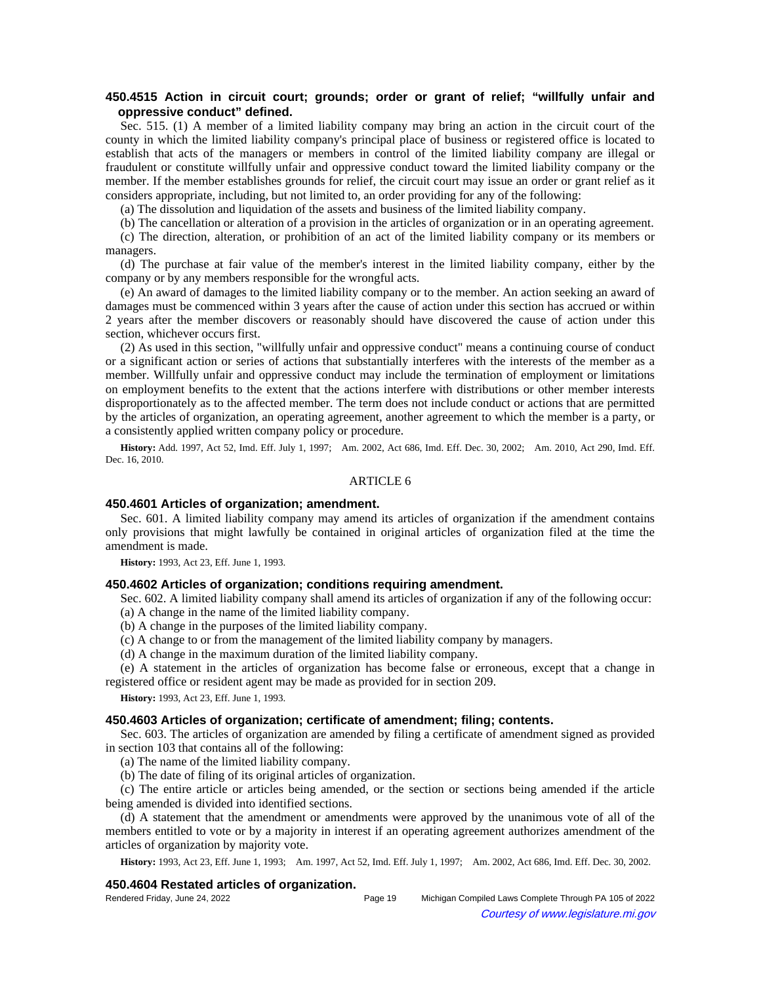# **450.4515 Action in circuit court; grounds; order or grant of relief; "willfully unfair and oppressive conduct" defined.**

Sec. 515. (1) A member of a limited liability company may bring an action in the circuit court of the county in which the limited liability company's principal place of business or registered office is located to establish that acts of the managers or members in control of the limited liability company are illegal or fraudulent or constitute willfully unfair and oppressive conduct toward the limited liability company or the member. If the member establishes grounds for relief, the circuit court may issue an order or grant relief as it considers appropriate, including, but not limited to, an order providing for any of the following:

(a) The dissolution and liquidation of the assets and business of the limited liability company.

(b) The cancellation or alteration of a provision in the articles of organization or in an operating agreement.

(c) The direction, alteration, or prohibition of an act of the limited liability company or its members or managers.

(d) The purchase at fair value of the member's interest in the limited liability company, either by the company or by any members responsible for the wrongful acts.

(e) An award of damages to the limited liability company or to the member. An action seeking an award of damages must be commenced within 3 years after the cause of action under this section has accrued or within 2 years after the member discovers or reasonably should have discovered the cause of action under this section, whichever occurs first.

(2) As used in this section, "willfully unfair and oppressive conduct" means a continuing course of conduct or a significant action or series of actions that substantially interferes with the interests of the member as a member. Willfully unfair and oppressive conduct may include the termination of employment or limitations on employment benefits to the extent that the actions interfere with distributions or other member interests disproportionately as to the affected member. The term does not include conduct or actions that are permitted by the articles of organization, an operating agreement, another agreement to which the member is a party, or a consistently applied written company policy or procedure.

History: Add. 1997, Act 52, Imd. Eff. July 1, 1997;-- Am. 2002, Act 686, Imd. Eff. Dec. 30, 2002;-- Am. 2010, Act 290, Imd. Eff. Dec. 16, 2010.

### ARTICLE 6

## **450.4601 Articles of organization; amendment.**

Sec. 601. A limited liability company may amend its articles of organization if the amendment contains only provisions that might lawfully be contained in original articles of organization filed at the time the amendment is made.

**History:** 1993, Act 23, Eff. June 1, 1993.

## **450.4602 Articles of organization; conditions requiring amendment.**

Sec. 602. A limited liability company shall amend its articles of organization if any of the following occur: (a) A change in the name of the limited liability company.

(b) A change in the purposes of the limited liability company.

(c) A change to or from the management of the limited liability company by managers.

(d) A change in the maximum duration of the limited liability company.

(e) A statement in the articles of organization has become false or erroneous, except that a change in registered office or resident agent may be made as provided for in section 209.

**History:** 1993, Act 23, Eff. June 1, 1993.

#### **450.4603 Articles of organization; certificate of amendment; filing; contents.**

Sec. 603. The articles of organization are amended by filing a certificate of amendment signed as provided in section 103 that contains all of the following:

(a) The name of the limited liability company.

(b) The date of filing of its original articles of organization.

(c) The entire article or articles being amended, or the section or sections being amended if the article being amended is divided into identified sections.

(d) A statement that the amendment or amendments were approved by the unanimous vote of all of the members entitled to vote or by a majority in interest if an operating agreement authorizes amendment of the articles of organization by majority vote.

History: 1993, Act 23, Eff. June 1, 1993;—Am. 1997, Act 52, Imd. Eff. July 1, 1997;—Am. 2002, Act 686, Imd. Eff. Dec. 30, 2002.

### **450.4604 Restated articles of organization.**

| Rendered Friday, June 24, 2022 | Page 19 | Michigan Compiled Laws Complete Through PA 105 of 2022 |
|--------------------------------|---------|--------------------------------------------------------|
|                                |         | Courtesy of www.legislature.mi.gov                     |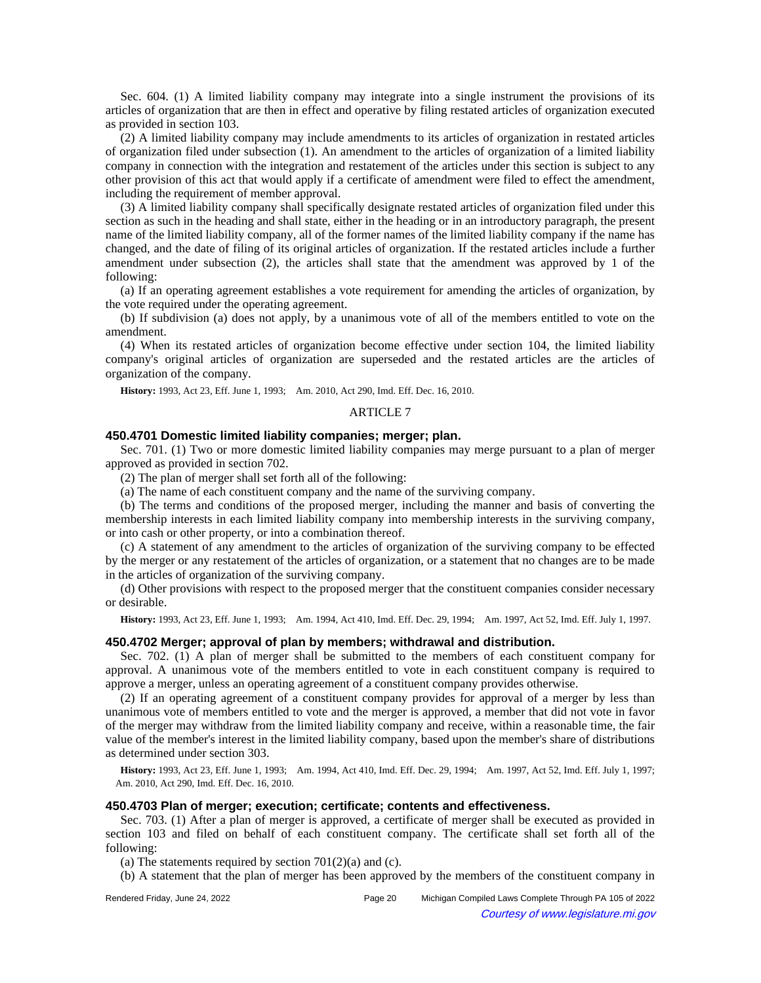Sec. 604. (1) A limited liability company may integrate into a single instrument the provisions of its articles of organization that are then in effect and operative by filing restated articles of organization executed as provided in section 103.

(2) A limited liability company may include amendments to its articles of organization in restated articles of organization filed under subsection (1). An amendment to the articles of organization of a limited liability company in connection with the integration and restatement of the articles under this section is subject to any other provision of this act that would apply if a certificate of amendment were filed to effect the amendment, including the requirement of member approval.

(3) A limited liability company shall specifically designate restated articles of organization filed under this section as such in the heading and shall state, either in the heading or in an introductory paragraph, the present name of the limited liability company, all of the former names of the limited liability company if the name has changed, and the date of filing of its original articles of organization. If the restated articles include a further amendment under subsection (2), the articles shall state that the amendment was approved by 1 of the following:

(a) If an operating agreement establishes a vote requirement for amending the articles of organization, by the vote required under the operating agreement.

(b) If subdivision (a) does not apply, by a unanimous vote of all of the members entitled to vote on the amendment.

(4) When its restated articles of organization become effective under section 104, the limited liability company's original articles of organization are superseded and the restated articles are the articles of organization of the company.

**History:** 1993, Act 23, Eff. June 1, 1993;—Am. 2010, Act 290, Imd. Eff. Dec. 16, 2010.

#### ARTICLE 7

# **450.4701 Domestic limited liability companies; merger; plan.**

Sec. 701. (1) Two or more domestic limited liability companies may merge pursuant to a plan of merger approved as provided in section 702.

(2) The plan of merger shall set forth all of the following:

(a) The name of each constituent company and the name of the surviving company.

(b) The terms and conditions of the proposed merger, including the manner and basis of converting the membership interests in each limited liability company into membership interests in the surviving company, or into cash or other property, or into a combination thereof.

(c) A statement of any amendment to the articles of organization of the surviving company to be effected by the merger or any restatement of the articles of organization, or a statement that no changes are to be made in the articles of organization of the surviving company.

(d) Other provisions with respect to the proposed merger that the constituent companies consider necessary or desirable.

**History:** 1993, Act 23, Eff. June 1, 1993;—Am. 1994, Act 410, Imd. Eff. Dec. 29, 1994;—Am. 1997, Act 52, Imd. Eff. July 1, 1997.

### **450.4702 Merger; approval of plan by members; withdrawal and distribution.**

Sec. 702. (1) A plan of merger shall be submitted to the members of each constituent company for approval. A unanimous vote of the members entitled to vote in each constituent company is required to approve a merger, unless an operating agreement of a constituent company provides otherwise.

(2) If an operating agreement of a constituent company provides for approval of a merger by less than unanimous vote of members entitled to vote and the merger is approved, a member that did not vote in favor of the merger may withdraw from the limited liability company and receive, within a reasonable time, the fair value of the member's interest in the limited liability company, based upon the member's share of distributions as determined under section 303.

History: 1993, Act 23, Eff. June 1, 1993;—Am. 1994, Act 410, Imd. Eff. Dec. 29, 1994;—Am. 1997, Act 52, Imd. Eff. July 1, 1997; Am. 2010, Act 290, Imd. Eff. Dec. 16, 2010.

### **450.4703 Plan of merger; execution; certificate; contents and effectiveness.**

Sec. 703. (1) After a plan of merger is approved, a certificate of merger shall be executed as provided in section 103 and filed on behalf of each constituent company. The certificate shall set forth all of the following:

(a) The statements required by section  $701(2)(a)$  and (c).

(b) A statement that the plan of merger has been approved by the members of the constituent company in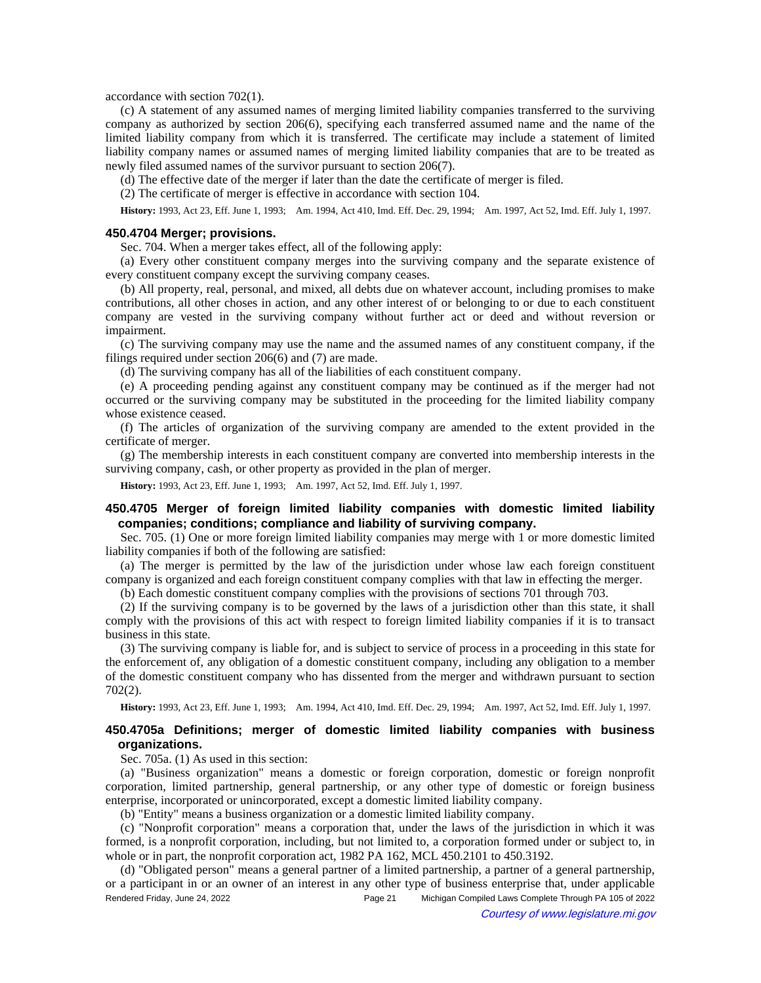accordance with section 702(1).

(c) A statement of any assumed names of merging limited liability companies transferred to the surviving company as authorized by section 206(6), specifying each transferred assumed name and the name of the limited liability company from which it is transferred. The certificate may include a statement of limited liability company names or assumed names of merging limited liability companies that are to be treated as newly filed assumed names of the survivor pursuant to section 206(7).

(d) The effective date of the merger if later than the date the certificate of merger is filed.

(2) The certificate of merger is effective in accordance with section 104.

History: 1993, Act 23, Eff. June 1, 1993;—Am. 1994, Act 410, Imd. Eff. Dec. 29, 1994;—Am. 1997, Act 52, Imd. Eff. July 1, 1997.

#### **450.4704 Merger; provisions.**

Sec. 704. When a merger takes effect, all of the following apply:

(a) Every other constituent company merges into the surviving company and the separate existence of every constituent company except the surviving company ceases.

(b) All property, real, personal, and mixed, all debts due on whatever account, including promises to make contributions, all other choses in action, and any other interest of or belonging to or due to each constituent company are vested in the surviving company without further act or deed and without reversion or impairment.

(c) The surviving company may use the name and the assumed names of any constituent company, if the filings required under section 206(6) and (7) are made.

(d) The surviving company has all of the liabilities of each constituent company.

(e) A proceeding pending against any constituent company may be continued as if the merger had not occurred or the surviving company may be substituted in the proceeding for the limited liability company whose existence ceased.

(f) The articles of organization of the surviving company are amended to the extent provided in the certificate of merger.

(g) The membership interests in each constituent company are converted into membership interests in the surviving company, cash, or other property as provided in the plan of merger.

**History:** 1993, Act 23, Eff. June 1, 1993;—Am. 1997, Act 52, Imd. Eff. July 1, 1997.

## **450.4705 Merger of foreign limited liability companies with domestic limited liability companies; conditions; compliance and liability of surviving company.**

Sec. 705. (1) One or more foreign limited liability companies may merge with 1 or more domestic limited liability companies if both of the following are satisfied:

(a) The merger is permitted by the law of the jurisdiction under whose law each foreign constituent company is organized and each foreign constituent company complies with that law in effecting the merger.

(b) Each domestic constituent company complies with the provisions of sections 701 through 703.

(2) If the surviving company is to be governed by the laws of a jurisdiction other than this state, it shall comply with the provisions of this act with respect to foreign limited liability companies if it is to transact business in this state.

(3) The surviving company is liable for, and is subject to service of process in a proceeding in this state for the enforcement of, any obligation of a domestic constituent company, including any obligation to a member of the domestic constituent company who has dissented from the merger and withdrawn pursuant to section 702(2).

History: 1993, Act 23, Eff. June 1, 1993;—Am. 1994, Act 410, Imd. Eff. Dec. 29, 1994;—Am. 1997, Act 52, Imd. Eff. July 1, 1997.

# **450.4705a Definitions; merger of domestic limited liability companies with business organizations.**

Sec. 705a. (1) As used in this section:

(a) "Business organization" means a domestic or foreign corporation, domestic or foreign nonprofit corporation, limited partnership, general partnership, or any other type of domestic or foreign business enterprise, incorporated or unincorporated, except a domestic limited liability company.

(b) "Entity" means a business organization or a domestic limited liability company.

(c) "Nonprofit corporation" means a corporation that, under the laws of the jurisdiction in which it was formed, is a nonprofit corporation, including, but not limited to, a corporation formed under or subject to, in whole or in part, the nonprofit corporation act, 1982 PA 162, MCL 450.2101 to 450.3192.

(d) "Obligated person" means a general partner of a limited partnership, a partner of a general partnership, or a participant in or an owner of an interest in any other type of business enterprise that, under applicable Rendered Friday, June 24, 2022 Page 21 Michigan Compiled Laws Complete Through PA 105 of 2022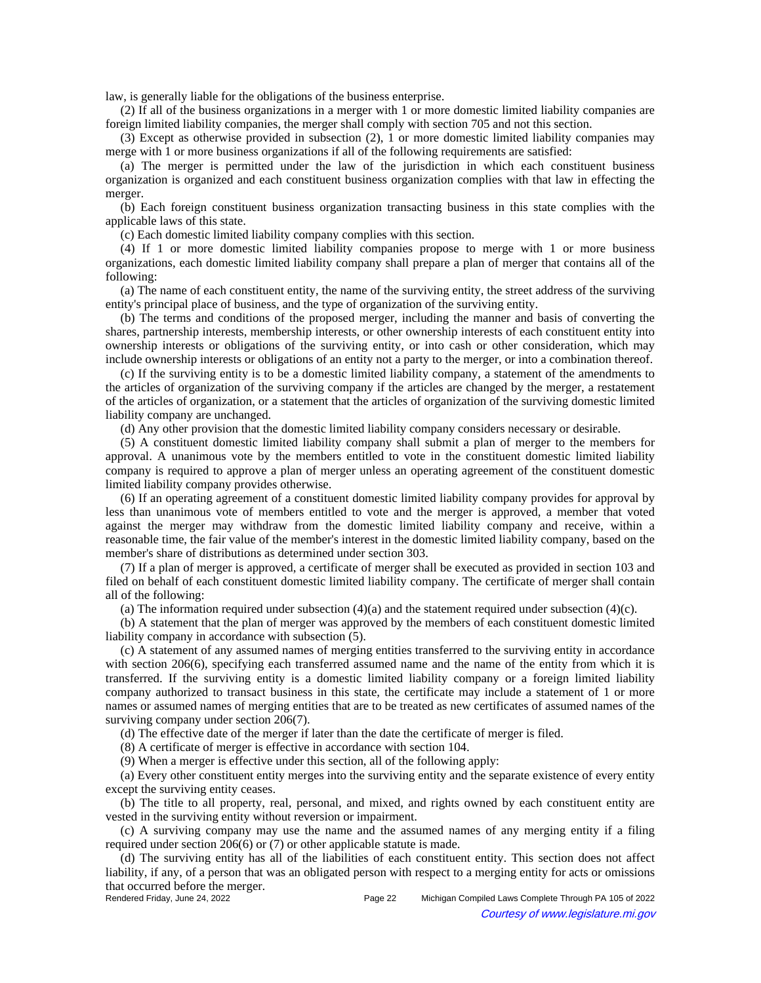law, is generally liable for the obligations of the business enterprise.

(2) If all of the business organizations in a merger with 1 or more domestic limited liability companies are foreign limited liability companies, the merger shall comply with section 705 and not this section.

(3) Except as otherwise provided in subsection (2), 1 or more domestic limited liability companies may merge with 1 or more business organizations if all of the following requirements are satisfied:

(a) The merger is permitted under the law of the jurisdiction in which each constituent business organization is organized and each constituent business organization complies with that law in effecting the merger.

(b) Each foreign constituent business organization transacting business in this state complies with the applicable laws of this state.

(c) Each domestic limited liability company complies with this section.

(4) If 1 or more domestic limited liability companies propose to merge with 1 or more business organizations, each domestic limited liability company shall prepare a plan of merger that contains all of the following:

(a) The name of each constituent entity, the name of the surviving entity, the street address of the surviving entity's principal place of business, and the type of organization of the surviving entity.

(b) The terms and conditions of the proposed merger, including the manner and basis of converting the shares, partnership interests, membership interests, or other ownership interests of each constituent entity into ownership interests or obligations of the surviving entity, or into cash or other consideration, which may include ownership interests or obligations of an entity not a party to the merger, or into a combination thereof.

(c) If the surviving entity is to be a domestic limited liability company, a statement of the amendments to the articles of organization of the surviving company if the articles are changed by the merger, a restatement of the articles of organization, or a statement that the articles of organization of the surviving domestic limited liability company are unchanged.

(d) Any other provision that the domestic limited liability company considers necessary or desirable.

(5) A constituent domestic limited liability company shall submit a plan of merger to the members for approval. A unanimous vote by the members entitled to vote in the constituent domestic limited liability company is required to approve a plan of merger unless an operating agreement of the constituent domestic limited liability company provides otherwise.

(6) If an operating agreement of a constituent domestic limited liability company provides for approval by less than unanimous vote of members entitled to vote and the merger is approved, a member that voted against the merger may withdraw from the domestic limited liability company and receive, within a reasonable time, the fair value of the member's interest in the domestic limited liability company, based on the member's share of distributions as determined under section 303.

(7) If a plan of merger is approved, a certificate of merger shall be executed as provided in section 103 and filed on behalf of each constituent domestic limited liability company. The certificate of merger shall contain all of the following:

(a) The information required under subsection  $(4)(a)$  and the statement required under subsection  $(4)(c)$ .

(b) A statement that the plan of merger was approved by the members of each constituent domestic limited liability company in accordance with subsection (5).

(c) A statement of any assumed names of merging entities transferred to the surviving entity in accordance with section 206(6), specifying each transferred assumed name and the name of the entity from which it is transferred. If the surviving entity is a domestic limited liability company or a foreign limited liability company authorized to transact business in this state, the certificate may include a statement of 1 or more names or assumed names of merging entities that are to be treated as new certificates of assumed names of the surviving company under section 206(7).

(d) The effective date of the merger if later than the date the certificate of merger is filed.

(8) A certificate of merger is effective in accordance with section 104.

(9) When a merger is effective under this section, all of the following apply:

(a) Every other constituent entity merges into the surviving entity and the separate existence of every entity except the surviving entity ceases.

(b) The title to all property, real, personal, and mixed, and rights owned by each constituent entity are vested in the surviving entity without reversion or impairment.

(c) A surviving company may use the name and the assumed names of any merging entity if a filing required under section 206(6) or (7) or other applicable statute is made.

(d) The surviving entity has all of the liabilities of each constituent entity. This section does not affect liability, if any, of a person that was an obligated person with respect to a merging entity for acts or omissions that occurred before the merger.<br>Rendered Friday, June 24, 2022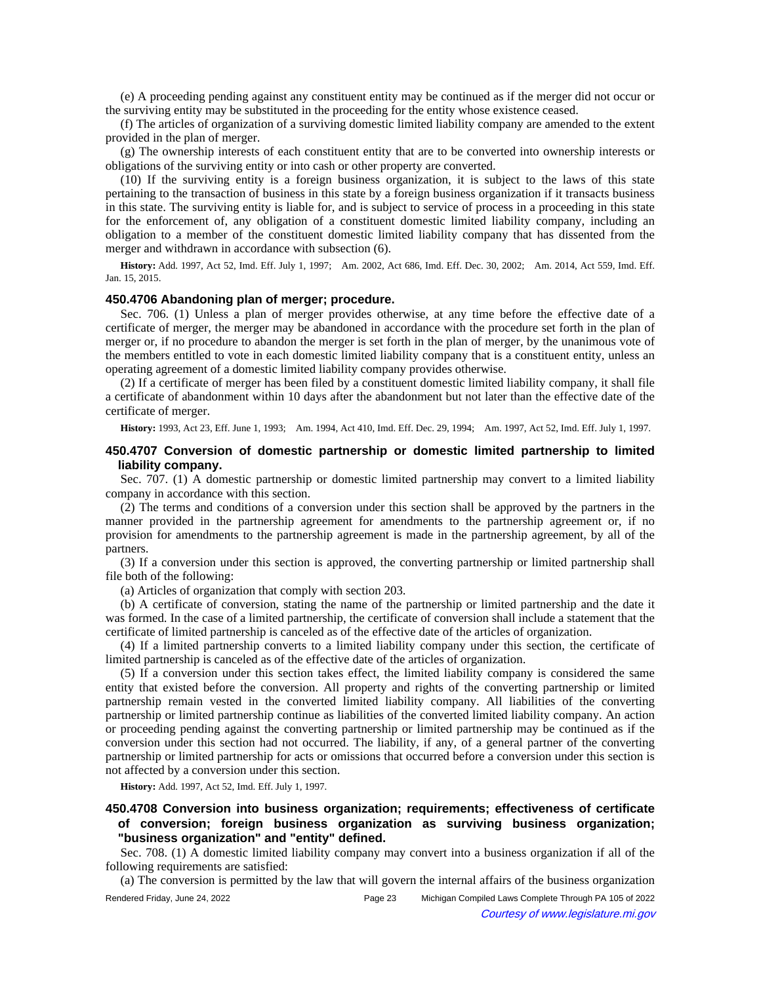(e) A proceeding pending against any constituent entity may be continued as if the merger did not occur or the surviving entity may be substituted in the proceeding for the entity whose existence ceased.

(f) The articles of organization of a surviving domestic limited liability company are amended to the extent provided in the plan of merger.

(g) The ownership interests of each constituent entity that are to be converted into ownership interests or obligations of the surviving entity or into cash or other property are converted.

(10) If the surviving entity is a foreign business organization, it is subject to the laws of this state pertaining to the transaction of business in this state by a foreign business organization if it transacts business in this state. The surviving entity is liable for, and is subject to service of process in a proceeding in this state for the enforcement of, any obligation of a constituent domestic limited liability company, including an obligation to a member of the constituent domestic limited liability company that has dissented from the merger and withdrawn in accordance with subsection (6).

History: Add. 1997, Act 52, Imd. Eff. July 1, 1997;-- Am. 2002, Act 686, Imd. Eff. Dec. 30, 2002;-- Am. 2014, Act 559, Imd. Eff. Jan. 15, 2015.

## **450.4706 Abandoning plan of merger; procedure.**

Sec. 706. (1) Unless a plan of merger provides otherwise, at any time before the effective date of a certificate of merger, the merger may be abandoned in accordance with the procedure set forth in the plan of merger or, if no procedure to abandon the merger is set forth in the plan of merger, by the unanimous vote of the members entitled to vote in each domestic limited liability company that is a constituent entity, unless an operating agreement of a domestic limited liability company provides otherwise.

(2) If a certificate of merger has been filed by a constituent domestic limited liability company, it shall file a certificate of abandonment within 10 days after the abandonment but not later than the effective date of the certificate of merger.

History: 1993, Act 23, Eff. June 1, 1993;—Am. 1994, Act 410, Imd. Eff. Dec. 29, 1994;—Am. 1997, Act 52, Imd. Eff. July 1, 1997.

## **450.4707 Conversion of domestic partnership or domestic limited partnership to limited liability company.**

Sec. 707. (1) A domestic partnership or domestic limited partnership may convert to a limited liability company in accordance with this section.

(2) The terms and conditions of a conversion under this section shall be approved by the partners in the manner provided in the partnership agreement for amendments to the partnership agreement or, if no provision for amendments to the partnership agreement is made in the partnership agreement, by all of the partners.

(3) If a conversion under this section is approved, the converting partnership or limited partnership shall file both of the following:

(a) Articles of organization that comply with section 203.

(b) A certificate of conversion, stating the name of the partnership or limited partnership and the date it was formed. In the case of a limited partnership, the certificate of conversion shall include a statement that the certificate of limited partnership is canceled as of the effective date of the articles of organization.

(4) If a limited partnership converts to a limited liability company under this section, the certificate of limited partnership is canceled as of the effective date of the articles of organization.

(5) If a conversion under this section takes effect, the limited liability company is considered the same entity that existed before the conversion. All property and rights of the converting partnership or limited partnership remain vested in the converted limited liability company. All liabilities of the converting partnership or limited partnership continue as liabilities of the converted limited liability company. An action or proceeding pending against the converting partnership or limited partnership may be continued as if the conversion under this section had not occurred. The liability, if any, of a general partner of the converting partnership or limited partnership for acts or omissions that occurred before a conversion under this section is not affected by a conversion under this section.

**History:** Add. 1997, Act 52, Imd. Eff. July 1, 1997.

# **450.4708 Conversion into business organization; requirements; effectiveness of certificate of conversion; foreign business organization as surviving business organization; "business organization" and "entity" defined.**

Sec. 708. (1) A domestic limited liability company may convert into a business organization if all of the following requirements are satisfied:

(a) The conversion is permitted by the law that will govern the internal affairs of the business organization

Rendered Friday, June 24, 2022 Page 23 Michigan Compiled Laws Complete Through PA 105 of 2022 Courtesy of www.legislature.mi.gov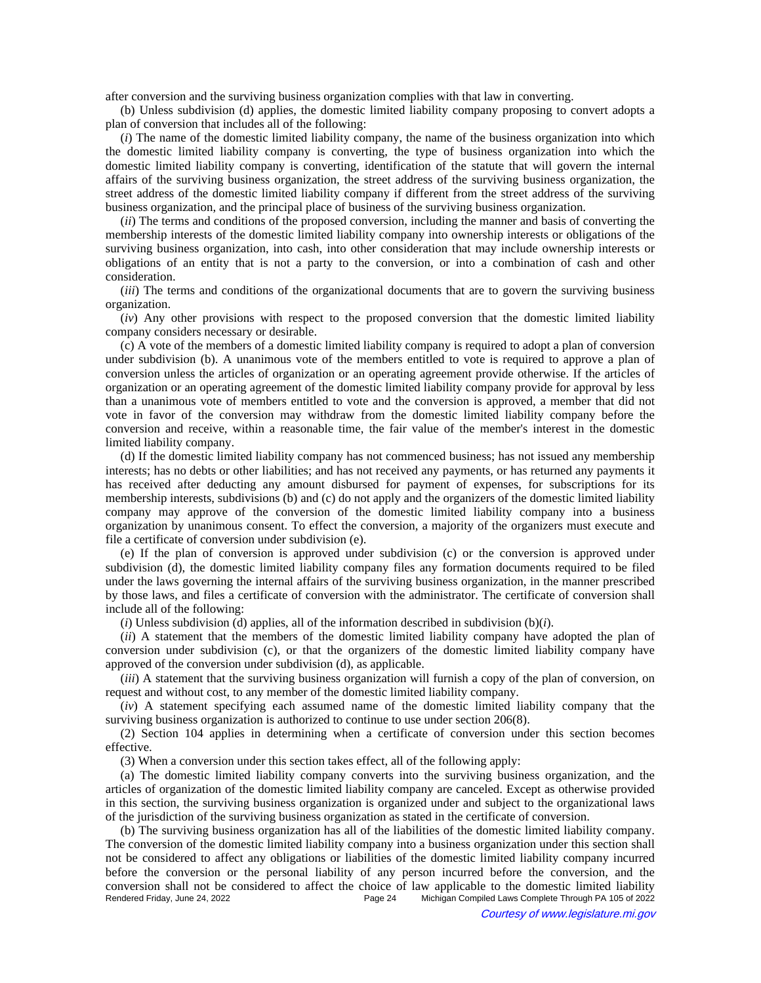after conversion and the surviving business organization complies with that law in converting.

(b) Unless subdivision (d) applies, the domestic limited liability company proposing to convert adopts a plan of conversion that includes all of the following:

(*i*) The name of the domestic limited liability company, the name of the business organization into which the domestic limited liability company is converting, the type of business organization into which the domestic limited liability company is converting, identification of the statute that will govern the internal affairs of the surviving business organization, the street address of the surviving business organization, the street address of the domestic limited liability company if different from the street address of the surviving business organization, and the principal place of business of the surviving business organization.

(*ii*) The terms and conditions of the proposed conversion, including the manner and basis of converting the membership interests of the domestic limited liability company into ownership interests or obligations of the surviving business organization, into cash, into other consideration that may include ownership interests or obligations of an entity that is not a party to the conversion, or into a combination of cash and other consideration.

(*iii*) The terms and conditions of the organizational documents that are to govern the surviving business organization.

(*iv*) Any other provisions with respect to the proposed conversion that the domestic limited liability company considers necessary or desirable.

(c) A vote of the members of a domestic limited liability company is required to adopt a plan of conversion under subdivision (b). A unanimous vote of the members entitled to vote is required to approve a plan of conversion unless the articles of organization or an operating agreement provide otherwise. If the articles of organization or an operating agreement of the domestic limited liability company provide for approval by less than a unanimous vote of members entitled to vote and the conversion is approved, a member that did not vote in favor of the conversion may withdraw from the domestic limited liability company before the conversion and receive, within a reasonable time, the fair value of the member's interest in the domestic limited liability company.

(d) If the domestic limited liability company has not commenced business; has not issued any membership interests; has no debts or other liabilities; and has not received any payments, or has returned any payments it has received after deducting any amount disbursed for payment of expenses, for subscriptions for its membership interests, subdivisions (b) and (c) do not apply and the organizers of the domestic limited liability company may approve of the conversion of the domestic limited liability company into a business organization by unanimous consent. To effect the conversion, a majority of the organizers must execute and file a certificate of conversion under subdivision (e).

(e) If the plan of conversion is approved under subdivision (c) or the conversion is approved under subdivision (d), the domestic limited liability company files any formation documents required to be filed under the laws governing the internal affairs of the surviving business organization, in the manner prescribed by those laws, and files a certificate of conversion with the administrator. The certificate of conversion shall include all of the following:

(*i*) Unless subdivision (d) applies, all of the information described in subdivision (b)(*i*).

(*ii*) A statement that the members of the domestic limited liability company have adopted the plan of conversion under subdivision (c), or that the organizers of the domestic limited liability company have approved of the conversion under subdivision (d), as applicable.

(*iii*) A statement that the surviving business organization will furnish a copy of the plan of conversion, on request and without cost, to any member of the domestic limited liability company.

(*iv*) A statement specifying each assumed name of the domestic limited liability company that the surviving business organization is authorized to continue to use under section 206(8).

(2) Section 104 applies in determining when a certificate of conversion under this section becomes effective.

(3) When a conversion under this section takes effect, all of the following apply:

(a) The domestic limited liability company converts into the surviving business organization, and the articles of organization of the domestic limited liability company are canceled. Except as otherwise provided in this section, the surviving business organization is organized under and subject to the organizational laws of the jurisdiction of the surviving business organization as stated in the certificate of conversion.

(b) The surviving business organization has all of the liabilities of the domestic limited liability company. The conversion of the domestic limited liability company into a business organization under this section shall not be considered to affect any obligations or liabilities of the domestic limited liability company incurred before the conversion or the personal liability of any person incurred before the conversion, and the conversion shall not be considered to affect the choice of law applicable to the domestic limited liability<br>Rendered Friday, June 24, 2022<br>Page 24 Michigan Compiled Laws Complete Through PA 105 of 2022 Michigan Compiled Laws Complete Through PA 105 of 2022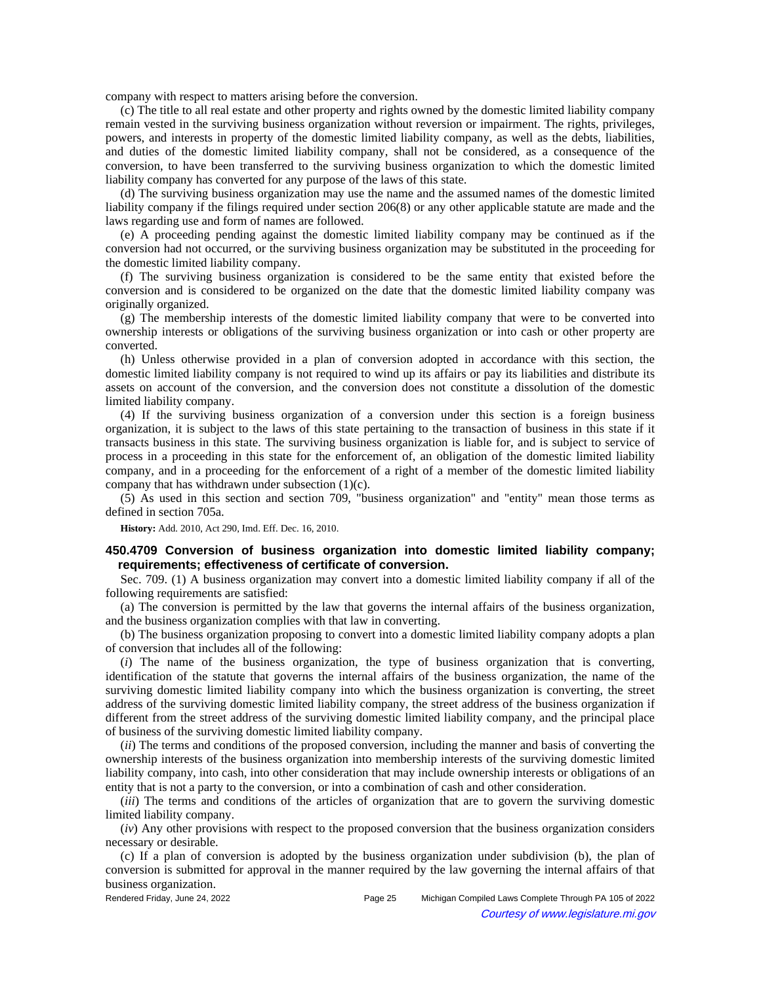company with respect to matters arising before the conversion.

(c) The title to all real estate and other property and rights owned by the domestic limited liability company remain vested in the surviving business organization without reversion or impairment. The rights, privileges, powers, and interests in property of the domestic limited liability company, as well as the debts, liabilities, and duties of the domestic limited liability company, shall not be considered, as a consequence of the conversion, to have been transferred to the surviving business organization to which the domestic limited liability company has converted for any purpose of the laws of this state.

(d) The surviving business organization may use the name and the assumed names of the domestic limited liability company if the filings required under section 206(8) or any other applicable statute are made and the laws regarding use and form of names are followed.

(e) A proceeding pending against the domestic limited liability company may be continued as if the conversion had not occurred, or the surviving business organization may be substituted in the proceeding for the domestic limited liability company.

(f) The surviving business organization is considered to be the same entity that existed before the conversion and is considered to be organized on the date that the domestic limited liability company was originally organized.

(g) The membership interests of the domestic limited liability company that were to be converted into ownership interests or obligations of the surviving business organization or into cash or other property are converted.

(h) Unless otherwise provided in a plan of conversion adopted in accordance with this section, the domestic limited liability company is not required to wind up its affairs or pay its liabilities and distribute its assets on account of the conversion, and the conversion does not constitute a dissolution of the domestic limited liability company.

(4) If the surviving business organization of a conversion under this section is a foreign business organization, it is subject to the laws of this state pertaining to the transaction of business in this state if it transacts business in this state. The surviving business organization is liable for, and is subject to service of process in a proceeding in this state for the enforcement of, an obligation of the domestic limited liability company, and in a proceeding for the enforcement of a right of a member of the domestic limited liability company that has withdrawn under subsection (1)(c).

(5) As used in this section and section 709, "business organization" and "entity" mean those terms as defined in section 705a.

**History:** Add. 2010, Act 290, Imd. Eff. Dec. 16, 2010.

## **450.4709 Conversion of business organization into domestic limited liability company; requirements; effectiveness of certificate of conversion.**

Sec. 709. (1) A business organization may convert into a domestic limited liability company if all of the following requirements are satisfied:

(a) The conversion is permitted by the law that governs the internal affairs of the business organization, and the business organization complies with that law in converting.

(b) The business organization proposing to convert into a domestic limited liability company adopts a plan of conversion that includes all of the following:

(*i*) The name of the business organization, the type of business organization that is converting, identification of the statute that governs the internal affairs of the business organization, the name of the surviving domestic limited liability company into which the business organization is converting, the street address of the surviving domestic limited liability company, the street address of the business organization if different from the street address of the surviving domestic limited liability company, and the principal place of business of the surviving domestic limited liability company.

(*ii*) The terms and conditions of the proposed conversion, including the manner and basis of converting the ownership interests of the business organization into membership interests of the surviving domestic limited liability company, into cash, into other consideration that may include ownership interests or obligations of an entity that is not a party to the conversion, or into a combination of cash and other consideration.

(*iii*) The terms and conditions of the articles of organization that are to govern the surviving domestic limited liability company.

(*iv*) Any other provisions with respect to the proposed conversion that the business organization considers necessary or desirable.

(c) If a plan of conversion is adopted by the business organization under subdivision (b), the plan of conversion is submitted for approval in the manner required by the law governing the internal affairs of that business organization.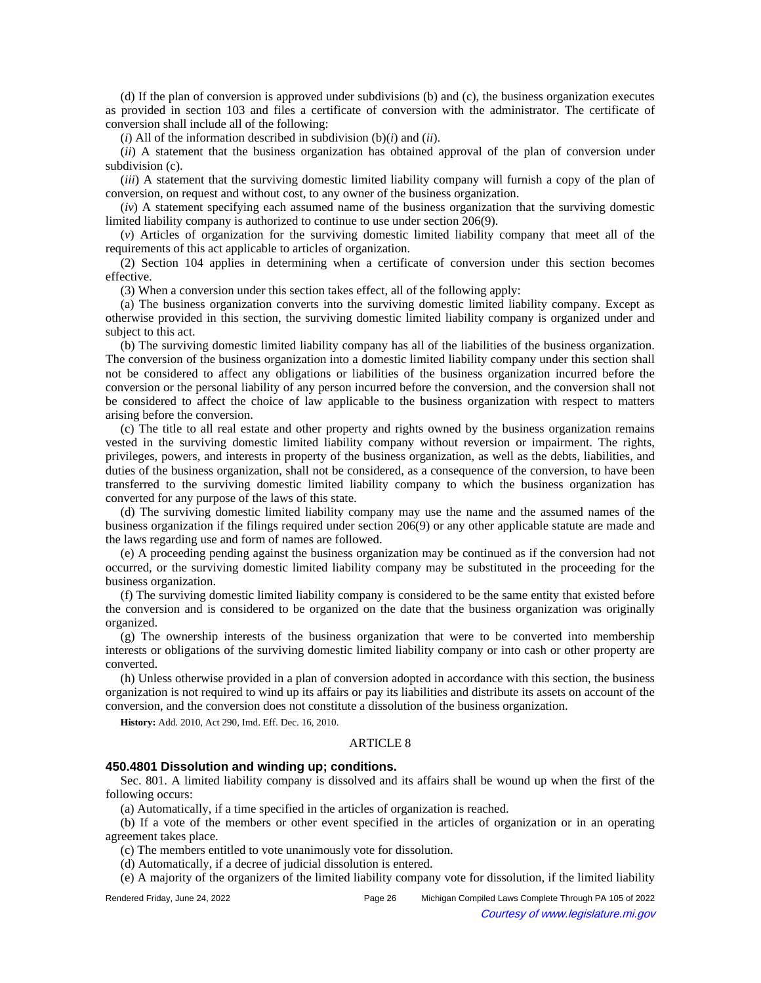(d) If the plan of conversion is approved under subdivisions (b) and (c), the business organization executes as provided in section 103 and files a certificate of conversion with the administrator. The certificate of conversion shall include all of the following:

 $(i)$  All of the information described in subdivision  $(b)(i)$  and  $(ii)$ .

(*ii*) A statement that the business organization has obtained approval of the plan of conversion under subdivision (c).

(*iii*) A statement that the surviving domestic limited liability company will furnish a copy of the plan of conversion, on request and without cost, to any owner of the business organization.

(*iv*) A statement specifying each assumed name of the business organization that the surviving domestic limited liability company is authorized to continue to use under section 206(9).

(*v*) Articles of organization for the surviving domestic limited liability company that meet all of the requirements of this act applicable to articles of organization.

(2) Section 104 applies in determining when a certificate of conversion under this section becomes effective.

(3) When a conversion under this section takes effect, all of the following apply:

(a) The business organization converts into the surviving domestic limited liability company. Except as otherwise provided in this section, the surviving domestic limited liability company is organized under and subject to this act.

(b) The surviving domestic limited liability company has all of the liabilities of the business organization. The conversion of the business organization into a domestic limited liability company under this section shall not be considered to affect any obligations or liabilities of the business organization incurred before the conversion or the personal liability of any person incurred before the conversion, and the conversion shall not be considered to affect the choice of law applicable to the business organization with respect to matters arising before the conversion.

(c) The title to all real estate and other property and rights owned by the business organization remains vested in the surviving domestic limited liability company without reversion or impairment. The rights, privileges, powers, and interests in property of the business organization, as well as the debts, liabilities, and duties of the business organization, shall not be considered, as a consequence of the conversion, to have been transferred to the surviving domestic limited liability company to which the business organization has converted for any purpose of the laws of this state.

(d) The surviving domestic limited liability company may use the name and the assumed names of the business organization if the filings required under section 206(9) or any other applicable statute are made and the laws regarding use and form of names are followed.

(e) A proceeding pending against the business organization may be continued as if the conversion had not occurred, or the surviving domestic limited liability company may be substituted in the proceeding for the business organization.

(f) The surviving domestic limited liability company is considered to be the same entity that existed before the conversion and is considered to be organized on the date that the business organization was originally organized.

(g) The ownership interests of the business organization that were to be converted into membership interests or obligations of the surviving domestic limited liability company or into cash or other property are converted.

(h) Unless otherwise provided in a plan of conversion adopted in accordance with this section, the business organization is not required to wind up its affairs or pay its liabilities and distribute its assets on account of the conversion, and the conversion does not constitute a dissolution of the business organization.

**History:** Add. 2010, Act 290, Imd. Eff. Dec. 16, 2010.

### ARTICLE 8

#### **450.4801 Dissolution and winding up; conditions.**

Sec. 801. A limited liability company is dissolved and its affairs shall be wound up when the first of the following occurs:

(a) Automatically, if a time specified in the articles of organization is reached.

(b) If a vote of the members or other event specified in the articles of organization or in an operating agreement takes place.

(c) The members entitled to vote unanimously vote for dissolution.

(d) Automatically, if a decree of judicial dissolution is entered.

(e) A majority of the organizers of the limited liability company vote for dissolution, if the limited liability

Rendered Friday, June 24, 2022 Page 26 Michigan Compiled Laws Complete Through PA 105 of 2022 Courtesy of www.legislature.mi.gov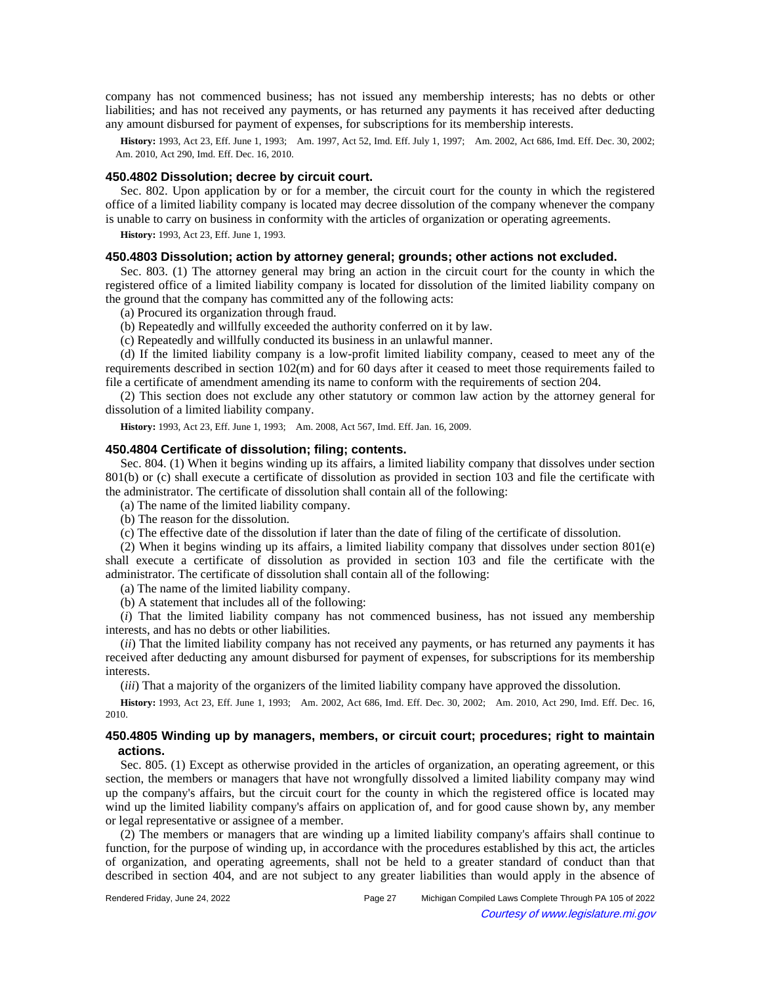company has not commenced business; has not issued any membership interests; has no debts or other liabilities; and has not received any payments, or has returned any payments it has received after deducting any amount disbursed for payment of expenses, for subscriptions for its membership interests.

History: 1993, Act 23, Eff. June 1, 1993;—Am. 1997, Act 52, Imd. Eff. July 1, 1997;—Am. 2002, Act 686, Imd. Eff. Dec. 30, 2002; Am. 2010, Act 290, Imd. Eff. Dec. 16, 2010.

## **450.4802 Dissolution; decree by circuit court.**

Sec. 802. Upon application by or for a member, the circuit court for the county in which the registered office of a limited liability company is located may decree dissolution of the company whenever the company is unable to carry on business in conformity with the articles of organization or operating agreements.

**History:** 1993, Act 23, Eff. June 1, 1993.

#### **450.4803 Dissolution; action by attorney general; grounds; other actions not excluded.**

Sec. 803. (1) The attorney general may bring an action in the circuit court for the county in which the registered office of a limited liability company is located for dissolution of the limited liability company on the ground that the company has committed any of the following acts:

(a) Procured its organization through fraud.

(b) Repeatedly and willfully exceeded the authority conferred on it by law.

(c) Repeatedly and willfully conducted its business in an unlawful manner.

(d) If the limited liability company is a low-profit limited liability company, ceased to meet any of the requirements described in section 102(m) and for 60 days after it ceased to meet those requirements failed to file a certificate of amendment amending its name to conform with the requirements of section 204.

(2) This section does not exclude any other statutory or common law action by the attorney general for dissolution of a limited liability company.

History: 1993, Act 23, Eff. June 1, 1993;-- Am. 2008, Act 567, Imd. Eff. Jan. 16, 2009.

## **450.4804 Certificate of dissolution; filing; contents.**

Sec. 804. (1) When it begins winding up its affairs, a limited liability company that dissolves under section 801(b) or (c) shall execute a certificate of dissolution as provided in section 103 and file the certificate with the administrator. The certificate of dissolution shall contain all of the following:

(a) The name of the limited liability company.

(b) The reason for the dissolution.

(c) The effective date of the dissolution if later than the date of filing of the certificate of dissolution.

(2) When it begins winding up its affairs, a limited liability company that dissolves under section 801(e) shall execute a certificate of dissolution as provided in section 103 and file the certificate with the administrator. The certificate of dissolution shall contain all of the following:

(a) The name of the limited liability company.

(b) A statement that includes all of the following:

(*i*) That the limited liability company has not commenced business, has not issued any membership interests, and has no debts or other liabilities.

(*ii*) That the limited liability company has not received any payments, or has returned any payments it has received after deducting any amount disbursed for payment of expenses, for subscriptions for its membership interests.

(*iii*) That a majority of the organizers of the limited liability company have approved the dissolution.

History: 1993, Act 23, Eff. June 1, 1993;—Am. 2002, Act 686, Imd. Eff. Dec. 30, 2002;—Am. 2010, Act 290, Imd. Eff. Dec. 16, 2010.

## **450.4805 Winding up by managers, members, or circuit court; procedures; right to maintain actions.**

Sec. 805. (1) Except as otherwise provided in the articles of organization, an operating agreement, or this section, the members or managers that have not wrongfully dissolved a limited liability company may wind up the company's affairs, but the circuit court for the county in which the registered office is located may wind up the limited liability company's affairs on application of, and for good cause shown by, any member or legal representative or assignee of a member.

(2) The members or managers that are winding up a limited liability company's affairs shall continue to function, for the purpose of winding up, in accordance with the procedures established by this act, the articles of organization, and operating agreements, shall not be held to a greater standard of conduct than that described in section 404, and are not subject to any greater liabilities than would apply in the absence of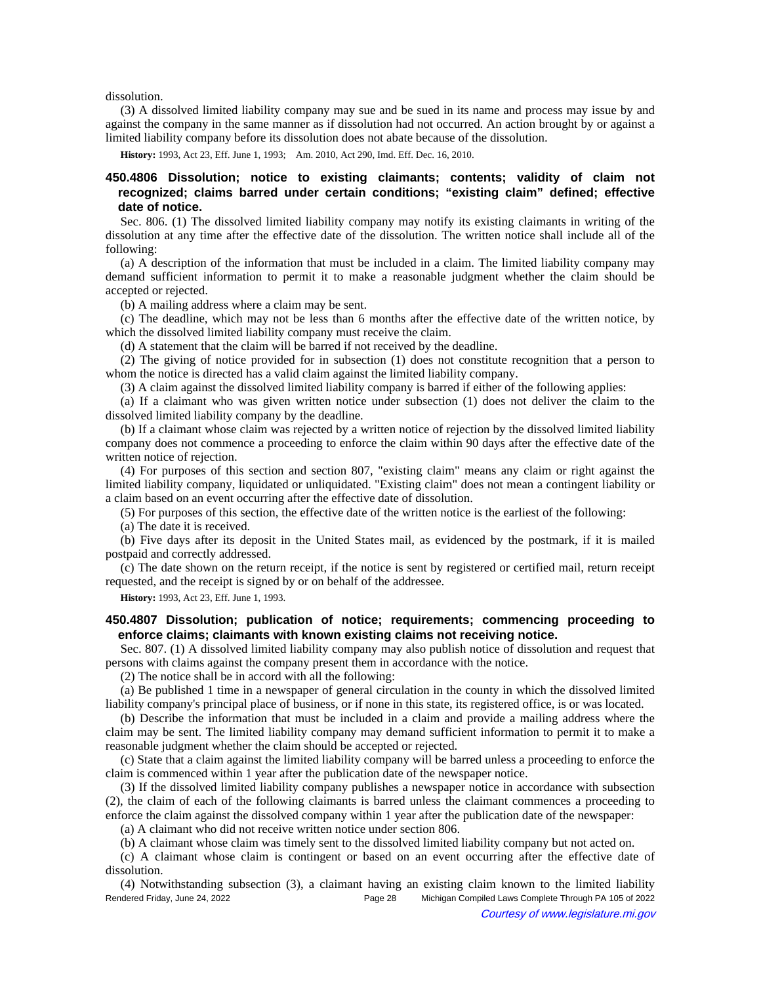dissolution.

(3) A dissolved limited liability company may sue and be sued in its name and process may issue by and against the company in the same manner as if dissolution had not occurred. An action brought by or against a limited liability company before its dissolution does not abate because of the dissolution.

**History:** 1993, Act 23, Eff. June 1, 1993;—Am. 2010, Act 290, Imd. Eff. Dec. 16, 2010.

# **450.4806 Dissolution; notice to existing claimants; contents; validity of claim not recognized; claims barred under certain conditions; "existing claim" defined; effective date of notice.**

Sec. 806. (1) The dissolved limited liability company may notify its existing claimants in writing of the dissolution at any time after the effective date of the dissolution. The written notice shall include all of the following:

(a) A description of the information that must be included in a claim. The limited liability company may demand sufficient information to permit it to make a reasonable judgment whether the claim should be accepted or rejected.

(b) A mailing address where a claim may be sent.

(c) The deadline, which may not be less than 6 months after the effective date of the written notice, by which the dissolved limited liability company must receive the claim.

(d) A statement that the claim will be barred if not received by the deadline.

(2) The giving of notice provided for in subsection (1) does not constitute recognition that a person to whom the notice is directed has a valid claim against the limited liability company.

(3) A claim against the dissolved limited liability company is barred if either of the following applies:

(a) If a claimant who was given written notice under subsection (1) does not deliver the claim to the dissolved limited liability company by the deadline.

(b) If a claimant whose claim was rejected by a written notice of rejection by the dissolved limited liability company does not commence a proceeding to enforce the claim within 90 days after the effective date of the written notice of rejection.

(4) For purposes of this section and section 807, "existing claim" means any claim or right against the limited liability company, liquidated or unliquidated. "Existing claim" does not mean a contingent liability or a claim based on an event occurring after the effective date of dissolution.

(5) For purposes of this section, the effective date of the written notice is the earliest of the following:

(a) The date it is received.

(b) Five days after its deposit in the United States mail, as evidenced by the postmark, if it is mailed postpaid and correctly addressed.

(c) The date shown on the return receipt, if the notice is sent by registered or certified mail, return receipt requested, and the receipt is signed by or on behalf of the addressee.

**History:** 1993, Act 23, Eff. June 1, 1993.

## **450.4807 Dissolution; publication of notice; requirements; commencing proceeding to enforce claims; claimants with known existing claims not receiving notice.**

Sec. 807. (1) A dissolved limited liability company may also publish notice of dissolution and request that persons with claims against the company present them in accordance with the notice.

(2) The notice shall be in accord with all the following:

(a) Be published 1 time in a newspaper of general circulation in the county in which the dissolved limited liability company's principal place of business, or if none in this state, its registered office, is or was located.

(b) Describe the information that must be included in a claim and provide a mailing address where the claim may be sent. The limited liability company may demand sufficient information to permit it to make a reasonable judgment whether the claim should be accepted or rejected.

(c) State that a claim against the limited liability company will be barred unless a proceeding to enforce the claim is commenced within 1 year after the publication date of the newspaper notice.

(3) If the dissolved limited liability company publishes a newspaper notice in accordance with subsection (2), the claim of each of the following claimants is barred unless the claimant commences a proceeding to enforce the claim against the dissolved company within 1 year after the publication date of the newspaper:

(a) A claimant who did not receive written notice under section 806.

(b) A claimant whose claim was timely sent to the dissolved limited liability company but not acted on.

(c) A claimant whose claim is contingent or based on an event occurring after the effective date of dissolution.

(4) Notwithstanding subsection (3), a claimant having an existing claim known to the limited liability Rendered Friday, June 24, 2022 Page 28 Michigan Compiled Laws Complete Through PA 105 of 2022 Courtesy of www.legislature.mi.gov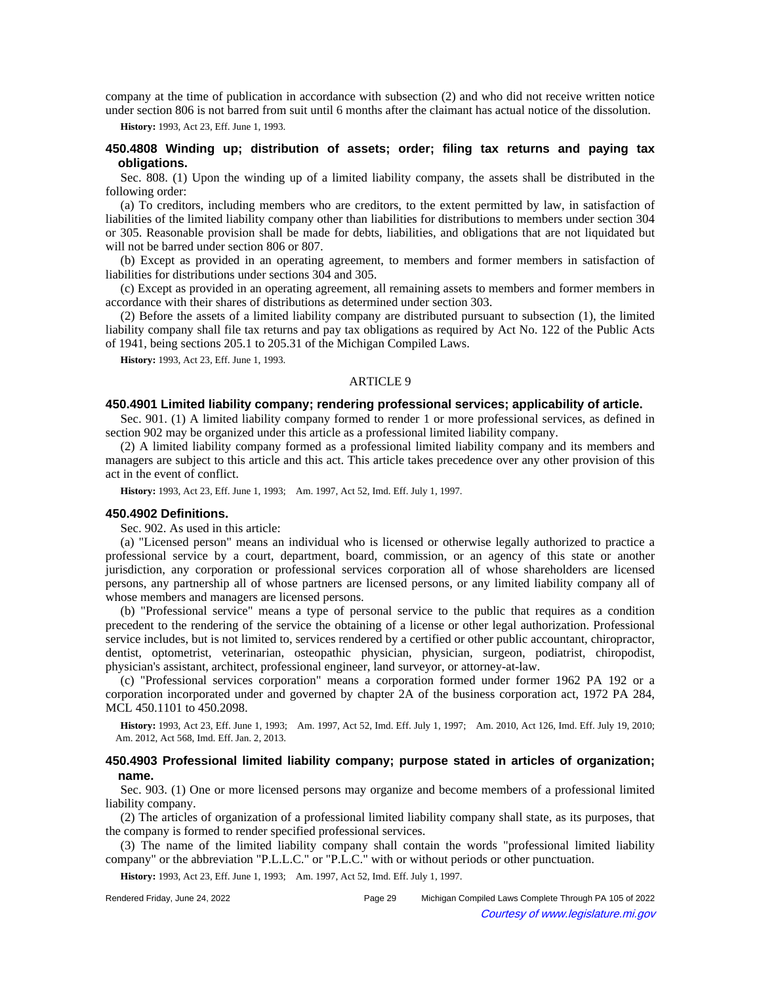company at the time of publication in accordance with subsection (2) and who did not receive written notice under section 806 is not barred from suit until 6 months after the claimant has actual notice of the dissolution.

**History:** 1993, Act 23, Eff. June 1, 1993.

## **450.4808 Winding up; distribution of assets; order; filing tax returns and paying tax obligations.**

Sec. 808. (1) Upon the winding up of a limited liability company, the assets shall be distributed in the following order:

(a) To creditors, including members who are creditors, to the extent permitted by law, in satisfaction of liabilities of the limited liability company other than liabilities for distributions to members under section 304 or 305. Reasonable provision shall be made for debts, liabilities, and obligations that are not liquidated but will not be barred under section 806 or 807.

(b) Except as provided in an operating agreement, to members and former members in satisfaction of liabilities for distributions under sections 304 and 305.

(c) Except as provided in an operating agreement, all remaining assets to members and former members in accordance with their shares of distributions as determined under section 303.

(2) Before the assets of a limited liability company are distributed pursuant to subsection (1), the limited liability company shall file tax returns and pay tax obligations as required by Act No. 122 of the Public Acts of 1941, being sections 205.1 to 205.31 of the Michigan Compiled Laws.

**History:** 1993, Act 23, Eff. June 1, 1993.

## ARTICLE 9

## **450.4901 Limited liability company; rendering professional services; applicability of article.**

Sec. 901. (1) A limited liability company formed to render 1 or more professional services, as defined in section 902 may be organized under this article as a professional limited liability company.

(2) A limited liability company formed as a professional limited liability company and its members and managers are subject to this article and this act. This article takes precedence over any other provision of this act in the event of conflict.

History: 1993, Act 23, Eff. June 1, 1993;-Am. 1997, Act 52, Imd. Eff. July 1, 1997.

#### **450.4902 Definitions.**

Sec. 902. As used in this article:

(a) "Licensed person" means an individual who is licensed or otherwise legally authorized to practice a professional service by a court, department, board, commission, or an agency of this state or another jurisdiction, any corporation or professional services corporation all of whose shareholders are licensed persons, any partnership all of whose partners are licensed persons, or any limited liability company all of whose members and managers are licensed persons.

(b) "Professional service" means a type of personal service to the public that requires as a condition precedent to the rendering of the service the obtaining of a license or other legal authorization. Professional service includes, but is not limited to, services rendered by a certified or other public accountant, chiropractor, dentist, optometrist, veterinarian, osteopathic physician, physician, surgeon, podiatrist, chiropodist, physician's assistant, architect, professional engineer, land surveyor, or attorney-at-law.

(c) "Professional services corporation" means a corporation formed under former 1962 PA 192 or a corporation incorporated under and governed by chapter 2A of the business corporation act, 1972 PA 284, MCL 450.1101 to 450.2098.

**History:** 1993, Act 23, Eff. June 1, 1993;—Am. 1997, Act 52, Imd. Eff. July 1, 1997;—Am. 2010, Act 126, Imd. Eff. July 19, 2010; Am. 2012, Act 568, Imd. Eff. Jan. 2, 2013.

## **450.4903 Professional limited liability company; purpose stated in articles of organization; name.**

Sec. 903. (1) One or more licensed persons may organize and become members of a professional limited liability company.

(2) The articles of organization of a professional limited liability company shall state, as its purposes, that the company is formed to render specified professional services.

(3) The name of the limited liability company shall contain the words "professional limited liability company" or the abbreviation "P.L.L.C." or "P.L.C." with or without periods or other punctuation.

**History:** 1993, Act 23, Eff. June 1, 1993;—Am. 1997, Act 52, Imd. Eff. July 1, 1997.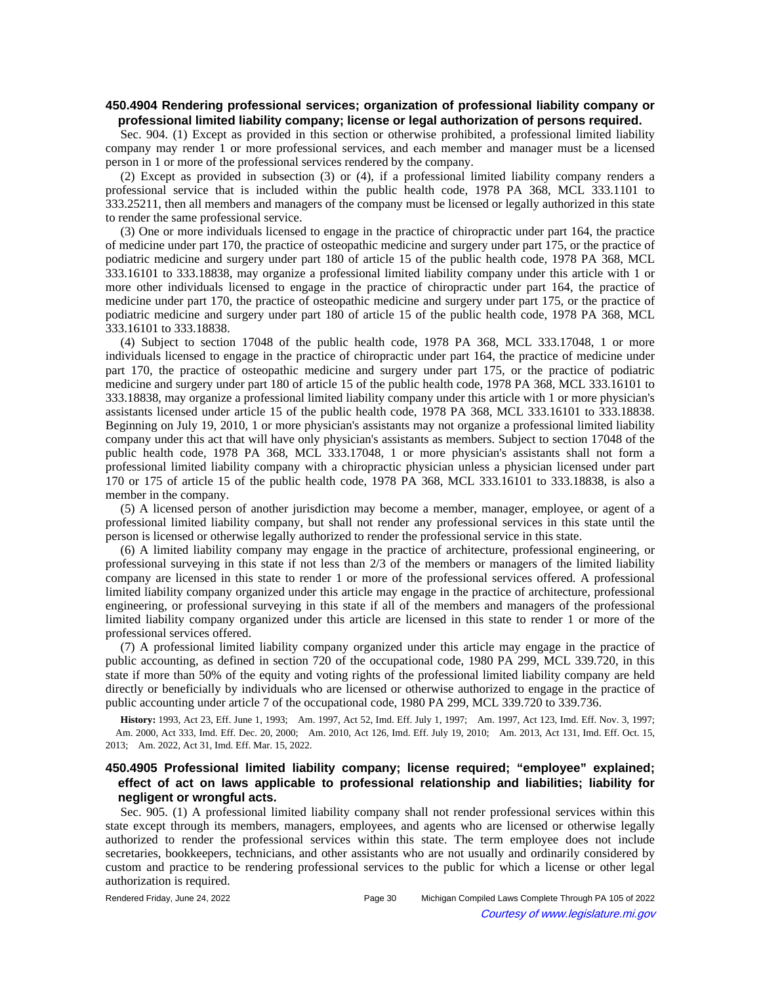## **450.4904 Rendering professional services; organization of professional liability company or professional limited liability company; license or legal authorization of persons required.**

Sec. 904. (1) Except as provided in this section or otherwise prohibited, a professional limited liability company may render 1 or more professional services, and each member and manager must be a licensed person in 1 or more of the professional services rendered by the company.

(2) Except as provided in subsection (3) or (4), if a professional limited liability company renders a professional service that is included within the public health code, 1978 PA 368, MCL 333.1101 to 333.25211, then all members and managers of the company must be licensed or legally authorized in this state to render the same professional service.

(3) One or more individuals licensed to engage in the practice of chiropractic under part 164, the practice of medicine under part 170, the practice of osteopathic medicine and surgery under part 175, or the practice of podiatric medicine and surgery under part 180 of article 15 of the public health code, 1978 PA 368, MCL 333.16101 to 333.18838, may organize a professional limited liability company under this article with 1 or more other individuals licensed to engage in the practice of chiropractic under part 164, the practice of medicine under part 170, the practice of osteopathic medicine and surgery under part 175, or the practice of podiatric medicine and surgery under part 180 of article 15 of the public health code, 1978 PA 368, MCL 333.16101 to 333.18838.

(4) Subject to section 17048 of the public health code, 1978 PA 368, MCL 333.17048, 1 or more individuals licensed to engage in the practice of chiropractic under part 164, the practice of medicine under part 170, the practice of osteopathic medicine and surgery under part 175, or the practice of podiatric medicine and surgery under part 180 of article 15 of the public health code, 1978 PA 368, MCL 333.16101 to 333.18838, may organize a professional limited liability company under this article with 1 or more physician's assistants licensed under article 15 of the public health code, 1978 PA 368, MCL 333.16101 to 333.18838. Beginning on July 19, 2010, 1 or more physician's assistants may not organize a professional limited liability company under this act that will have only physician's assistants as members. Subject to section 17048 of the public health code, 1978 PA 368, MCL 333.17048, 1 or more physician's assistants shall not form a professional limited liability company with a chiropractic physician unless a physician licensed under part 170 or 175 of article 15 of the public health code, 1978 PA 368, MCL 333.16101 to 333.18838, is also a member in the company.

(5) A licensed person of another jurisdiction may become a member, manager, employee, or agent of a professional limited liability company, but shall not render any professional services in this state until the person is licensed or otherwise legally authorized to render the professional service in this state.

(6) A limited liability company may engage in the practice of architecture, professional engineering, or professional surveying in this state if not less than 2/3 of the members or managers of the limited liability company are licensed in this state to render 1 or more of the professional services offered. A professional limited liability company organized under this article may engage in the practice of architecture, professional engineering, or professional surveying in this state if all of the members and managers of the professional limited liability company organized under this article are licensed in this state to render 1 or more of the professional services offered.

(7) A professional limited liability company organized under this article may engage in the practice of public accounting, as defined in section 720 of the occupational code, 1980 PA 299, MCL 339.720, in this state if more than 50% of the equity and voting rights of the professional limited liability company are held directly or beneficially by individuals who are licensed or otherwise authorized to engage in the practice of public accounting under article 7 of the occupational code, 1980 PA 299, MCL 339.720 to 339.736.

History: 1993, Act 23, Eff. June 1, 1993;—Am. 1997, Act 52, Imd. Eff. July 1, 1997;—Am. 1997, Act 123, Imd. Eff. Nov. 3, 1997; Am. 2000, Act 333, Imd. Eff. Dec. 20, 2000;—Am. 2010, Act 126, Imd. Eff. July 19, 2010;—Am. 2013, Act 131, Imd. Eff. Oct. 15, 2013; Am. 2022, Act 31, Imd. Eff. Mar. 15, 2022.

# **450.4905 Professional limited liability company; license required; "employee" explained; effect of act on laws applicable to professional relationship and liabilities; liability for negligent or wrongful acts.**

Sec. 905. (1) A professional limited liability company shall not render professional services within this state except through its members, managers, employees, and agents who are licensed or otherwise legally authorized to render the professional services within this state. The term employee does not include secretaries, bookkeepers, technicians, and other assistants who are not usually and ordinarily considered by custom and practice to be rendering professional services to the public for which a license or other legal authorization is required.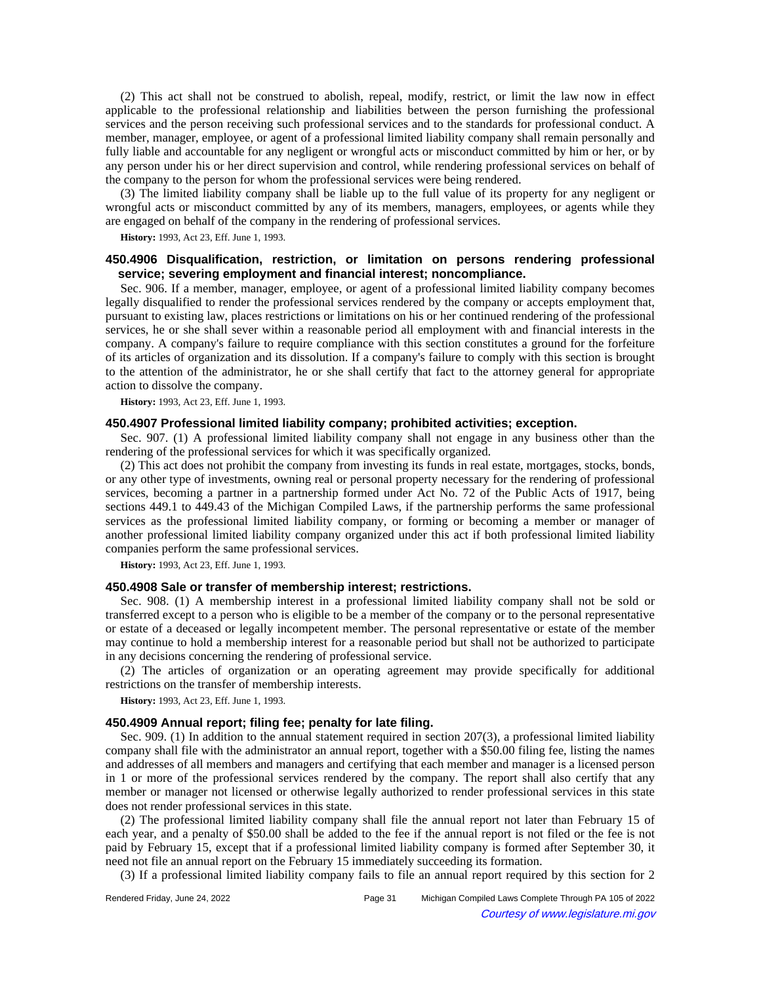(2) This act shall not be construed to abolish, repeal, modify, restrict, or limit the law now in effect applicable to the professional relationship and liabilities between the person furnishing the professional services and the person receiving such professional services and to the standards for professional conduct. A member, manager, employee, or agent of a professional limited liability company shall remain personally and fully liable and accountable for any negligent or wrongful acts or misconduct committed by him or her, or by any person under his or her direct supervision and control, while rendering professional services on behalf of the company to the person for whom the professional services were being rendered.

(3) The limited liability company shall be liable up to the full value of its property for any negligent or wrongful acts or misconduct committed by any of its members, managers, employees, or agents while they are engaged on behalf of the company in the rendering of professional services.

**History:** 1993, Act 23, Eff. June 1, 1993.

# **450.4906 Disqualification, restriction, or limitation on persons rendering professional service; severing employment and financial interest; noncompliance.**

Sec. 906. If a member, manager, employee, or agent of a professional limited liability company becomes legally disqualified to render the professional services rendered by the company or accepts employment that, pursuant to existing law, places restrictions or limitations on his or her continued rendering of the professional services, he or she shall sever within a reasonable period all employment with and financial interests in the company. A company's failure to require compliance with this section constitutes a ground for the forfeiture of its articles of organization and its dissolution. If a company's failure to comply with this section is brought to the attention of the administrator, he or she shall certify that fact to the attorney general for appropriate action to dissolve the company.

**History:** 1993, Act 23, Eff. June 1, 1993.

## **450.4907 Professional limited liability company; prohibited activities; exception.**

Sec. 907. (1) A professional limited liability company shall not engage in any business other than the rendering of the professional services for which it was specifically organized.

(2) This act does not prohibit the company from investing its funds in real estate, mortgages, stocks, bonds, or any other type of investments, owning real or personal property necessary for the rendering of professional services, becoming a partner in a partnership formed under Act No. 72 of the Public Acts of 1917, being sections 449.1 to 449.43 of the Michigan Compiled Laws, if the partnership performs the same professional services as the professional limited liability company, or forming or becoming a member or manager of another professional limited liability company organized under this act if both professional limited liability companies perform the same professional services.

**History:** 1993, Act 23, Eff. June 1, 1993.

## **450.4908 Sale or transfer of membership interest; restrictions.**

Sec. 908. (1) A membership interest in a professional limited liability company shall not be sold or transferred except to a person who is eligible to be a member of the company or to the personal representative or estate of a deceased or legally incompetent member. The personal representative or estate of the member may continue to hold a membership interest for a reasonable period but shall not be authorized to participate in any decisions concerning the rendering of professional service.

(2) The articles of organization or an operating agreement may provide specifically for additional restrictions on the transfer of membership interests.

**History:** 1993, Act 23, Eff. June 1, 1993.

## **450.4909 Annual report; filing fee; penalty for late filing.**

Sec. 909. (1) In addition to the annual statement required in section 207(3), a professional limited liability company shall file with the administrator an annual report, together with a \$50.00 filing fee, listing the names and addresses of all members and managers and certifying that each member and manager is a licensed person in 1 or more of the professional services rendered by the company. The report shall also certify that any member or manager not licensed or otherwise legally authorized to render professional services in this state does not render professional services in this state.

(2) The professional limited liability company shall file the annual report not later than February 15 of each year, and a penalty of \$50.00 shall be added to the fee if the annual report is not filed or the fee is not paid by February 15, except that if a professional limited liability company is formed after September 30, it need not file an annual report on the February 15 immediately succeeding its formation.

(3) If a professional limited liability company fails to file an annual report required by this section for 2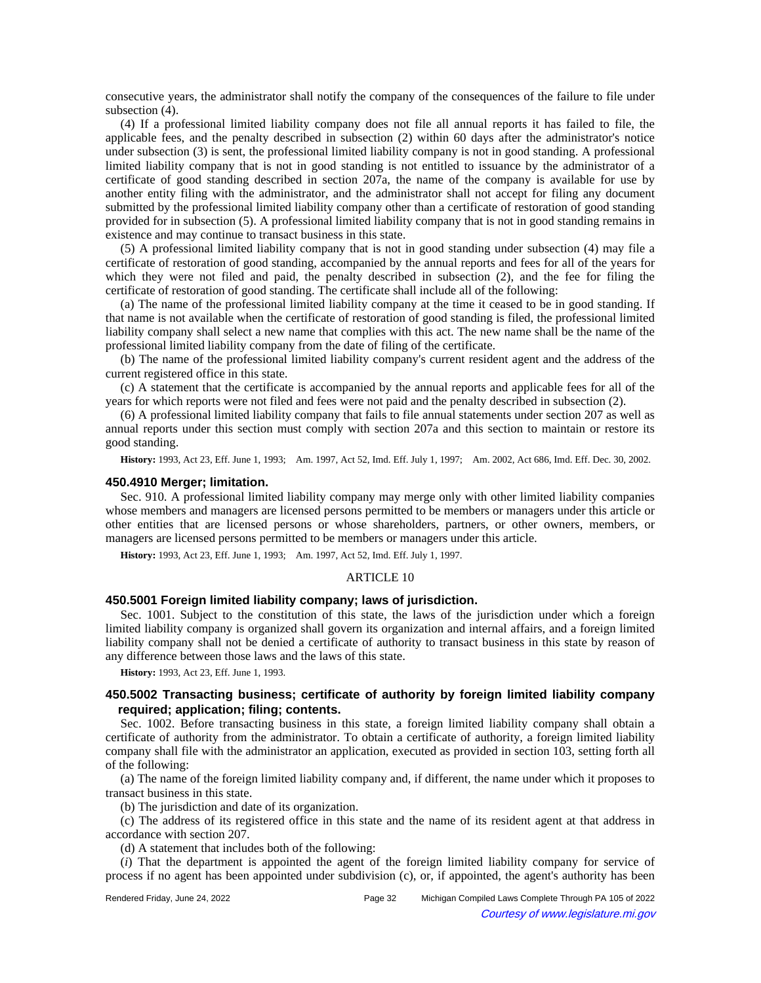consecutive years, the administrator shall notify the company of the consequences of the failure to file under subsection (4).

(4) If a professional limited liability company does not file all annual reports it has failed to file, the applicable fees, and the penalty described in subsection (2) within 60 days after the administrator's notice under subsection (3) is sent, the professional limited liability company is not in good standing. A professional limited liability company that is not in good standing is not entitled to issuance by the administrator of a certificate of good standing described in section 207a, the name of the company is available for use by another entity filing with the administrator, and the administrator shall not accept for filing any document submitted by the professional limited liability company other than a certificate of restoration of good standing provided for in subsection (5). A professional limited liability company that is not in good standing remains in existence and may continue to transact business in this state.

(5) A professional limited liability company that is not in good standing under subsection (4) may file a certificate of restoration of good standing, accompanied by the annual reports and fees for all of the years for which they were not filed and paid, the penalty described in subsection (2), and the fee for filing the certificate of restoration of good standing. The certificate shall include all of the following:

(a) The name of the professional limited liability company at the time it ceased to be in good standing. If that name is not available when the certificate of restoration of good standing is filed, the professional limited liability company shall select a new name that complies with this act. The new name shall be the name of the professional limited liability company from the date of filing of the certificate.

(b) The name of the professional limited liability company's current resident agent and the address of the current registered office in this state.

(c) A statement that the certificate is accompanied by the annual reports and applicable fees for all of the years for which reports were not filed and fees were not paid and the penalty described in subsection (2).

(6) A professional limited liability company that fails to file annual statements under section 207 as well as annual reports under this section must comply with section 207a and this section to maintain or restore its good standing.

History: 1993, Act 23, Eff. June 1, 1993;—Am. 1997, Act 52, Imd. Eff. July 1, 1997;—Am. 2002, Act 686, Imd. Eff. Dec. 30, 2002.

#### **450.4910 Merger; limitation.**

Sec. 910. A professional limited liability company may merge only with other limited liability companies whose members and managers are licensed persons permitted to be members or managers under this article or other entities that are licensed persons or whose shareholders, partners, or other owners, members, or managers are licensed persons permitted to be members or managers under this article.

**History:** 1993, Act 23, Eff. June 1, 1993;—Am. 1997, Act 52, Imd. Eff. July 1, 1997.

### ARTICLE 10

# **450.5001 Foreign limited liability company; laws of jurisdiction.**

Sec. 1001. Subject to the constitution of this state, the laws of the jurisdiction under which a foreign limited liability company is organized shall govern its organization and internal affairs, and a foreign limited liability company shall not be denied a certificate of authority to transact business in this state by reason of any difference between those laws and the laws of this state.

**History:** 1993, Act 23, Eff. June 1, 1993.

## **450.5002 Transacting business; certificate of authority by foreign limited liability company required; application; filing; contents.**

Sec. 1002. Before transacting business in this state, a foreign limited liability company shall obtain a certificate of authority from the administrator. To obtain a certificate of authority, a foreign limited liability company shall file with the administrator an application, executed as provided in section 103, setting forth all of the following:

(a) The name of the foreign limited liability company and, if different, the name under which it proposes to transact business in this state.

(b) The jurisdiction and date of its organization.

(c) The address of its registered office in this state and the name of its resident agent at that address in accordance with section 207.

(d) A statement that includes both of the following:

(*i*) That the department is appointed the agent of the foreign limited liability company for service of process if no agent has been appointed under subdivision (c), or, if appointed, the agent's authority has been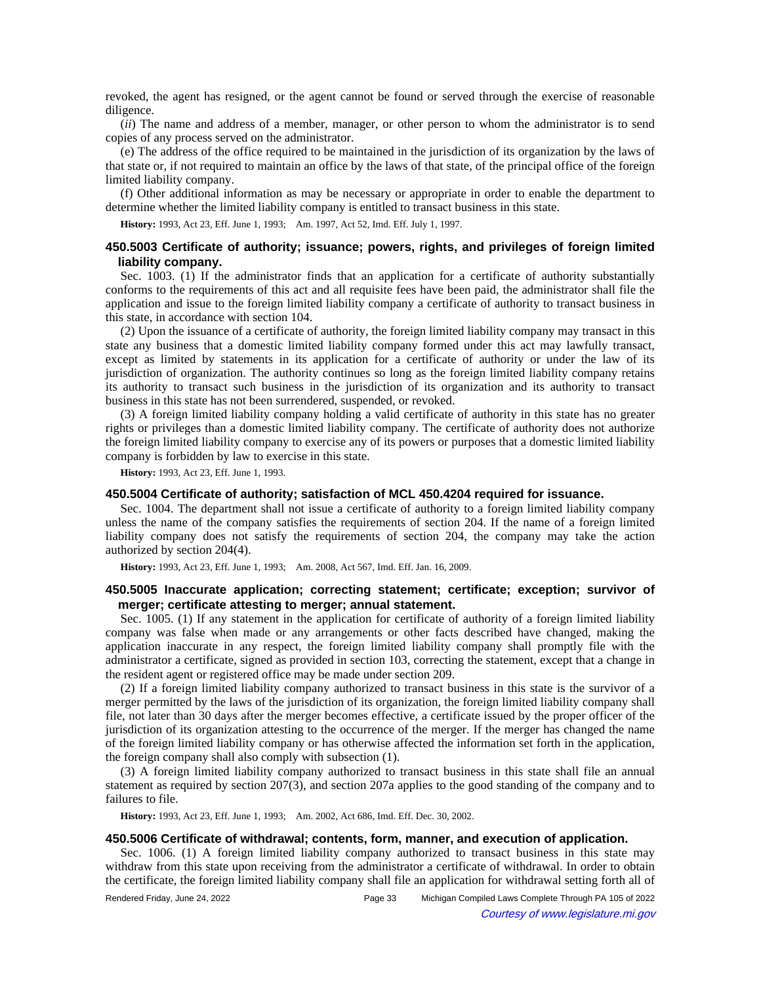revoked, the agent has resigned, or the agent cannot be found or served through the exercise of reasonable diligence.

(*ii*) The name and address of a member, manager, or other person to whom the administrator is to send copies of any process served on the administrator.

(e) The address of the office required to be maintained in the jurisdiction of its organization by the laws of that state or, if not required to maintain an office by the laws of that state, of the principal office of the foreign limited liability company.

(f) Other additional information as may be necessary or appropriate in order to enable the department to determine whether the limited liability company is entitled to transact business in this state.

History: 1993, Act 23, Eff. June 1, 1993;-Am. 1997, Act 52, Imd. Eff. July 1, 1997.

## **450.5003 Certificate of authority; issuance; powers, rights, and privileges of foreign limited liability company.**

Sec. 1003. (1) If the administrator finds that an application for a certificate of authority substantially conforms to the requirements of this act and all requisite fees have been paid, the administrator shall file the application and issue to the foreign limited liability company a certificate of authority to transact business in this state, in accordance with section 104.

(2) Upon the issuance of a certificate of authority, the foreign limited liability company may transact in this state any business that a domestic limited liability company formed under this act may lawfully transact, except as limited by statements in its application for a certificate of authority or under the law of its jurisdiction of organization. The authority continues so long as the foreign limited liability company retains its authority to transact such business in the jurisdiction of its organization and its authority to transact business in this state has not been surrendered, suspended, or revoked.

(3) A foreign limited liability company holding a valid certificate of authority in this state has no greater rights or privileges than a domestic limited liability company. The certificate of authority does not authorize the foreign limited liability company to exercise any of its powers or purposes that a domestic limited liability company is forbidden by law to exercise in this state.

**History:** 1993, Act 23, Eff. June 1, 1993.

#### **450.5004 Certificate of authority; satisfaction of MCL 450.4204 required for issuance.**

Sec. 1004. The department shall not issue a certificate of authority to a foreign limited liability company unless the name of the company satisfies the requirements of section 204. If the name of a foreign limited liability company does not satisfy the requirements of section 204, the company may take the action authorized by section 204(4).

History: 1993, Act 23, Eff. June 1, 1993;-- Am. 2008, Act 567, Imd. Eff. Jan. 16, 2009.

## **450.5005 Inaccurate application; correcting statement; certificate; exception; survivor of merger; certificate attesting to merger; annual statement.**

Sec. 1005. (1) If any statement in the application for certificate of authority of a foreign limited liability company was false when made or any arrangements or other facts described have changed, making the application inaccurate in any respect, the foreign limited liability company shall promptly file with the administrator a certificate, signed as provided in section 103, correcting the statement, except that a change in the resident agent or registered office may be made under section 209.

(2) If a foreign limited liability company authorized to transact business in this state is the survivor of a merger permitted by the laws of the jurisdiction of its organization, the foreign limited liability company shall file, not later than 30 days after the merger becomes effective, a certificate issued by the proper officer of the jurisdiction of its organization attesting to the occurrence of the merger. If the merger has changed the name of the foreign limited liability company or has otherwise affected the information set forth in the application, the foreign company shall also comply with subsection (1).

(3) A foreign limited liability company authorized to transact business in this state shall file an annual statement as required by section 207(3), and section 207a applies to the good standing of the company and to failures to file.

**History:** 1993, Act 23, Eff. June 1, 1993;—Am. 2002, Act 686, Imd. Eff. Dec. 30, 2002.

## **450.5006 Certificate of withdrawal; contents, form, manner, and execution of application.**

Sec. 1006. (1) A foreign limited liability company authorized to transact business in this state may withdraw from this state upon receiving from the administrator a certificate of withdrawal. In order to obtain the certificate, the foreign limited liability company shall file an application for withdrawal setting forth all of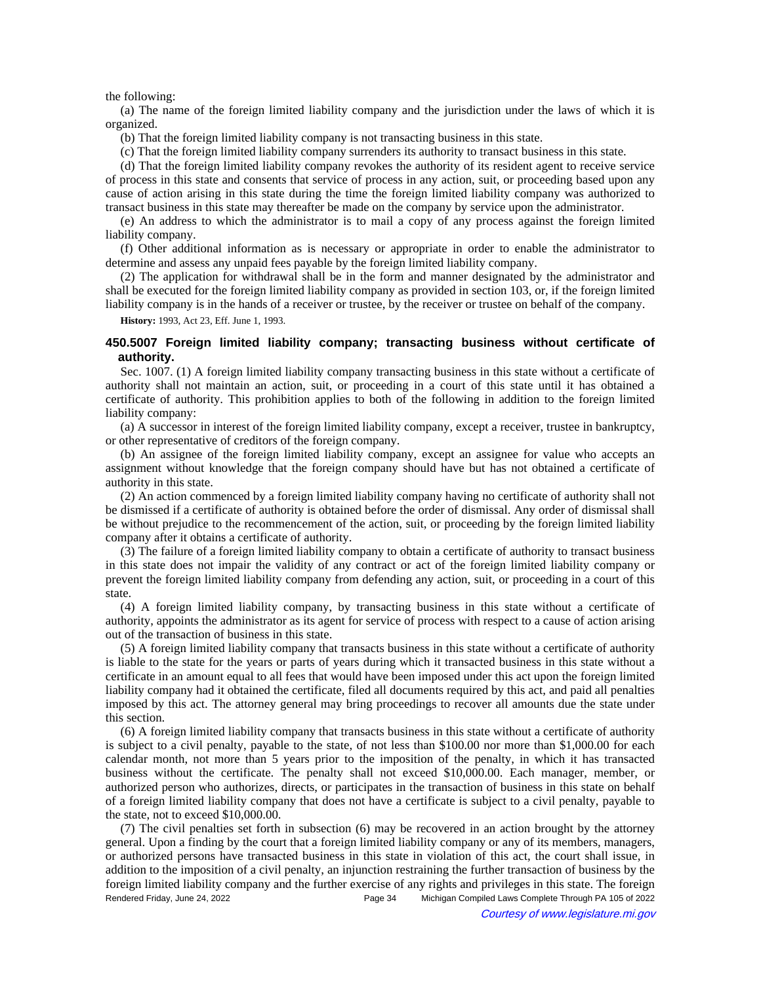### the following:

(a) The name of the foreign limited liability company and the jurisdiction under the laws of which it is organized.

(b) That the foreign limited liability company is not transacting business in this state.

(c) That the foreign limited liability company surrenders its authority to transact business in this state.

(d) That the foreign limited liability company revokes the authority of its resident agent to receive service of process in this state and consents that service of process in any action, suit, or proceeding based upon any cause of action arising in this state during the time the foreign limited liability company was authorized to transact business in this state may thereafter be made on the company by service upon the administrator.

(e) An address to which the administrator is to mail a copy of any process against the foreign limited liability company.

(f) Other additional information as is necessary or appropriate in order to enable the administrator to determine and assess any unpaid fees payable by the foreign limited liability company.

(2) The application for withdrawal shall be in the form and manner designated by the administrator and shall be executed for the foreign limited liability company as provided in section 103, or, if the foreign limited liability company is in the hands of a receiver or trustee, by the receiver or trustee on behalf of the company.

**History:** 1993, Act 23, Eff. June 1, 1993.

## **450.5007 Foreign limited liability company; transacting business without certificate of authority.**

Sec. 1007. (1) A foreign limited liability company transacting business in this state without a certificate of authority shall not maintain an action, suit, or proceeding in a court of this state until it has obtained a certificate of authority. This prohibition applies to both of the following in addition to the foreign limited liability company:

(a) A successor in interest of the foreign limited liability company, except a receiver, trustee in bankruptcy, or other representative of creditors of the foreign company.

(b) An assignee of the foreign limited liability company, except an assignee for value who accepts an assignment without knowledge that the foreign company should have but has not obtained a certificate of authority in this state.

(2) An action commenced by a foreign limited liability company having no certificate of authority shall not be dismissed if a certificate of authority is obtained before the order of dismissal. Any order of dismissal shall be without prejudice to the recommencement of the action, suit, or proceeding by the foreign limited liability company after it obtains a certificate of authority.

(3) The failure of a foreign limited liability company to obtain a certificate of authority to transact business in this state does not impair the validity of any contract or act of the foreign limited liability company or prevent the foreign limited liability company from defending any action, suit, or proceeding in a court of this state.

(4) A foreign limited liability company, by transacting business in this state without a certificate of authority, appoints the administrator as its agent for service of process with respect to a cause of action arising out of the transaction of business in this state.

(5) A foreign limited liability company that transacts business in this state without a certificate of authority is liable to the state for the years or parts of years during which it transacted business in this state without a certificate in an amount equal to all fees that would have been imposed under this act upon the foreign limited liability company had it obtained the certificate, filed all documents required by this act, and paid all penalties imposed by this act. The attorney general may bring proceedings to recover all amounts due the state under this section.

(6) A foreign limited liability company that transacts business in this state without a certificate of authority is subject to a civil penalty, payable to the state, of not less than \$100.00 nor more than \$1,000.00 for each calendar month, not more than 5 years prior to the imposition of the penalty, in which it has transacted business without the certificate. The penalty shall not exceed \$10,000.00. Each manager, member, or authorized person who authorizes, directs, or participates in the transaction of business in this state on behalf of a foreign limited liability company that does not have a certificate is subject to a civil penalty, payable to the state, not to exceed \$10,000.00.

(7) The civil penalties set forth in subsection (6) may be recovered in an action brought by the attorney general. Upon a finding by the court that a foreign limited liability company or any of its members, managers, or authorized persons have transacted business in this state in violation of this act, the court shall issue, in addition to the imposition of a civil penalty, an injunction restraining the further transaction of business by the foreign limited liability company and the further exercise of any rights and privileges in this state. The foreign Rendered Friday, June 24, 2022 Page 34 Michigan Compiled Laws Complete Through PA 105 of 2022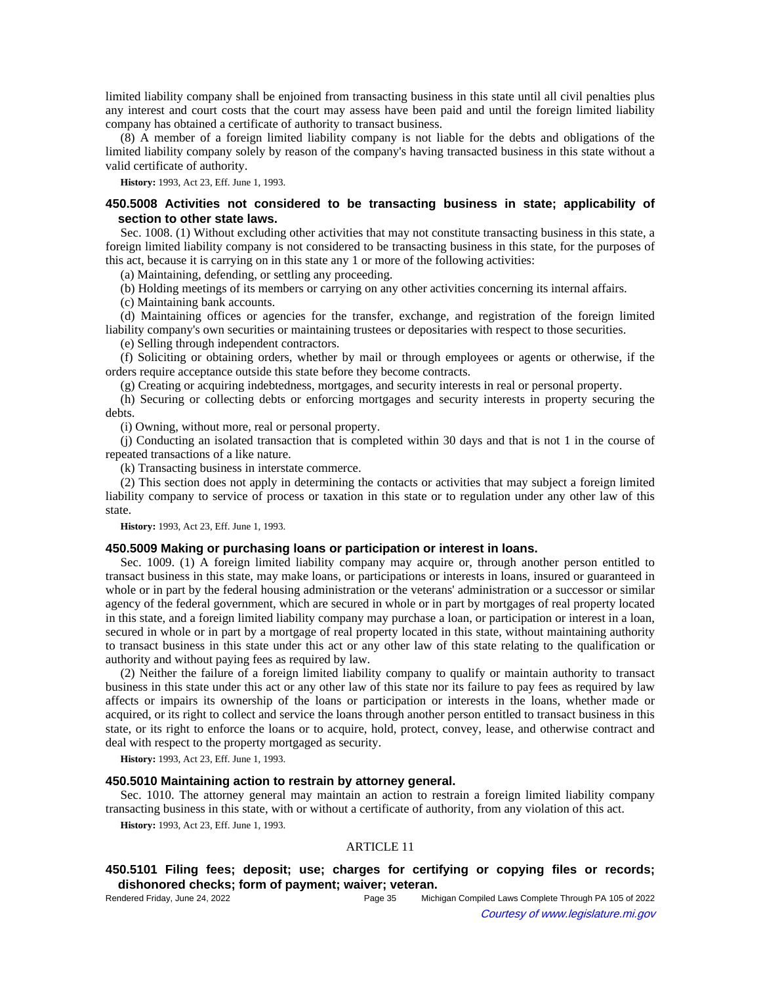limited liability company shall be enjoined from transacting business in this state until all civil penalties plus any interest and court costs that the court may assess have been paid and until the foreign limited liability company has obtained a certificate of authority to transact business.

(8) A member of a foreign limited liability company is not liable for the debts and obligations of the limited liability company solely by reason of the company's having transacted business in this state without a valid certificate of authority.

**History:** 1993, Act 23, Eff. June 1, 1993.

## **450.5008 Activities not considered to be transacting business in state; applicability of section to other state laws.**

Sec. 1008. (1) Without excluding other activities that may not constitute transacting business in this state, a foreign limited liability company is not considered to be transacting business in this state, for the purposes of this act, because it is carrying on in this state any 1 or more of the following activities:

(a) Maintaining, defending, or settling any proceeding.

(b) Holding meetings of its members or carrying on any other activities concerning its internal affairs.

(c) Maintaining bank accounts.

(d) Maintaining offices or agencies for the transfer, exchange, and registration of the foreign limited liability company's own securities or maintaining trustees or depositaries with respect to those securities.

(e) Selling through independent contractors.

(f) Soliciting or obtaining orders, whether by mail or through employees or agents or otherwise, if the orders require acceptance outside this state before they become contracts.

(g) Creating or acquiring indebtedness, mortgages, and security interests in real or personal property.

(h) Securing or collecting debts or enforcing mortgages and security interests in property securing the debts.

(i) Owning, without more, real or personal property.

(j) Conducting an isolated transaction that is completed within 30 days and that is not 1 in the course of repeated transactions of a like nature.

(k) Transacting business in interstate commerce.

(2) This section does not apply in determining the contacts or activities that may subject a foreign limited liability company to service of process or taxation in this state or to regulation under any other law of this state.

**History:** 1993, Act 23, Eff. June 1, 1993.

## **450.5009 Making or purchasing loans or participation or interest in loans.**

Sec. 1009. (1) A foreign limited liability company may acquire or, through another person entitled to transact business in this state, may make loans, or participations or interests in loans, insured or guaranteed in whole or in part by the federal housing administration or the veterans' administration or a successor or similar agency of the federal government, which are secured in whole or in part by mortgages of real property located in this state, and a foreign limited liability company may purchase a loan, or participation or interest in a loan, secured in whole or in part by a mortgage of real property located in this state, without maintaining authority to transact business in this state under this act or any other law of this state relating to the qualification or authority and without paying fees as required by law.

(2) Neither the failure of a foreign limited liability company to qualify or maintain authority to transact business in this state under this act or any other law of this state nor its failure to pay fees as required by law affects or impairs its ownership of the loans or participation or interests in the loans, whether made or acquired, or its right to collect and service the loans through another person entitled to transact business in this state, or its right to enforce the loans or to acquire, hold, protect, convey, lease, and otherwise contract and deal with respect to the property mortgaged as security.

**History:** 1993, Act 23, Eff. June 1, 1993.

## **450.5010 Maintaining action to restrain by attorney general.**

Sec. 1010. The attorney general may maintain an action to restrain a foreign limited liability company transacting business in this state, with or without a certificate of authority, from any violation of this act.

**History:** 1993, Act 23, Eff. June 1, 1993.

## ARTICLE 11

# **450.5101 Filing fees; deposit; use; charges for certifying or copying files or records; dishonored checks; form of payment; waiver; veteran.**

| Rendered Friday, June 24, 2022 | Page 35 | Michigan Compiled Laws Complete Through PA 105 of 2022 |
|--------------------------------|---------|--------------------------------------------------------|
| $\odot$                        |         | Courtesy of www.legislature.mi.gov                     |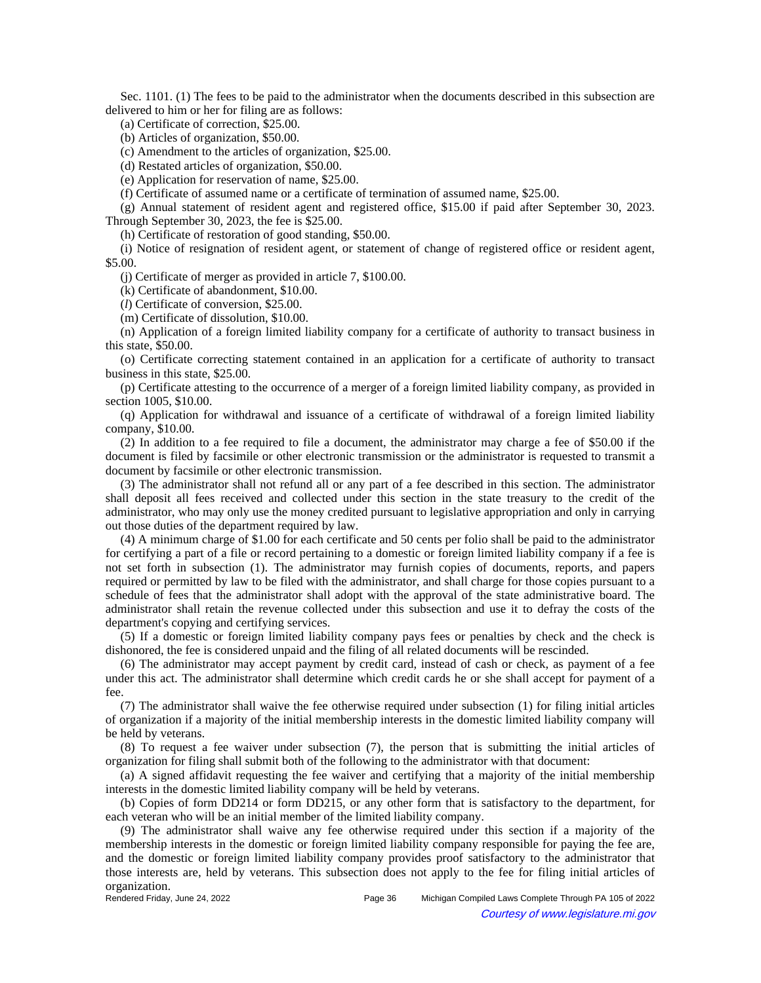Sec. 1101. (1) The fees to be paid to the administrator when the documents described in this subsection are delivered to him or her for filing are as follows:

(a) Certificate of correction, \$25.00.

(b) Articles of organization, \$50.00.

(c) Amendment to the articles of organization, \$25.00.

(d) Restated articles of organization, \$50.00.

(e) Application for reservation of name, \$25.00.

(f) Certificate of assumed name or a certificate of termination of assumed name, \$25.00.

(g) Annual statement of resident agent and registered office, \$15.00 if paid after September 30, 2023. Through September 30, 2023, the fee is \$25.00.

(h) Certificate of restoration of good standing, \$50.00.

(i) Notice of resignation of resident agent, or statement of change of registered office or resident agent, \$5.00.

(j) Certificate of merger as provided in article 7, \$100.00.

(k) Certificate of abandonment, \$10.00.

(*l*) Certificate of conversion, \$25.00.

(m) Certificate of dissolution, \$10.00.

(n) Application of a foreign limited liability company for a certificate of authority to transact business in this state, \$50.00.

(o) Certificate correcting statement contained in an application for a certificate of authority to transact business in this state, \$25.00.

(p) Certificate attesting to the occurrence of a merger of a foreign limited liability company, as provided in section 1005, \$10.00.

(q) Application for withdrawal and issuance of a certificate of withdrawal of a foreign limited liability company, \$10.00.

(2) In addition to a fee required to file a document, the administrator may charge a fee of \$50.00 if the document is filed by facsimile or other electronic transmission or the administrator is requested to transmit a document by facsimile or other electronic transmission.

(3) The administrator shall not refund all or any part of a fee described in this section. The administrator shall deposit all fees received and collected under this section in the state treasury to the credit of the administrator, who may only use the money credited pursuant to legislative appropriation and only in carrying out those duties of the department required by law.

(4) A minimum charge of \$1.00 for each certificate and 50 cents per folio shall be paid to the administrator for certifying a part of a file or record pertaining to a domestic or foreign limited liability company if a fee is not set forth in subsection (1). The administrator may furnish copies of documents, reports, and papers required or permitted by law to be filed with the administrator, and shall charge for those copies pursuant to a schedule of fees that the administrator shall adopt with the approval of the state administrative board. The administrator shall retain the revenue collected under this subsection and use it to defray the costs of the department's copying and certifying services.

(5) If a domestic or foreign limited liability company pays fees or penalties by check and the check is dishonored, the fee is considered unpaid and the filing of all related documents will be rescinded.

(6) The administrator may accept payment by credit card, instead of cash or check, as payment of a fee under this act. The administrator shall determine which credit cards he or she shall accept for payment of a fee.

(7) The administrator shall waive the fee otherwise required under subsection (1) for filing initial articles of organization if a majority of the initial membership interests in the domestic limited liability company will be held by veterans.

(8) To request a fee waiver under subsection (7), the person that is submitting the initial articles of organization for filing shall submit both of the following to the administrator with that document:

(a) A signed affidavit requesting the fee waiver and certifying that a majority of the initial membership interests in the domestic limited liability company will be held by veterans.

(b) Copies of form DD214 or form DD215, or any other form that is satisfactory to the department, for each veteran who will be an initial member of the limited liability company.

(9) The administrator shall waive any fee otherwise required under this section if a majority of the membership interests in the domestic or foreign limited liability company responsible for paying the fee are, and the domestic or foreign limited liability company provides proof satisfactory to the administrator that those interests are, held by veterans. This subsection does not apply to the fee for filing initial articles of organization.<br>Rendered Friday, June 24, 2022